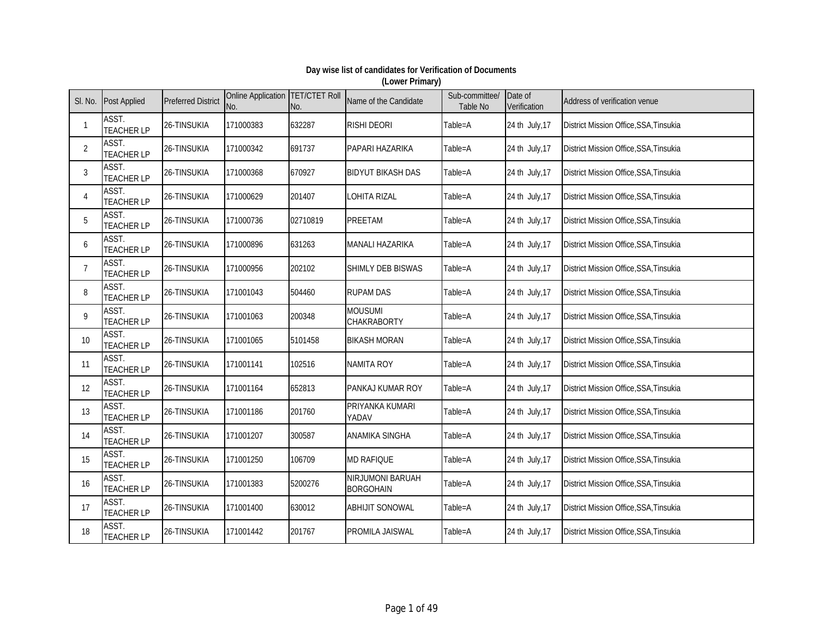| SI. No.        | <b>Post Applied</b>        | <b>Preferred District</b> | Online Application   TET/CTET Roll<br>No. | No.      | Name of the Candidate                | Sub-committee/<br>Table No | Date of<br>Verification | Address of verification venue                 |
|----------------|----------------------------|---------------------------|-------------------------------------------|----------|--------------------------------------|----------------------------|-------------------------|-----------------------------------------------|
| $\mathbf{1}$   | ASST.<br><b>TEACHER LP</b> | 26-TINSUKIA               | 171000383                                 | 632287   | <b>RISHI DEORI</b>                   | Table=A                    | 24 th July, 17          | District Mission Office, SSA, Tinsukia        |
| $\overline{2}$ | ASST.<br><b>TEACHER LP</b> | 26-TINSUKIA               | 171000342                                 | 691737   | PAPARI HAZARIKA                      | Table=A                    | 24 th July, 17          | District Mission Office, SSA, Tinsukia        |
| $\mathbf{3}$   | ASST.<br><b>TEACHER LP</b> | 26-TINSUKIA               | 171000368                                 | 670927   | <b>BIDYUT BIKASH DAS</b>             | Table=A                    | 24 th July, 17          | District Mission Office, SSA, Tinsukia        |
| 4              | ASST.<br><b>TEACHER LP</b> | 26-TINSUKIA               | 171000629                                 | 201407   | <b>LOHITA RIZAL</b>                  | Table=A                    | 24 th July, 17          | District Mission Office, SSA, Tinsukia        |
| 5              | ASST.<br><b>TEACHER LP</b> | 26-TINSUKIA               | 171000736                                 | 02710819 | <b>PREETAM</b>                       | Table=A                    | 24 th July, 17          | District Mission Office, SSA, Tinsukia        |
| 6              | ASST.<br><b>TEACHER LP</b> | 26-TINSUKIA               | 171000896                                 | 631263   | MANALI HAZARIKA                      | Table=A                    | 24 th July, 17          | District Mission Office, SSA, Tinsukia        |
| $\overline{7}$ | ASST.<br><b>TEACHER LP</b> | 26-TINSUKIA               | 171000956                                 | 202102   | <b>SHIMLY DEB BISWAS</b>             | Table=A                    | 24 th July, 17          | <b>District Mission Office, SSA, Tinsukia</b> |
| 8              | ASST.<br><b>TEACHER LP</b> | 26-TINSUKIA               | 171001043                                 | 504460   | <b>RUPAM DAS</b>                     | Table=A                    | 24 th July, 17          | <b>District Mission Office, SSA, Tinsukia</b> |
| 9              | ASST.<br><b>TEACHER LP</b> | 26-TINSUKIA               | 171001063                                 | 200348   | MOUSUMI<br>CHAKRABORTY               | Table=A                    | 24 th July, 17          | District Mission Office, SSA, Tinsukia        |
| 10             | ASST.<br><b>TEACHER LP</b> | 26-TINSUKIA               | 171001065                                 | 5101458  | <b>BIKASH MORAN</b>                  | Table=A                    | 24 th July, 17          | <b>District Mission Office, SSA, Tinsukia</b> |
| 11             | ASST.<br><b>TEACHER LP</b> | 26-TINSUKIA               | 171001141                                 | 102516   | <b>NAMITA ROY</b>                    | Table=A                    | 24 th July, 17          | District Mission Office, SSA, Tinsukia        |
| 12             | ASST.<br><b>TEACHER LP</b> | 26-TINSUKIA               | 171001164                                 | 652813   | PANKAJ KUMAR ROY                     | Table=A                    | 24 th July, 17          | District Mission Office, SSA, Tinsukia        |
| 13             | ASST.<br><b>TEACHER LP</b> | 26-TINSUKIA               | 171001186                                 | 201760   | PRIYANKA KUMARI<br>YADAV             | Table=A                    | 24 th July, 17          | District Mission Office, SSA, Tinsukia        |
| 14             | ASST.<br><b>TEACHER LP</b> | 26-TINSUKIA               | 171001207                                 | 300587   | ANAMIKA SINGHA                       | Table=A                    | 24 th July, 17          | District Mission Office, SSA, Tinsukia        |
| 15             | ASST.<br><b>TEACHER LP</b> | 26-TINSUKIA               | 171001250                                 | 106709   | <b>MD RAFIQUE</b>                    | Table=A                    | 24 th July, 17          | District Mission Office, SSA, Tinsukia        |
| 16             | ASST.<br><b>TEACHER LP</b> | 26-TINSUKIA               | 171001383                                 | 5200276  | NIRJUMONI BARUAH<br><b>BORGOHAIN</b> | Table=A                    | 24 th July, 17          | District Mission Office, SSA, Tinsukia        |
| 17             | ASST.<br><b>TEACHER LP</b> | 26-TINSUKIA               | 171001400                                 | 630012   | <b>ABHIJIT SONOWAL</b>               | Table=A                    | 24 th July, 17          | District Mission Office, SSA, Tinsukia        |
| 18             | ASST.<br><b>TEACHER LP</b> | 26-TINSUKIA               | 171001442                                 | 201767   | PROMILA JAISWAL                      | Table=A                    | 24 th July, 17          | District Mission Office, SSA, Tinsukia        |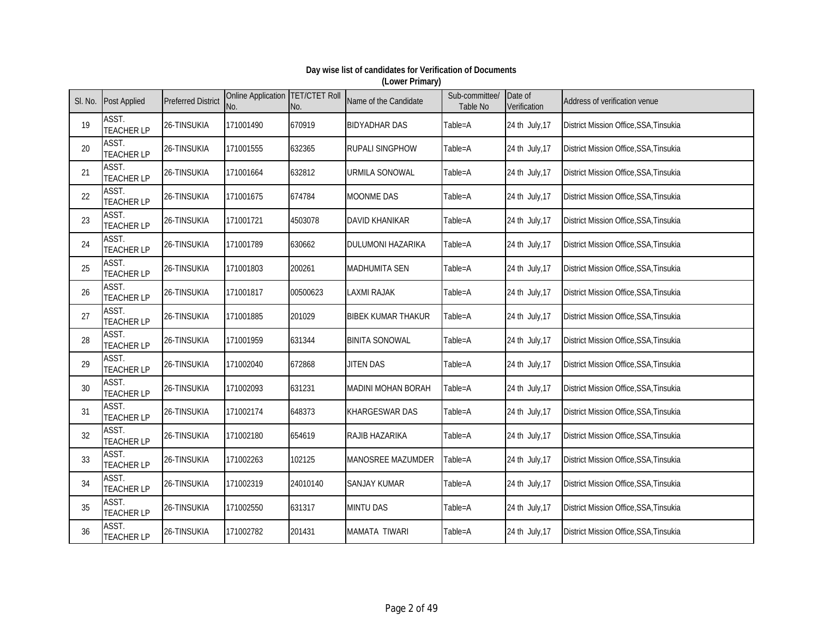| SI. No. | <b>Post Applied</b>        | <b>Preferred District</b> | Online Application   TET/CTET Roll<br>No. | No.      | Name of the Candidate     | Sub-committee/<br>Table No | Date of<br>Verification | Address of verification venue                 |
|---------|----------------------------|---------------------------|-------------------------------------------|----------|---------------------------|----------------------------|-------------------------|-----------------------------------------------|
| 19      | ASST.<br><b>TEACHER LP</b> | 26-TINSUKIA               | 171001490                                 | 670919   | <b>BIDYADHAR DAS</b>      | Table=A                    | 24 th July, 17          | District Mission Office, SSA, Tinsukia        |
| 20      | ASST.<br><b>TEACHER LP</b> | 26-TINSUKIA               | 171001555                                 | 632365   | <b>RUPALI SINGPHOW</b>    | Table=A                    | 24 th July, 17          | District Mission Office, SSA, Tinsukia        |
| 21      | ASST.<br><b>TEACHER LP</b> | 26-TINSUKIA               | 171001664                                 | 632812   | <b>URMILA SONOWAL</b>     | Table=A                    | 24 th July, 17          | District Mission Office, SSA, Tinsukia        |
| 22      | ASST.<br><b>TEACHER LP</b> | 26-TINSUKIA               | 171001675                                 | 674784   | MOONME DAS                | Table=A                    | 24 th July, 17          | District Mission Office, SSA, Tinsukia        |
| 23      | ASST.<br><b>TEACHER LP</b> | 26-TINSUKIA               | 171001721                                 | 4503078  | <b>DAVID KHANIKAR</b>     | Table=A                    | 24 th July, 17          | District Mission Office, SSA, Tinsukia        |
| 24      | ASST.<br><b>TEACHER LP</b> | 26-TINSUKIA               | 171001789                                 | 630662   | <b>DULUMONI HAZARIKA</b>  | Table=A                    | 24 th July, 17          | District Mission Office, SSA, Tinsukia        |
| 25      | ASST.<br><b>TEACHER LP</b> | 26-TINSUKIA               | 171001803                                 | 200261   | <b>MADHUMITA SEN</b>      | Table=A                    | 24 th July, 17          | <b>District Mission Office, SSA, Tinsukia</b> |
| 26      | ASST.<br><b>TEACHER LP</b> | 26-TINSUKIA               | 171001817                                 | 00500623 | LAXMI RAJAK               | Table=A                    | 24 th July, 17          | <b>District Mission Office, SSA, Tinsukia</b> |
| 27      | ASST.<br><b>TEACHER LP</b> | 26-TINSUKIA               | 171001885                                 | 201029   | <b>BIBEK KUMAR THAKUR</b> | Table=A                    | 24 th July, 17          | District Mission Office, SSA, Tinsukia        |
| 28      | ASST.<br><b>TEACHER LP</b> | 26-TINSUKIA               | 171001959                                 | 631344   | <b>BINITA SONOWAL</b>     | Table=A                    | 24 th July, 17          | <b>District Mission Office, SSA, Tinsukia</b> |
| 29      | ASST.<br><b>TEACHER LP</b> | 26-TINSUKIA               | 171002040                                 | 672868   | JITEN DAS                 | Table=A                    | 24 th July, 17          | District Mission Office, SSA, Tinsukia        |
| 30      | ASST.<br><b>TEACHER LP</b> | 26-TINSUKIA               | 171002093                                 | 631231   | <b>MADINI MOHAN BORAH</b> | Table=A                    | 24 th July, 17          | District Mission Office, SSA, Tinsukia        |
| 31      | ASST.<br><b>TEACHER LP</b> | 26-TINSUKIA               | 171002174                                 | 648373   | <b>KHARGESWAR DAS</b>     | Table=A                    | 24 th July, 17          | District Mission Office, SSA, Tinsukia        |
| 32      | ASST.<br><b>TEACHER LP</b> | 26-TINSUKIA               | 171002180                                 | 654619   | RAJIB HAZARIKA            | Table=A                    | 24 th July, 17          | District Mission Office, SSA, Tinsukia        |
| 33      | ASST.<br><b>TEACHER LP</b> | 26-TINSUKIA               | 171002263                                 | 102125   | <b>MANOSREE MAZUMDER</b>  | Table=A                    | 24 th July, 17          | District Mission Office, SSA, Tinsukia        |
| 34      | ASST.<br><b>TEACHER LP</b> | 26-TINSUKIA               | 171002319                                 | 24010140 | <b>SANJAY KUMAR</b>       | Table=A                    | 24 th July, 17          | District Mission Office, SSA, Tinsukia        |
| 35      | ASST.<br><b>TEACHER LP</b> | 26-TINSUKIA               | 171002550                                 | 631317   | <b>MINTU DAS</b>          | Table=A                    | 24 th July, 17          | District Mission Office, SSA, Tinsukia        |
| 36      | ASST.<br><b>TEACHER LP</b> | 26-TINSUKIA               | 171002782                                 | 201431   | MAMATA TIWARI             | Table=A                    | 24 th July, 17          | District Mission Office, SSA, Tinsukia        |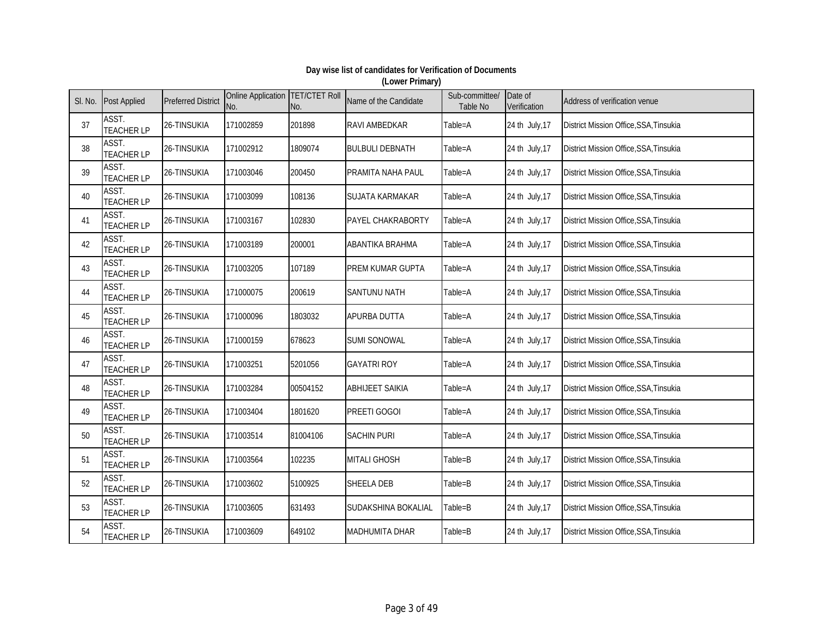| SI. No. | <b>Post Applied</b>        | <b>Preferred District</b> | Online Application   TET/CTET Roll<br>No. | No.      | Name of the Candidate   | Sub-committee/<br>Table No | Date of<br>Verification | Address of verification venue                 |
|---------|----------------------------|---------------------------|-------------------------------------------|----------|-------------------------|----------------------------|-------------------------|-----------------------------------------------|
| 37      | ASST.<br><b>TEACHER LP</b> | 26-TINSUKIA               | 171002859                                 | 201898   | <b>RAVI AMBEDKAR</b>    | Table=A                    | 24 th July, 17          | District Mission Office, SSA, Tinsukia        |
| 38      | ASST.<br><b>TEACHER LP</b> | 26-TINSUKIA               | 171002912                                 | 1809074  | <b>BULBULI DEBNATH</b>  | Table=A                    | 24 th July, 17          | District Mission Office, SSA, Tinsukia        |
| 39      | ASST.<br><b>TEACHER LP</b> | 26-TINSUKIA               | 171003046                                 | 200450   | PRAMITA NAHA PAUL       | Table=A                    | 24 th July, 17          | District Mission Office, SSA, Tinsukia        |
| 40      | ASST.<br><b>TEACHER LP</b> | 26-TINSUKIA               | 171003099                                 | 108136   | SUJATA KARMAKAR         | Table=A                    | 24 th July, 17          | District Mission Office, SSA, Tinsukia        |
| 41      | ASST.<br><b>TEACHER LP</b> | 26-TINSUKIA               | 171003167                                 | 102830   | PAYEL CHAKRABORTY       | Table=A                    | 24 th July, 17          | District Mission Office, SSA, Tinsukia        |
| 42      | ASST.<br><b>TEACHER LP</b> | 26-TINSUKIA               | 171003189                                 | 200001   | ABANTIKA BRAHMA         | Table=A                    | 24 th July, 17          | District Mission Office, SSA, Tinsukia        |
| 43      | ASST.<br><b>TEACHER LP</b> | 26-TINSUKIA               | 171003205                                 | 107189   | <b>PREM KUMAR GUPTA</b> | Table=A                    | 24 th July, 17          | <b>District Mission Office, SSA, Tinsukia</b> |
| 44      | ASST.<br><b>TEACHER LP</b> | 26-TINSUKIA               | 171000075                                 | 200619   | <b>SANTUNU NATH</b>     | Table=A                    | 24 th July, 17          | <b>District Mission Office, SSA, Tinsukia</b> |
| 45      | ASST.<br><b>TEACHER LP</b> | 26-TINSUKIA               | 171000096                                 | 1803032  | APURBA DUTTA            | Table=A                    | 24 th July, 17          | District Mission Office, SSA, Tinsukia        |
| 46      | ASST.<br><b>TEACHER LP</b> | 26-TINSUKIA               | 171000159                                 | 678623   | <b>SUMI SONOWAL</b>     | Table=A                    | 24 th July, 17          | <b>District Mission Office, SSA, Tinsukia</b> |
| 47      | ASST.<br><b>TEACHER LP</b> | 26-TINSUKIA               | 171003251                                 | 5201056  | <b>GAYATRI ROY</b>      | Table=A                    | 24 th July, 17          | District Mission Office, SSA, Tinsukia        |
| 48      | ASST.<br><b>TEACHER LP</b> | 26-TINSUKIA               | 171003284                                 | 00504152 | <b>ABHIJEET SAIKIA</b>  | Table=A                    | 24 th July, 17          | District Mission Office, SSA, Tinsukia        |
| 49      | ASST.<br><b>TEACHER LP</b> | 26-TINSUKIA               | 171003404                                 | 1801620  | <b>PREETI GOGOI</b>     | Table=A                    | 24 th July, 17          | District Mission Office, SSA, Tinsukia        |
| $50\,$  | ASST.<br><b>TEACHER LP</b> | 26-TINSUKIA               | 171003514                                 | 81004106 | <b>SACHIN PURI</b>      | Table=A                    | 24 th July, 17          | District Mission Office, SSA, Tinsukia        |
| 51      | ASST.<br><b>TEACHER LP</b> | 26-TINSUKIA               | 171003564                                 | 102235   | <b>MITALI GHOSH</b>     | Table=B                    | 24 th July, 17          | District Mission Office, SSA, Tinsukia        |
| 52      | ASST.<br><b>TEACHER LP</b> | 26-TINSUKIA               | 171003602                                 | 5100925  | <b>SHEELA DEB</b>       | Table=B                    | 24 th July, 17          | District Mission Office, SSA, Tinsukia        |
| 53      | ASST.<br><b>TEACHER LP</b> | 26-TINSUKIA               | 171003605                                 | 631493   | SUDAKSHINA BOKALIAL     | Table=B                    | 24 th July, 17          | District Mission Office, SSA, Tinsukia        |
| 54      | ASST.<br><b>TEACHER LP</b> | 26-TINSUKIA               | 171003609                                 | 649102   | MADHUMITA DHAR          | Table=B                    | 24 th July, 17          | District Mission Office, SSA, Tinsukia        |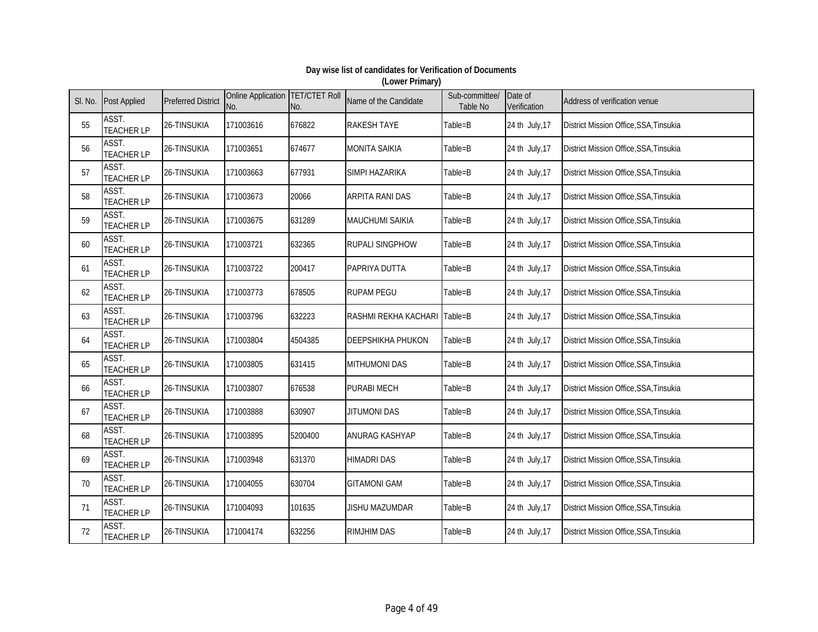| SI. No. | <b>Post Applied</b>        | <b>Preferred District</b> | Online Application   TET/CTET Roll<br>No. | No.     | Name of the Candidate    | Sub-committee/<br><b>Table No</b> | Date of<br>Verification | Address of verification venue                 |
|---------|----------------------------|---------------------------|-------------------------------------------|---------|--------------------------|-----------------------------------|-------------------------|-----------------------------------------------|
| 55      | ASST.<br><b>TEACHER LP</b> | 26-TINSUKIA               | 171003616                                 | 676822  | <b>RAKESH TAYE</b>       | Table=B                           | 24 th July, 17          | District Mission Office, SSA, Tinsukia        |
| 56      | ASST.<br><b>TEACHER LP</b> | 26-TINSUKIA               | 171003651                                 | 674677  | <b>MONITA SAIKIA</b>     | Table=B                           | 24 th July, 17          | District Mission Office, SSA, Tinsukia        |
| 57      | ASST.<br><b>TEACHER LP</b> | 26-TINSUKIA               | 171003663                                 | 677931  | SIMPI HAZARIKA           | Table=B                           | 24 th July, 17          | District Mission Office, SSA, Tinsukia        |
| 58      | ASST.<br><b>TEACHER LP</b> | 26-TINSUKIA               | 171003673                                 | 20066   | <b>ARPITA RANI DAS</b>   | Table=B                           | 24 th July, 17          | District Mission Office, SSA, Tinsukia        |
| 59      | ASST.<br><b>TEACHER LP</b> | 26-TINSUKIA               | 171003675                                 | 631289  | MAUCHUMI SAIKIA          | Table=B                           | 24 th July, 17          | District Mission Office, SSA, Tinsukia        |
| 60      | ASST.<br><b>TEACHER LP</b> | 26-TINSUKIA               | 171003721                                 | 632365  | <b>RUPALI SINGPHOW</b>   | Table=B                           | 24 th July, 17          | District Mission Office, SSA, Tinsukia        |
| 61      | ASST.<br><b>TEACHER LP</b> | 26-TINSUKIA               | 171003722                                 | 200417  | PAPRIYA DUTTA            | Table=B                           | 24 th July, 17          | District Mission Office, SSA, Tinsukia        |
| 62      | ASST.<br><b>TEACHER LP</b> | 26-TINSUKIA               | 171003773                                 | 678505  | <b>RUPAM PEGU</b>        | Table=B                           | 24 th July, 17          | District Mission Office, SSA, Tinsukia        |
| 63      | ASST.<br><b>TEACHER LP</b> | 26-TINSUKIA               | 171003796                                 | 632223  | RASHMI REKHA KACHARI     | Table=B                           | 24 th July, 17          | District Mission Office, SSA, Tinsukia        |
| 64      | ASST.<br><b>TEACHER LP</b> | 26-TINSUKIA               | 171003804                                 | 4504385 | <b>DEEPSHIKHA PHUKON</b> | Table=B                           | 24 th July, 17          | <b>District Mission Office, SSA, Tinsukia</b> |
| 65      | ASST.<br><b>TEACHER LP</b> | 26-TINSUKIA               | 171003805                                 | 631415  | <b>MITHUMONI DAS</b>     | Table=B                           | 24 th July, 17          | District Mission Office, SSA, Tinsukia        |
| 66      | ASST.<br><b>TEACHER LP</b> | 26-TINSUKIA               | 171003807                                 | 676538  | <b>PURABI MECH</b>       | Table=B                           | 24 th July, 17          | District Mission Office, SSA, Tinsukia        |
| 67      | ASST.<br><b>TEACHER LP</b> | 26-TINSUKIA               | 171003888                                 | 630907  | JITUMONI DAS             | Table=B                           | 24 th July, 17          | District Mission Office, SSA, Tinsukia        |
| 68      | ASST.<br><b>TEACHER LP</b> | 26-TINSUKIA               | 171003895                                 | 5200400 | ANURAG KASHYAP           | Table=B                           | 24 th July, 17          | District Mission Office, SSA, Tinsukia        |
| 69      | ASST.<br><b>TEACHER LP</b> | 26-TINSUKIA               | 171003948                                 | 631370  | <b>HIMADRI DAS</b>       | Table=B                           | 24 th July, 17          | District Mission Office, SSA, Tinsukia        |
| 70      | ASST.<br><b>TEACHER LP</b> | 26-TINSUKIA               | 171004055                                 | 630704  | <b>GITAMONI GAM</b>      | Table=B                           | 24 th July, 17          | District Mission Office, SSA, Tinsukia        |
| 71      | ASST.<br><b>TEACHER LP</b> | 26-TINSUKIA               | 171004093                                 | 101635  | <b>JISHU MAZUMDAR</b>    | Table=B                           | 24 th July, 17          | District Mission Office, SSA, Tinsukia        |
| 72      | ASST.<br><b>TEACHER LP</b> | 26-TINSUKIA               | 171004174                                 | 632256  | <b>RIMJHIM DAS</b>       | Table=B                           | 24 th July, 17          | District Mission Office, SSA, Tinsukia        |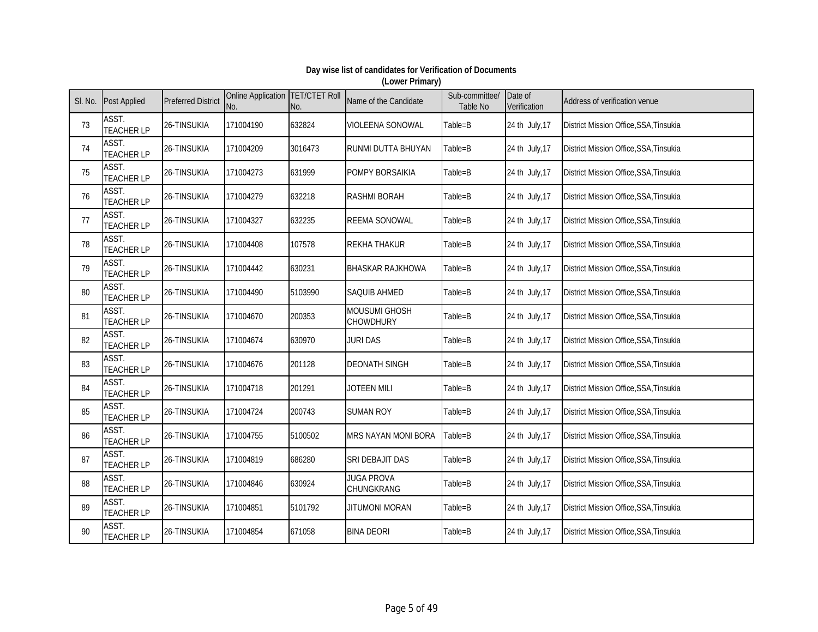| SI. No. | <b>Post Applied</b>        | <b>Preferred District</b> | Online Application   TET/CTET Roll<br>No. | No.     | Name of the Candidate             | Sub-committee/<br>Table No | Date of<br>Verification | Address of verification venue          |
|---------|----------------------------|---------------------------|-------------------------------------------|---------|-----------------------------------|----------------------------|-------------------------|----------------------------------------|
| 73      | ASST.<br><b>TEACHER LP</b> | 26-TINSUKIA               | 171004190                                 | 632824  | VIOLEENA SONOWAL                  | Table=B                    | 24 th July, 17          | District Mission Office, SSA, Tinsukia |
| 74      | ASST.<br><b>TEACHER LP</b> | 26-TINSUKIA               | 171004209                                 | 3016473 | RUNMI DUTTA BHUYAN                | Table=B                    | 24 th July, 17          | District Mission Office, SSA, Tinsukia |
| 75      | ASST.<br><b>TEACHER LP</b> | 26-TINSUKIA               | 171004273                                 | 631999  | <b>POMPY BORSAIKIA</b>            | Table=B                    | 24 th July, 17          | District Mission Office, SSA, Tinsukia |
| 76      | ASST.<br><b>TEACHER LP</b> | 26-TINSUKIA               | 171004279                                 | 632218  | <b>RASHMI BORAH</b>               | Table=B                    | 24 th July, 17          | District Mission Office, SSA, Tinsukia |
| 77      | ASST.<br><b>TEACHER LP</b> | 26-TINSUKIA               | 171004327                                 | 632235  | <b>REEMA SONOWAL</b>              | Table=B                    | 24 th July, 17          | District Mission Office, SSA, Tinsukia |
| 78      | ASST.<br><b>TEACHER LP</b> | 26-TINSUKIA               | 171004408                                 | 107578  | <b>REKHA THAKUR</b>               | Table=B                    | 24 th July, 17          | District Mission Office, SSA, Tinsukia |
| 79      | ASST.<br><b>TEACHER LP</b> | 26-TINSUKIA               | 171004442                                 | 630231  | <b>BHASKAR RAJKHOWA</b>           | Table=B                    | 24 th July, 17          | District Mission Office, SSA, Tinsukia |
| 80      | ASST.<br><b>TEACHER LP</b> | 26-TINSUKIA               | 171004490                                 | 5103990 | SAQUIB AHMED                      | Table=B                    | 24 th July, 17          | District Mission Office, SSA, Tinsukia |
| 81      | ASST.<br><b>TEACHER LP</b> | 26-TINSUKIA               | 171004670                                 | 200353  | <b>MOUSUMI GHOSH</b><br>CHOWDHURY | Table=B                    | 24 th July, 17          | District Mission Office, SSA, Tinsukia |
| 82      | ASST.<br><b>TEACHER LP</b> | 26-TINSUKIA               | 171004674                                 | 630970  | <b>JURI DAS</b>                   | Table=B                    | 24 th July, 17          | District Mission Office, SSA, Tinsukia |
| 83      | ASST.<br><b>TEACHER LP</b> | 26-TINSUKIA               | 171004676                                 | 201128  | <b>DEONATH SINGH</b>              | Table=B                    | 24 th July, 17          | District Mission Office, SSA, Tinsukia |
| 84      | ASST.<br><b>TEACHER LP</b> | 26-TINSUKIA               | 171004718                                 | 201291  | JOTEEN MILI                       | Table=B                    | 24 th July, 17          | District Mission Office, SSA, Tinsukia |
| 85      | ASST.<br><b>TEACHER LP</b> | 26-TINSUKIA               | 171004724                                 | 200743  | <b>SUMAN ROY</b>                  | Table=B                    | 24 th July, 17          | District Mission Office, SSA, Tinsukia |
| 86      | ASST.<br><b>TEACHER LP</b> | 26-TINSUKIA               | 171004755                                 | 5100502 | MRS NAYAN MONI BORA               | Table=B                    | 24 th July, 17          | District Mission Office, SSA, Tinsukia |
| 87      | ASST.<br><b>TEACHER LP</b> | 26-TINSUKIA               | 171004819                                 | 686280  | SRI DEBAJIT DAS                   | Table=B                    | 24 th July, 17          | District Mission Office, SSA, Tinsukia |
| 88      | ASST.<br><b>TEACHER LP</b> | 26-TINSUKIA               | 171004846                                 | 630924  | <b>JUGA PROVA</b><br>CHUNGKRANG   | Table=B                    | 24 th July, 17          | District Mission Office, SSA, Tinsukia |
| 89      | ASST.<br><b>TEACHER LP</b> | 26-TINSUKIA               | 171004851                                 | 5101792 | <b>JITUMONI MORAN</b>             | Table=B                    | 24 th July, 17          | District Mission Office, SSA, Tinsukia |
| 90      | ASST.<br><b>TEACHER LP</b> | 26-TINSUKIA               | 171004854                                 | 671058  | <b>BINA DEORI</b>                 | Table=B                    | 24 th July, 17          | District Mission Office, SSA, Tinsukia |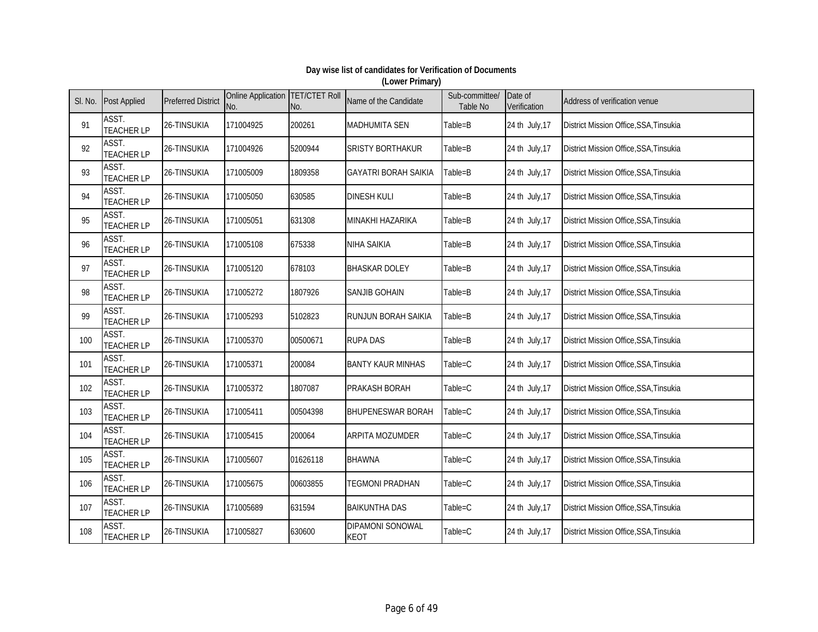| SI. No. | <b>Post Applied</b>        | <b>Preferred District</b> | Online Application TET/CTET Roll<br>No. | No.      | Name of the Candidate                  | Sub-committee/<br>Table No | Date of<br>Verification | Address of verification venue          |
|---------|----------------------------|---------------------------|-----------------------------------------|----------|----------------------------------------|----------------------------|-------------------------|----------------------------------------|
| 91      | ASST.<br><b>TEACHER LP</b> | 26-TINSUKIA               | 171004925                               | 200261   | <b>MADHUMITA SEN</b>                   | Table=B                    | 24 th July, 17          | District Mission Office, SSA, Tinsukia |
| 92      | ASST.<br><b>TEACHER LP</b> | 26-TINSUKIA               | 171004926                               | 5200944  | <b>SRISTY BORTHAKUR</b>                | Table=B                    | 24 th July, 17          | District Mission Office, SSA, Tinsukia |
| 93      | ASST.<br><b>TEACHER LP</b> | 26-TINSUKIA               | 171005009                               | 1809358  | <b>GAYATRI BORAH SAIKIA</b>            | Table=B                    | 24 th July, 17          | District Mission Office, SSA, Tinsukia |
| 94      | ASST.<br><b>TEACHER LP</b> | 26-TINSUKIA               | 171005050                               | 630585   | <b>DINESH KULI</b>                     | Table=B                    | 24 th July, 17          | District Mission Office, SSA, Tinsukia |
| 95      | ASST.<br><b>TEACHER LP</b> | 26-TINSUKIA               | 171005051                               | 631308   | MINAKHI HAZARIKA                       | Table=B                    | 24 th July, 17          | District Mission Office, SSA, Tinsukia |
| 96      | ASST.<br><b>TEACHER LP</b> | 26-TINSUKIA               | 171005108                               | 675338   | NIHA SAIKIA                            | Table=B                    | 24 th July, 17          | District Mission Office, SSA, Tinsukia |
| 97      | ASST.<br><b>TEACHER LP</b> | 26-TINSUKIA               | 171005120                               | 678103   | <b>BHASKAR DOLEY</b>                   | Table=B                    | 24 th July, 17          | District Mission Office, SSA, Tinsukia |
| 98      | ASST.<br><b>TEACHER LP</b> | 26-TINSUKIA               | 171005272                               | 1807926  | <b>SANJIB GOHAIN</b>                   | Table=B                    | 24 th July, 17          | District Mission Office, SSA, Tinsukia |
| 99      | ASST.<br><b>TEACHER LP</b> | 26-TINSUKIA               | 171005293                               | 5102823  | RUNJUN BORAH SAIKIA                    | Table=B                    | 24 th July, 17          | District Mission Office, SSA, Tinsukia |
| 100     | ASST.<br><b>TEACHER LP</b> | 26-TINSUKIA               | 171005370                               | 00500671 | <b>RUPA DAS</b>                        | Table=B                    | 24 th July, 17          | District Mission Office, SSA, Tinsukia |
| 101     | ASST.<br><b>TEACHER LP</b> | 26-TINSUKIA               | 171005371                               | 200084   | <b>BANTY KAUR MINHAS</b>               | Table=C                    | 24 th July, 17          | District Mission Office, SSA, Tinsukia |
| 102     | ASST.<br><b>TEACHER LP</b> | 26-TINSUKIA               | 171005372                               | 1807087  | PRAKASH BORAH                          | Table=C                    | 24 th July, 17          | District Mission Office, SSA, Tinsukia |
| 103     | ASST.<br><b>TEACHER LP</b> | 26-TINSUKIA               | 171005411                               | 00504398 | <b>BHUPENESWAR BORAH</b>               | Table=C                    | 24 th July, 17          | District Mission Office, SSA, Tinsukia |
| 104     | ASST.<br><b>TEACHER LP</b> | 26-TINSUKIA               | 171005415                               | 200064   | <b>ARPITA MOZUMDER</b>                 | Table=C                    | 24 th July, 17          | District Mission Office, SSA, Tinsukia |
| 105     | ASST.<br><b>TEACHER LP</b> | 26-TINSUKIA               | 171005607                               | 01626118 | <b>BHAWNA</b>                          | Table=C                    | 24 th July, 17          | District Mission Office, SSA, Tinsukia |
| 106     | ASST.<br><b>TEACHER LP</b> | 26-TINSUKIA               | 171005675                               | 00603855 | <b>TEGMONI PRADHAN</b>                 | Table=C                    | 24 th July, 17          | District Mission Office, SSA, Tinsukia |
| 107     | ASST.<br><b>TEACHER LP</b> | 26-TINSUKIA               | 171005689                               | 631594   | <b>BAIKUNTHA DAS</b>                   | Table=C                    | 24 th July, 17          | District Mission Office, SSA, Tinsukia |
| 108     | ASST.<br><b>TEACHER LP</b> | 26-TINSUKIA               | 171005827                               | 630600   | <b>DIPAMONI SONOWAL</b><br><b>KEOT</b> | Table=C                    | 24 th July, 17          | District Mission Office, SSA, Tinsukia |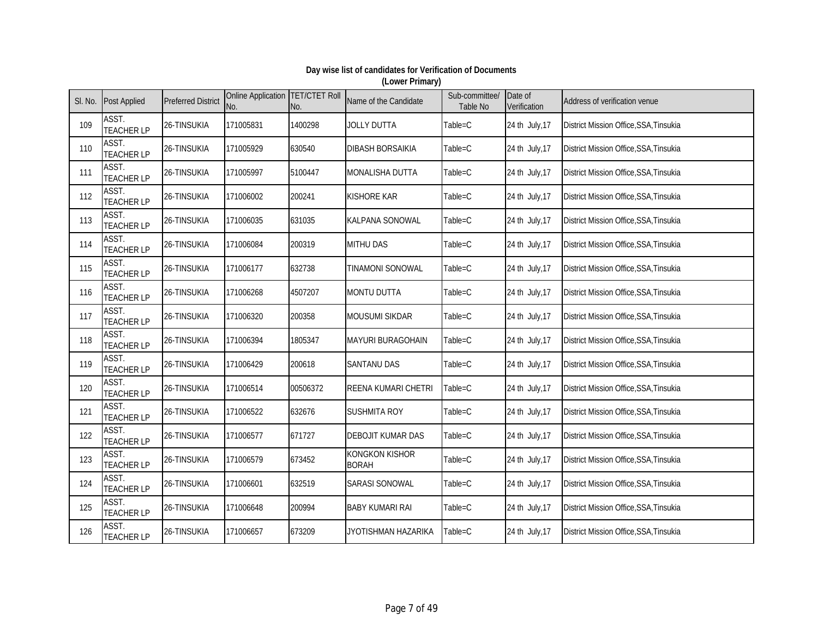| SI. No. | <b>Post Applied</b>        | <b>Preferred District</b> | Online Application TET/CTET Roll<br>No. | No.      | Name of the Candidate                 | Sub-committee/<br>Table No | Date of<br>Verification | Address of verification venue          |
|---------|----------------------------|---------------------------|-----------------------------------------|----------|---------------------------------------|----------------------------|-------------------------|----------------------------------------|
| 109     | ASST.<br><b>TEACHER LP</b> | 26-TINSUKIA               | 171005831                               | 1400298  | <b>JOLLY DUTTA</b>                    | Table=C                    | 24 th July, 17          | District Mission Office, SSA, Tinsukia |
| 110     | ASST.<br><b>TEACHER LP</b> | 26-TINSUKIA               | 171005929                               | 630540   | <b>DIBASH BORSAIKIA</b>               | Table=C                    | 24 th July, 17          | District Mission Office, SSA, Tinsukia |
| 111     | ASST.<br><b>TEACHER LP</b> | 26-TINSUKIA               | 171005997                               | 5100447  | <b>MONALISHA DUTTA</b>                | Table=C                    | 24 th July, 17          | District Mission Office, SSA, Tinsukia |
| 112     | ASST.<br><b>TEACHER LP</b> | 26-TINSUKIA               | 171006002                               | 200241   | <b>KISHORE KAR</b>                    | Table=C                    | 24 th July, 17          | District Mission Office, SSA, Tinsukia |
| 113     | ASST.<br><b>TEACHER LP</b> | 26-TINSUKIA               | 171006035                               | 631035   | <b>KALPANA SONOWAL</b>                | Table=C                    | 24 th July, 17          | District Mission Office, SSA, Tinsukia |
| 114     | ASST.<br><b>TEACHER LP</b> | 26-TINSUKIA               | 171006084                               | 200319   | <b>MITHU DAS</b>                      | Table=C                    | 24 th July, 17          | District Mission Office, SSA, Tinsukia |
| 115     | ASST.<br><b>TEACHER LP</b> | 26-TINSUKIA               | 171006177                               | 632738   | TINAMONI SONOWAL                      | Table=C                    | 24 th July, 17          | District Mission Office, SSA, Tinsukia |
| 116     | ASST.<br><b>TEACHER LP</b> | 26-TINSUKIA               | 171006268                               | 4507207  | <b>MONTU DUTTA</b>                    | Table=C                    | 24 th July, 17          | District Mission Office, SSA, Tinsukia |
| 117     | ASST.<br><b>TEACHER LP</b> | 26-TINSUKIA               | 171006320                               | 200358   | <b>MOUSUMI SIKDAR</b>                 | Table=C                    | 24 th July, 17          | District Mission Office, SSA, Tinsukia |
| 118     | ASST.<br><b>TEACHER LP</b> | 26-TINSUKIA               | 171006394                               | 1805347  | <b>MAYURI BURAGOHAIN</b>              | Table=C                    | 24 th July, 17          | District Mission Office, SSA, Tinsukia |
| 119     | ASST.<br><b>TEACHER LP</b> | 26-TINSUKIA               | 171006429                               | 200618   | <b>SANTANU DAS</b>                    | Table=C                    | 24 th July, 17          | District Mission Office, SSA, Tinsukia |
| 120     | ASST.<br><b>TEACHER LP</b> | 26-TINSUKIA               | 171006514                               | 00506372 | REENA KUMARI CHETRI                   | Table=C                    | 24 th July, 17          | District Mission Office, SSA, Tinsukia |
| 121     | ASST.<br><b>TEACHER LP</b> | 26-TINSUKIA               | 171006522                               | 632676   | <b>SUSHMITA ROY</b>                   | Table=C                    | 24 th July, 17          | District Mission Office, SSA, Tinsukia |
| 122     | ASST.<br><b>TEACHER LP</b> | 26-TINSUKIA               | 171006577                               | 671727   | <b>DEBOJIT KUMAR DAS</b>              | Table=C                    | 24 th July, 17          | District Mission Office, SSA, Tinsukia |
| 123     | ASST.<br><b>TEACHER LP</b> | 26-TINSUKIA               | 171006579                               | 673452   | <b>KONGKON KISHOR</b><br><b>BORAH</b> | Table=C                    | 24 th July, 17          | District Mission Office, SSA, Tinsukia |
| 124     | ASST.<br><b>TEACHER LP</b> | 26-TINSUKIA               | 171006601                               | 632519   | <b>SARASI SONOWAL</b>                 | Table=C                    | 24 th July, 17          | District Mission Office, SSA, Tinsukia |
| 125     | ASST.<br><b>TEACHER LP</b> | 26-TINSUKIA               | 171006648                               | 200994   | <b>BABY KUMARI RAI</b>                | Table=C                    | 24 th July, 17          | District Mission Office, SSA, Tinsukia |
| 126     | ASST.<br><b>TEACHER LP</b> | 26-TINSUKIA               | 171006657                               | 673209   | JYOTISHMAN HAZARIKA                   | Table=C                    | 24 th July, 17          | District Mission Office, SSA, Tinsukia |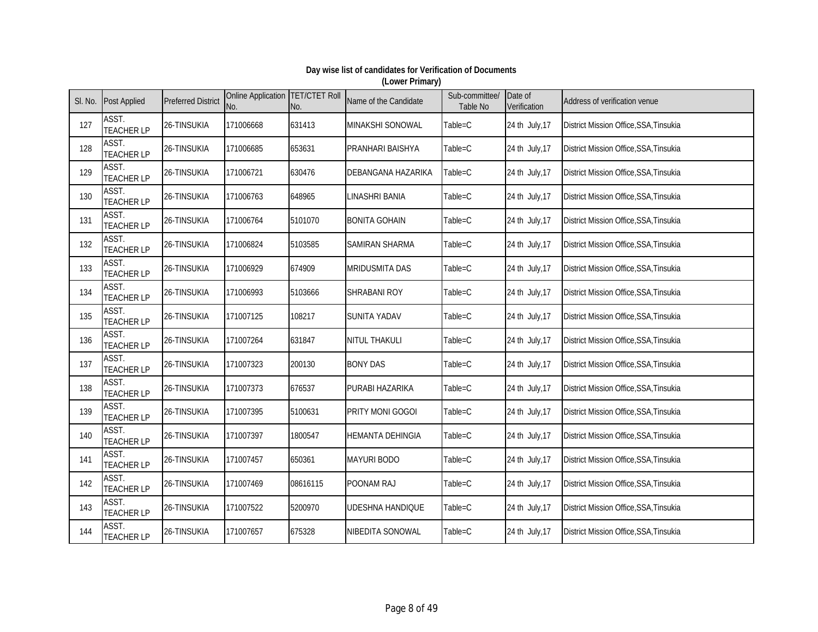| SI. No. | <b>Post Applied</b>        | <b>Preferred District</b> | Online Application   TET/CTET Roll<br>No. | No.      | Name of the Candidate   | Sub-committee/<br>Table No | Date of<br>Verification | Address of verification venue          |
|---------|----------------------------|---------------------------|-------------------------------------------|----------|-------------------------|----------------------------|-------------------------|----------------------------------------|
| 127     | ASST.<br><b>TEACHER LP</b> | 26-TINSUKIA               | 171006668                                 | 631413   | MINAKSHI SONOWAL        | Table=C                    | 24 th July, 17          | District Mission Office, SSA, Tinsukia |
| 128     | ASST.<br><b>TEACHER LP</b> | 26-TINSUKIA               | 171006685                                 | 653631   | PRANHARI BAISHYA        | Table=C                    | 24 th July, 17          | District Mission Office, SSA, Tinsukia |
| 129     | ASST.<br><b>TEACHER LP</b> | 26-TINSUKIA               | 171006721                                 | 630476   | DEBANGANA HAZARIKA      | Table=C                    | 24 th July, 17          | District Mission Office, SSA, Tinsukia |
| 130     | ASST.<br><b>TEACHER LP</b> | 26-TINSUKIA               | 171006763                                 | 648965   | <b>LINASHRI BANIA</b>   | Table=C                    | 24 th July, 17          | District Mission Office, SSA, Tinsukia |
| 131     | ASST.<br><b>TEACHER LP</b> | 26-TINSUKIA               | 171006764                                 | 5101070  | <b>BONITA GOHAIN</b>    | Table=C                    | 24 th July, 17          | District Mission Office, SSA, Tinsukia |
| 132     | ASST.<br><b>TEACHER LP</b> | 26-TINSUKIA               | 171006824                                 | 5103585  | SAMIRAN SHARMA          | Table=C                    | 24 th July, 17          | District Mission Office, SSA, Tinsukia |
| 133     | ASST.<br><b>TEACHER LP</b> | 26-TINSUKIA               | 171006929                                 | 674909   | MRIDUSMITA DAS          | Table=C                    | 24 th July, 17          | District Mission Office, SSA, Tinsukia |
| 134     | ASST.<br><b>TEACHER LP</b> | 26-TINSUKIA               | 171006993                                 | 5103666  | SHRABANI ROY            | Table=C                    | 24 th July, 17          | District Mission Office, SSA, Tinsukia |
| 135     | ASST.<br><b>TEACHER LP</b> | 26-TINSUKIA               | 171007125                                 | 108217   | <b>SUNITA YADAV</b>     | Table=C                    | 24 th July, 17          | District Mission Office, SSA, Tinsukia |
| 136     | ASST.<br><b>TEACHER LP</b> | 26-TINSUKIA               | 171007264                                 | 631847   | NITUL THAKULI           | Table=C                    | 24 th July, 17          | District Mission Office, SSA, Tinsukia |
| 137     | ASST.<br><b>TEACHER LP</b> | 26-TINSUKIA               | 171007323                                 | 200130   | <b>BONY DAS</b>         | Table=C                    | 24 th July, 17          | District Mission Office, SSA, Tinsukia |
| 138     | ASST.<br><b>TEACHER LP</b> | 26-TINSUKIA               | 171007373                                 | 676537   | PURABI HAZARIKA         | Table=C                    | 24 th July, 17          | District Mission Office, SSA, Tinsukia |
| 139     | ASST.<br><b>TEACHER LP</b> | 26-TINSUKIA               | 171007395                                 | 5100631  | <b>PRITY MONI GOGOI</b> | Table=C                    | 24 th July, 17          | District Mission Office, SSA, Tinsukia |
| 140     | ASST.<br><b>TEACHER LP</b> | 26-TINSUKIA               | 171007397                                 | 1800547  | <b>HEMANTA DEHINGIA</b> | Table=C                    | 24 th July, 17          | District Mission Office, SSA, Tinsukia |
| 141     | ASST.<br><b>TEACHER LP</b> | 26-TINSUKIA               | 171007457                                 | 650361   | <b>MAYURI BODO</b>      | Table=C                    | 24 th July, 17          | District Mission Office, SSA, Tinsukia |
| 142     | ASST.<br><b>TEACHER LP</b> | 26-TINSUKIA               | 171007469                                 | 08616115 | POONAM RAJ              | Table=C                    | 24 th July, 17          | District Mission Office, SSA, Tinsukia |
| 143     | ASST.<br><b>TEACHER LP</b> | 26-TINSUKIA               | 171007522                                 | 5200970  | <b>UDESHNA HANDIQUE</b> | Table=C                    | 24 th July, 17          | District Mission Office, SSA, Tinsukia |
| 144     | ASST.<br><b>TEACHER LP</b> | 26-TINSUKIA               | 171007657                                 | 675328   | NIBEDITA SONOWAL        | Table=C                    | 24 th July, 17          | District Mission Office, SSA, Tinsukia |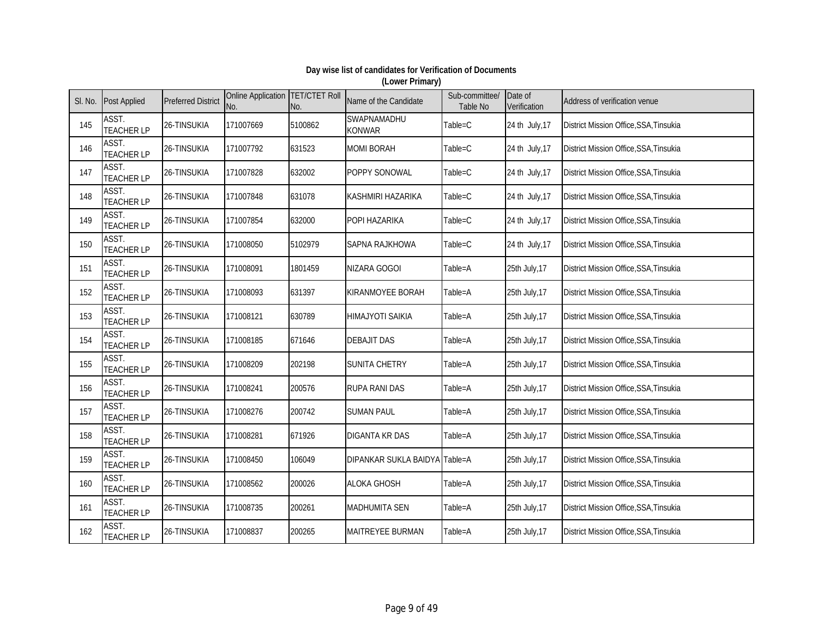| SI. No. | <b>Post Applied</b>        | <b>Preferred District</b> | Online Application TET/CTET Roll<br>No. | No.     | Name of the Candidate         | Sub-committee/<br>Table No | Date of<br>Verification | Address of verification venue          |
|---------|----------------------------|---------------------------|-----------------------------------------|---------|-------------------------------|----------------------------|-------------------------|----------------------------------------|
| 145     | ASST.<br><b>TEACHER LP</b> | 26-TINSUKIA               | 171007669                               | 5100862 | SWAPNAMADHU<br>KONWAR         | Table=C                    | 24 th July, 17          | District Mission Office, SSA, Tinsukia |
| 146     | ASST.<br><b>TEACHER LP</b> | 26-TINSUKIA               | 171007792                               | 631523  | <b>MOMI BORAH</b>             | Table=C                    | 24 th July, 17          | District Mission Office, SSA, Tinsukia |
| 147     | ASST.<br><b>TEACHER LP</b> | 26-TINSUKIA               | 171007828                               | 632002  | POPPY SONOWAL                 | Table=C                    | 24 th July, 17          | District Mission Office, SSA, Tinsukia |
| 148     | ASST.<br><b>TEACHER LP</b> | 26-TINSUKIA               | 171007848                               | 631078  | KASHMIRI HAZARIKA             | Table=C                    | 24 th July, 17          | District Mission Office, SSA, Tinsukia |
| 149     | ASST.<br><b>TEACHER LP</b> | 26-TINSUKIA               | 171007854                               | 632000  | POPI HAZARIKA                 | Table=C                    | 24 th July, 17          | District Mission Office, SSA, Tinsukia |
| 150     | ASST.<br><b>TEACHER LP</b> | 26-TINSUKIA               | 171008050                               | 5102979 | SAPNA RAJKHOWA                | Table=C                    | 24 th July, 17          | District Mission Office, SSA, Tinsukia |
| 151     | ASST.<br><b>TEACHER LP</b> | 26-TINSUKIA               | 171008091                               | 1801459 | NIZARA GOGOI                  | Table=A                    | 25th July, 17           | District Mission Office, SSA, Tinsukia |
| 152     | ASST.<br><b>TEACHER LP</b> | 26-TINSUKIA               | 171008093                               | 631397  | KIRANMOYEE BORAH              | Table=A                    | 25th July, 17           | District Mission Office, SSA, Tinsukia |
| 153     | ASST.<br><b>TEACHER LP</b> | 26-TINSUKIA               | 171008121                               | 630789  | HIMAJYOTI SAIKIA              | Table=A                    | 25th July, 17           | District Mission Office, SSA, Tinsukia |
| 154     | ASST.<br><b>TEACHER LP</b> | 26-TINSUKIA               | 171008185                               | 671646  | <b>DEBAJIT DAS</b>            | Table=A                    | 25th July, 17           | District Mission Office, SSA, Tinsukia |
| 155     | ASST.<br><b>TEACHER LP</b> | 26-TINSUKIA               | 171008209                               | 202198  | <b>SUNITA CHETRY</b>          | Table=A                    | 25th July, 17           | District Mission Office, SSA, Tinsukia |
| 156     | ASST.<br><b>TEACHER LP</b> | 26-TINSUKIA               | 171008241                               | 200576  | <b>RUPA RANI DAS</b>          | Table=A                    | 25th July, 17           | District Mission Office, SSA, Tinsukia |
| 157     | ASST.<br><b>TEACHER LP</b> | 26-TINSUKIA               | 171008276                               | 200742  | <b>SUMAN PAUL</b>             | Table=A                    | 25th July, 17           | District Mission Office, SSA, Tinsukia |
| 158     | ASST.<br><b>TEACHER LP</b> | 26-TINSUKIA               | 171008281                               | 671926  | DIGANTA KR DAS                | Table=A                    | 25th July, 17           | District Mission Office, SSA, Tinsukia |
| 159     | ASST.<br><b>TEACHER LP</b> | 26-TINSUKIA               | 171008450                               | 106049  | DIPANKAR SUKLA BAIDYA Table=A |                            | 25th July, 17           | District Mission Office, SSA, Tinsukia |
| 160     | ASST.<br><b>TEACHER LP</b> | 26-TINSUKIA               | 171008562                               | 200026  | <b>ALOKA GHOSH</b>            | Table=A                    | 25th July, 17           | District Mission Office, SSA, Tinsukia |
| 161     | ASST.<br><b>TEACHER LP</b> | 26-TINSUKIA               | 171008735                               | 200261  | <b>MADHUMITA SEN</b>          | Table=A                    | 25th July, 17           | District Mission Office, SSA, Tinsukia |
| 162     | ASST.<br><b>TEACHER LP</b> | 26-TINSUKIA               | 171008837                               | 200265  | MAITREYEE BURMAN              | Table=A                    | 25th July, 17           | District Mission Office, SSA, Tinsukia |

#### **Day wise list of candidates for Verification of Documents (Lower Primary)**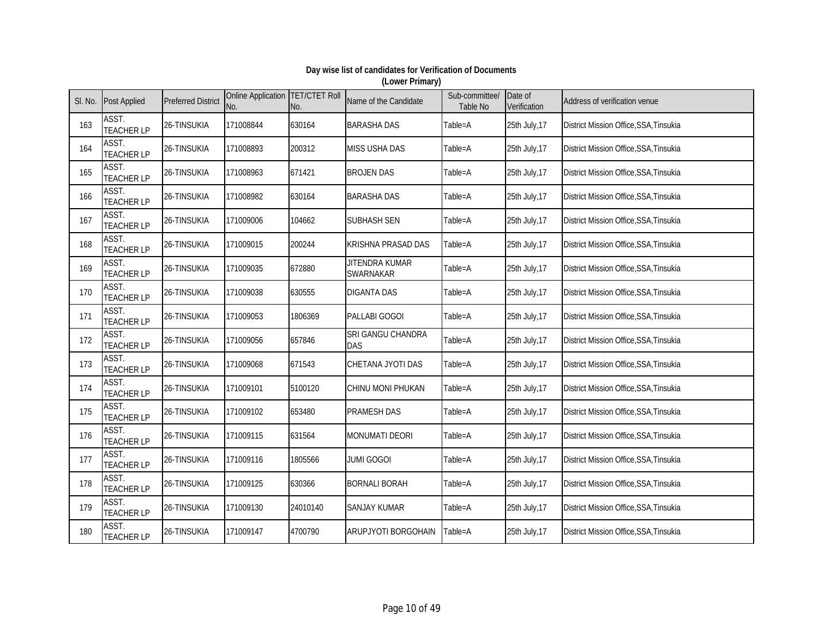| SI. No. | <b>Post Applied</b>        | <b>Preferred District</b> | Online Application TET/CTET Roll<br>No. | No.      | Name of the Candidate           | Sub-committee/<br>Table No | Date of<br>Verification | Address of verification venue          |
|---------|----------------------------|---------------------------|-----------------------------------------|----------|---------------------------------|----------------------------|-------------------------|----------------------------------------|
| 163     | ASST.<br><b>TEACHER LP</b> | 26-TINSUKIA               | 171008844                               | 630164   | <b>BARASHA DAS</b>              | Table=A                    | 25th July, 17           | District Mission Office, SSA, Tinsukia |
| 164     | ASST.<br><b>TEACHER LP</b> | 26-TINSUKIA               | 171008893                               | 200312   | MISS USHA DAS                   | Table=A                    | 25th July, 17           | District Mission Office, SSA, Tinsukia |
| 165     | ASST.<br><b>TEACHER LP</b> | 26-TINSUKIA               | 171008963                               | 671421   | <b>BROJEN DAS</b>               | Table=A                    | 25th July, 17           | District Mission Office, SSA, Tinsukia |
| 166     | ASST.<br><b>TEACHER LP</b> | 26-TINSUKIA               | 171008982                               | 630164   | <b>BARASHA DAS</b>              | Table=A                    | 25th July, 17           | District Mission Office, SSA, Tinsukia |
| 167     | ASST.<br><b>TEACHER LP</b> | 26-TINSUKIA               | 171009006                               | 104662   | <b>SUBHASH SEN</b>              | Table=A                    | 25th July, 17           | District Mission Office, SSA, Tinsukia |
| 168     | ASST.<br><b>TEACHER LP</b> | 26-TINSUKIA               | 171009015                               | 200244   | <b>KRISHNA PRASAD DAS</b>       | Table=A                    | 25th July, 17           | District Mission Office, SSA, Tinsukia |
| 169     | ASST.<br><b>TEACHER LP</b> | 26-TINSUKIA               | 171009035                               | 672880   | JITENDRA KUMAR<br>SWARNAKAR     | Table=A                    | 25th July, 17           | District Mission Office, SSA, Tinsukia |
| 170     | ASST.<br><b>TEACHER LP</b> | 26-TINSUKIA               | 171009038                               | 630555   | <b>DIGANTA DAS</b>              | Table=A                    | 25th July, 17           | District Mission Office, SSA, Tinsukia |
| 171     | ASST.<br><b>TEACHER LP</b> | 26-TINSUKIA               | 171009053                               | 1806369  | PALLABI GOGOI                   | Table=A                    | 25th July, 17           | District Mission Office, SSA, Tinsukia |
| 172     | ASST.<br><b>TEACHER LP</b> | 26-TINSUKIA               | 171009056                               | 657846   | SRI GANGU CHANDRA<br><b>DAS</b> | Table=A                    | 25th July, 17           | District Mission Office, SSA, Tinsukia |
| 173     | ASST.<br><b>TEACHER LP</b> | 26-TINSUKIA               | 171009068                               | 671543   | CHETANA JYOTI DAS               | Table=A                    | 25th July, 17           | District Mission Office, SSA, Tinsukia |
| 174     | ASST.<br><b>TEACHER LP</b> | 26-TINSUKIA               | 171009101                               | 5100120  | CHINU MONI PHUKAN               | Table=A                    | 25th July, 17           | District Mission Office, SSA, Tinsukia |
| 175     | ASST.<br><b>TEACHER LP</b> | 26-TINSUKIA               | 171009102                               | 653480   | <b>PRAMESH DAS</b>              | Table=A                    | 25th July, 17           | District Mission Office, SSA, Tinsukia |
| 176     | ASST.<br><b>TEACHER LP</b> | 26-TINSUKIA               | 171009115                               | 631564   | MONUMATI DEORI                  | Table=A                    | 25th July, 17           | District Mission Office, SSA, Tinsukia |
| 177     | ASST.<br><b>TEACHER LP</b> | 26-TINSUKIA               | 171009116                               | 1805566  | <b>JUMI GOGOI</b>               | Table=A                    | 25th July, 17           | District Mission Office, SSA, Tinsukia |
| 178     | ASST.<br><b>TEACHER LP</b> | 26-TINSUKIA               | 171009125                               | 630366   | <b>BORNALI BORAH</b>            | Table=A                    | 25th July, 17           | District Mission Office, SSA, Tinsukia |
| 179     | ASST.<br><b>TEACHER LP</b> | 26-TINSUKIA               | 171009130                               | 24010140 | <b>SANJAY KUMAR</b>             | Table=A                    | 25th July, 17           | District Mission Office, SSA, Tinsukia |
| 180     | ASST.<br><b>TEACHER LP</b> | 26-TINSUKIA               | 171009147                               | 4700790  | ARUPJYOTI BORGOHAIN             | Table=A                    | 25th July, 17           | District Mission Office, SSA, Tinsukia |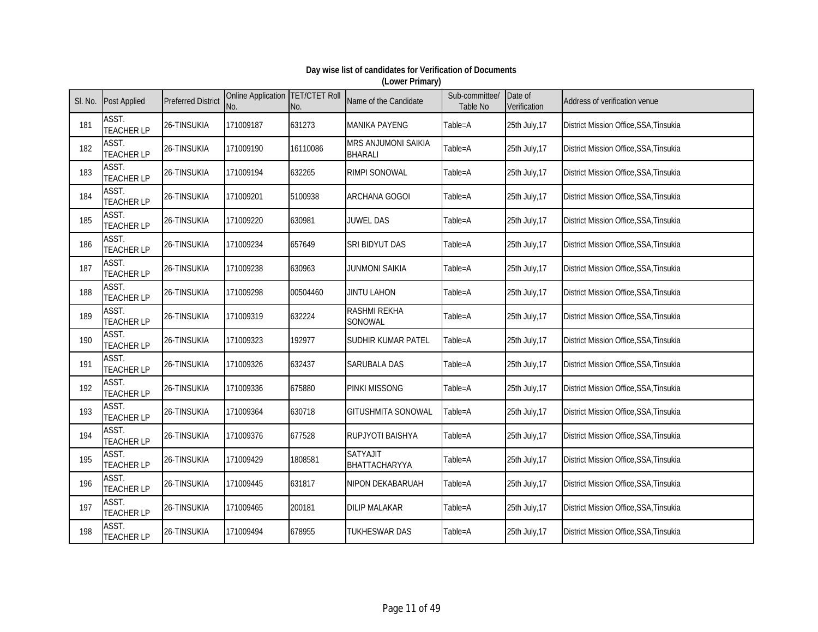| SI. No. | <b>Post Applied</b>        | <b>Preferred District</b> | Online Application TET/CTET Roll<br>No. | No.      | Name of the Candidate                        | Sub-committee/<br>Table No | Date of<br>Verification | Address of verification venue          |
|---------|----------------------------|---------------------------|-----------------------------------------|----------|----------------------------------------------|----------------------------|-------------------------|----------------------------------------|
| 181     | ASST.<br><b>TEACHER LP</b> | 26-TINSUKIA               | 171009187                               | 631273   | <b>MANIKA PAYENG</b>                         | Table=A                    | 25th July, 17           | District Mission Office, SSA, Tinsukia |
| 182     | ASST.<br><b>TEACHER LP</b> | 26-TINSUKIA               | 171009190                               | 16110086 | <b>MRS ANJUMONI SAIKIA</b><br><b>BHARALI</b> | Table=A                    | 25th July, 17           | District Mission Office, SSA, Tinsukia |
| 183     | ASST.<br><b>TEACHER LP</b> | 26-TINSUKIA               | 171009194                               | 632265   | RIMPI SONOWAL                                | Table=A                    | 25th July, 17           | District Mission Office, SSA, Tinsukia |
| 184     | ASST.<br><b>TEACHER LP</b> | 26-TINSUKIA               | 171009201                               | 5100938  | <b>ARCHANA GOGOI</b>                         | Table=A                    | 25th July, 17           | District Mission Office, SSA, Tinsukia |
| 185     | ASST.<br><b>TEACHER LP</b> | 26-TINSUKIA               | 171009220                               | 630981   | <b>JUWEL DAS</b>                             | Table=A                    | 25th July, 17           | District Mission Office, SSA, Tinsukia |
| 186     | ASST.<br><b>TEACHER LP</b> | 26-TINSUKIA               | 171009234                               | 657649   | SRI BIDYUT DAS                               | Table=A                    | 25th July, 17           | District Mission Office, SSA, Tinsukia |
| 187     | ASST.<br><b>TEACHER LP</b> | 26-TINSUKIA               | 171009238                               | 630963   | <b>JUNMONI SAIKIA</b>                        | Table=A                    | 25th July, 17           | District Mission Office, SSA, Tinsukia |
| 188     | ASST.<br><b>TEACHER LP</b> | 26-TINSUKIA               | 171009298                               | 00504460 | JINTU LAHON                                  | Table=A                    | 25th July, 17           | District Mission Office, SSA, Tinsukia |
| 189     | ASST.<br><b>TEACHER LP</b> | 26-TINSUKIA               | 171009319                               | 632224   | <b>RASHMI REKHA</b><br>SONOWAL               | Table=A                    | 25th July, 17           | District Mission Office, SSA, Tinsukia |
| 190     | ASST.<br><b>TEACHER LP</b> | 26-TINSUKIA               | 171009323                               | 192977   | SUDHIR KUMAR PATEL                           | Table=A                    | 25th July, 17           | District Mission Office, SSA, Tinsukia |
| 191     | ASST.<br><b>TEACHER LP</b> | 26-TINSUKIA               | 171009326                               | 632437   | <b>SARUBALA DAS</b>                          | Table=A                    | 25th July, 17           | District Mission Office, SSA, Tinsukia |
| 192     | ASST.<br><b>TEACHER LP</b> | 26-TINSUKIA               | 171009336                               | 675880   | PINKI MISSONG                                | Table=A                    | 25th July, 17           | District Mission Office, SSA, Tinsukia |
| 193     | ASST.<br><b>TEACHER LP</b> | 26-TINSUKIA               | 171009364                               | 630718   | <b>GITUSHMITA SONOWAL</b>                    | Table=A                    | 25th July, 17           | District Mission Office, SSA, Tinsukia |
| 194     | ASST.<br><b>TEACHER LP</b> | 26-TINSUKIA               | 171009376                               | 677528   | RUPJYOTI BAISHYA                             | Table=A                    | 25th July, 17           | District Mission Office, SSA, Tinsukia |
| 195     | ASST.<br><b>TEACHER LP</b> | 26-TINSUKIA               | 171009429                               | 1808581  | <b>SATYAJIT</b><br>BHATTACHARYYA             | Table=A                    | 25th July, 17           | District Mission Office, SSA, Tinsukia |
| 196     | ASST.<br><b>TEACHER LP</b> | 26-TINSUKIA               | 171009445                               | 631817   | NIPON DEKABARUAH                             | Table=A                    | 25th July, 17           | District Mission Office, SSA, Tinsukia |
| 197     | ASST.<br><b>TEACHER LP</b> | 26-TINSUKIA               | 171009465                               | 200181   | <b>DILIP MALAKAR</b>                         | Table=A                    | 25th July, 17           | District Mission Office, SSA, Tinsukia |
| 198     | ASST.<br><b>TEACHER LP</b> | 26-TINSUKIA               | 171009494                               | 678955   | <b>TUKHESWAR DAS</b>                         | Table=A                    | 25th July, 17           | District Mission Office, SSA, Tinsukia |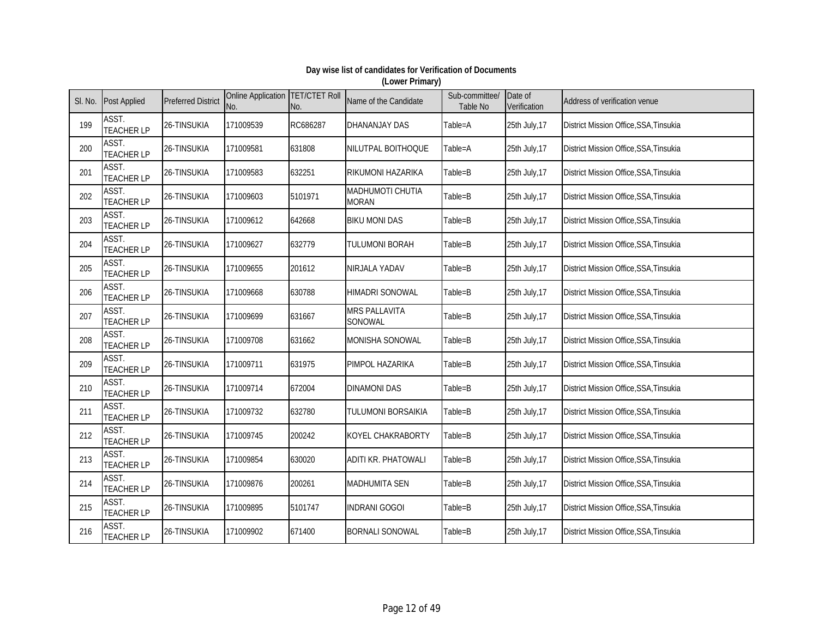| SI. No. | <b>Post Applied</b>        | <b>Preferred District</b> | Online Application   TET/CTET Roll<br>No. | No.      | Name of the Candidate            | Sub-committee/<br>Table No | Date of<br>Verification | Address of verification venue                 |
|---------|----------------------------|---------------------------|-------------------------------------------|----------|----------------------------------|----------------------------|-------------------------|-----------------------------------------------|
| 199     | ASST.<br><b>TEACHER LP</b> | 26-TINSUKIA               | 171009539                                 | RC686287 | <b>DHANANJAY DAS</b>             | Table=A                    | 25th July, 17           | District Mission Office, SSA, Tinsukia        |
| 200     | ASST.<br><b>TEACHER LP</b> | 26-TINSUKIA               | 171009581                                 | 631808   | NILUTPAL BOITHOQUE               | Table=A                    | 25th July, 17           | District Mission Office, SSA, Tinsukia        |
| 201     | ASST.<br><b>TEACHER LP</b> | 26-TINSUKIA               | 171009583                                 | 632251   | <b>RIKUMONI HAZARIKA</b>         | Table=B                    | 25th July, 17           | District Mission Office, SSA, Tinsukia        |
| 202     | ASST.<br><b>TEACHER LP</b> | 26-TINSUKIA               | 171009603                                 | 5101971  | MADHUMOTI CHUTIA<br><b>MORAN</b> | Table=B                    | 25th July, 17           | District Mission Office, SSA, Tinsukia        |
| 203     | ASST.<br><b>TEACHER LP</b> | 26-TINSUKIA               | 171009612                                 | 642668   | <b>BIKU MONI DAS</b>             | Table=B                    | 25th July, 17           | District Mission Office, SSA, Tinsukia        |
| 204     | ASST.<br><b>TEACHER LP</b> | 26-TINSUKIA               | 171009627                                 | 632779   | TULUMONI BORAH                   | Table=B                    | 25th July, 17           | District Mission Office, SSA, Tinsukia        |
| 205     | ASST.<br><b>TEACHER LP</b> | 26-TINSUKIA               | 171009655                                 | 201612   | NIRJALA YADAV                    | Table=B                    | 25th July, 17           | District Mission Office, SSA, Tinsukia        |
| 206     | ASST.<br><b>TEACHER LP</b> | 26-TINSUKIA               | 171009668                                 | 630788   | <b>HIMADRI SONOWAL</b>           | Table=B                    | 25th July, 17           | District Mission Office, SSA, Tinsukia        |
| 207     | ASST.<br><b>TEACHER LP</b> | 26-TINSUKIA               | 171009699                                 | 631667   | <b>MRS PALLAVITA</b><br>SONOWAL  | Table=B                    | 25th July, 17           | <b>District Mission Office, SSA, Tinsukia</b> |
| 208     | ASST.<br><b>TEACHER LP</b> | 26-TINSUKIA               | 171009708                                 | 631662   | MONISHA SONOWAL                  | Table=B                    | 25th July, 17           | District Mission Office, SSA, Tinsukia        |
| 209     | ASST.<br><b>TEACHER LP</b> | 26-TINSUKIA               | 171009711                                 | 631975   | PIMPOL HAZARIKA                  | Table=B                    | 25th July, 17           | District Mission Office, SSA, Tinsukia        |
| 210     | ASST.<br><b>TEACHER LP</b> | 26-TINSUKIA               | 171009714                                 | 672004   | <b>DINAMONI DAS</b>              | Table=B                    | 25th July, 17           | District Mission Office, SSA, Tinsukia        |
| 211     | ASST.<br><b>TEACHER LP</b> | 26-TINSUKIA               | 171009732                                 | 632780   | TULUMONI BORSAIKIA               | Table=B                    | 25th July, 17           | District Mission Office, SSA, Tinsukia        |
| 212     | ASST.<br><b>TEACHER LP</b> | 26-TINSUKIA               | 171009745                                 | 200242   | KOYEL CHAKRABORTY                | Table=B                    | 25th July, 17           | District Mission Office, SSA, Tinsukia        |
| 213     | ASST.<br><b>TEACHER LP</b> | 26-TINSUKIA               | 171009854                                 | 630020   | <b>ADITI KR. PHATOWALI</b>       | Table=B                    | 25th July, 17           | District Mission Office, SSA, Tinsukia        |
| 214     | ASST.<br><b>TEACHER LP</b> | 26-TINSUKIA               | 171009876                                 | 200261   | <b>MADHUMITA SEN</b>             | Table=B                    | 25th July, 17           | District Mission Office, SSA, Tinsukia        |
| 215     | ASST.<br><b>TEACHER LP</b> | 26-TINSUKIA               | 171009895                                 | 5101747  | <b>INDRANI GOGOI</b>             | Table=B                    | 25th July, 17           | District Mission Office, SSA, Tinsukia        |
| 216     | ASST.<br><b>TEACHER LP</b> | 26-TINSUKIA               | 171009902                                 | 671400   | <b>BORNALI SONOWAL</b>           | Table=B                    | 25th July, 17           | District Mission Office, SSA, Tinsukia        |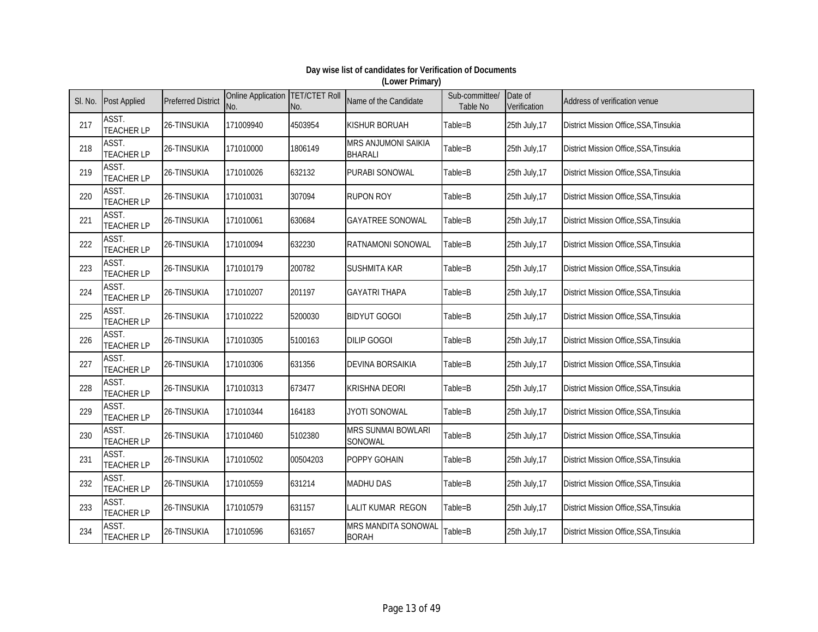| SI. No. | <b>Post Applied</b>        | <b>Preferred District</b> | Online Application TET/CTET Roll<br>No. | No.      | Name of the Candidate                 | Sub-committee/<br>Table No | Date of<br>Verification | Address of verification venue                 |
|---------|----------------------------|---------------------------|-----------------------------------------|----------|---------------------------------------|----------------------------|-------------------------|-----------------------------------------------|
| 217     | ASST.<br><b>TEACHER LP</b> | 26-TINSUKIA               | 171009940                               | 4503954  | <b>KISHUR BORUAH</b>                  | Table=B                    | 25th July, 17           | District Mission Office, SSA, Tinsukia        |
| 218     | ASST.<br><b>TEACHER LP</b> | 26-TINSUKIA               | 171010000                               | 1806149  | MRS ANJUMONI SAIKIA<br><b>BHARALI</b> | Table=B                    | 25th July, 17           | District Mission Office, SSA, Tinsukia        |
| 219     | ASST.<br><b>TEACHER LP</b> | 26-TINSUKIA               | 171010026                               | 632132   | PURABI SONOWAL                        | Table=B                    | 25th July, 17           | District Mission Office, SSA, Tinsukia        |
| 220     | ASST.<br><b>TEACHER LP</b> | 26-TINSUKIA               | 171010031                               | 307094   | <b>RUPON ROY</b>                      | Table=B                    | 25th July, 17           | District Mission Office, SSA, Tinsukia        |
| 221     | ASST.<br><b>TEACHER LP</b> | 26-TINSUKIA               | 171010061                               | 630684   | <b>GAYATREE SONOWAL</b>               | Table=B                    | 25th July, 17           | District Mission Office, SSA, Tinsukia        |
| 222     | ASST.<br><b>TEACHER LP</b> | 26-TINSUKIA               | 171010094                               | 632230   | RATNAMONI SONOWAL                     | Table=B                    | 25th July, 17           | District Mission Office, SSA, Tinsukia        |
| 223     | ASST.<br><b>TEACHER LP</b> | 26-TINSUKIA               | 171010179                               | 200782   | <b>SUSHMITA KAR</b>                   | Table=B                    | 25th July, 17           | District Mission Office, SSA, Tinsukia        |
| 224     | ASST.<br><b>TEACHER LP</b> | 26-TINSUKIA               | 171010207                               | 201197   | <b>GAYATRI THAPA</b>                  | Table=B                    | 25th July, 17           | <b>District Mission Office, SSA, Tinsukia</b> |
| 225     | ASST.<br><b>TEACHER LP</b> | 26-TINSUKIA               | 171010222                               | 5200030  | <b>BIDYUT GOGOI</b>                   | Table=B                    | 25th July, 17           | District Mission Office, SSA, Tinsukia        |
| 226     | ASST.<br><b>TEACHER LP</b> | 26-TINSUKIA               | 171010305                               | 5100163  | <b>DILIP GOGOI</b>                    | Table=B                    | 25th July, 17           | District Mission Office, SSA, Tinsukia        |
| 227     | ASST.<br><b>TEACHER LP</b> | 26-TINSUKIA               | 171010306                               | 631356   | <b>DEVINA BORSAIKIA</b>               | Table=B                    | 25th July, 17           | <b>District Mission Office, SSA, Tinsukia</b> |
| 228     | ASST.<br><b>TEACHER LP</b> | 26-TINSUKIA               | 171010313                               | 673477   | <b>KRISHNA DEORI</b>                  | Table=B                    | 25th July, 17           | District Mission Office, SSA, Tinsukia        |
| 229     | ASST.<br><b>TEACHER LP</b> | 26-TINSUKIA               | 171010344                               | 164183   | JYOTI SONOWAL                         | Table=B                    | 25th July, 17           | District Mission Office, SSA, Tinsukia        |
| 230     | ASST.<br><b>TEACHER LP</b> | 26-TINSUKIA               | 171010460                               | 5102380  | MRS SUNMAI BOWLARI<br>SONOWAL         | Table=B                    | 25th July, 17           | District Mission Office, SSA, Tinsukia        |
| 231     | ASST.<br><b>TEACHER LP</b> | 26-TINSUKIA               | 171010502                               | 00504203 | POPPY GOHAIN                          | Table=B                    | 25th July, 17           | District Mission Office, SSA, Tinsukia        |
| 232     | ASST.<br><b>TEACHER LP</b> | 26-TINSUKIA               | 171010559                               | 631214   | <b>MADHU DAS</b>                      | Table=B                    | 25th July, 17           | District Mission Office, SSA, Tinsukia        |
| 233     | ASST.<br><b>TEACHER LP</b> | 26-TINSUKIA               | 171010579                               | 631157   | LALIT KUMAR REGON                     | Table=B                    | 25th July, 17           | District Mission Office, SSA, Tinsukia        |
| 234     | ASST.<br><b>TEACHER LP</b> | 26-TINSUKIA               | 171010596                               | 631657   | MRS MANDITA SONOWAL<br><b>BORAH</b>   | Table=B                    | 25th July, 17           | District Mission Office, SSA, Tinsukia        |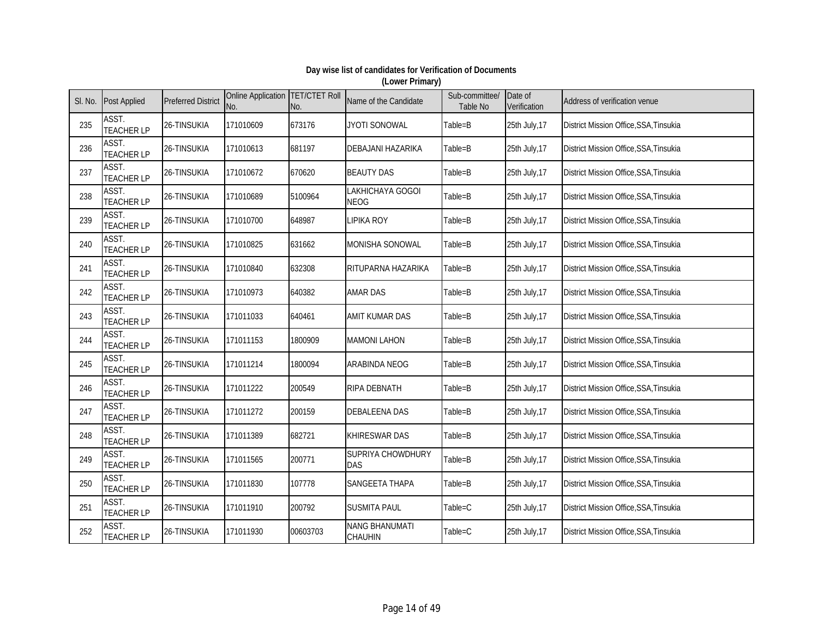| SI. No. | <b>Post Applied</b>        | <b>Preferred District</b> | Online Application TET/CTET Roll<br>No. | No.      | Name of the Candidate           | Sub-committee/<br>Table No | Date of<br>Verification | Address of verification venue          |
|---------|----------------------------|---------------------------|-----------------------------------------|----------|---------------------------------|----------------------------|-------------------------|----------------------------------------|
| 235     | ASST.<br><b>TEACHER LP</b> | 26-TINSUKIA               | 171010609                               | 673176   | <b>JYOTI SONOWAL</b>            | Table=B                    | 25th July, 17           | District Mission Office, SSA, Tinsukia |
| 236     | ASST.<br><b>TEACHER LP</b> | 26-TINSUKIA               | 171010613                               | 681197   | DEBAJANI HAZARIKA               | Table=B                    | 25th July, 17           | District Mission Office, SSA, Tinsukia |
| 237     | ASST.<br><b>TEACHER LP</b> | 26-TINSUKIA               | 171010672                               | 670620   | <b>BEAUTY DAS</b>               | Table=B                    | 25th July, 17           | District Mission Office, SSA, Tinsukia |
| 238     | ASST.<br><b>TEACHER LP</b> | 26-TINSUKIA               | 171010689                               | 5100964  | LAKHICHAYA GOGOI<br><b>NEOG</b> | Table=B                    | 25th July, 17           | District Mission Office, SSA, Tinsukia |
| 239     | ASST.<br><b>TEACHER LP</b> | 26-TINSUKIA               | 171010700                               | 648987   | <b>LIPIKA ROY</b>               | Table=B                    | 25th July, 17           | District Mission Office, SSA, Tinsukia |
| 240     | ASST.<br><b>TEACHER LP</b> | 26-TINSUKIA               | 171010825                               | 631662   | MONISHA SONOWAL                 | Table=B                    | 25th July, 17           | District Mission Office, SSA, Tinsukia |
| 241     | ASST.<br><b>TEACHER LP</b> | 26-TINSUKIA               | 171010840                               | 632308   | RITUPARNA HAZARIKA              | Table=B                    | 25th July, 17           | District Mission Office, SSA, Tinsukia |
| 242     | ASST.<br><b>TEACHER LP</b> | 26-TINSUKIA               | 171010973                               | 640382   | <b>AMAR DAS</b>                 | Table=B                    | 25th July, 17           | District Mission Office, SSA, Tinsukia |
| 243     | ASST.<br><b>TEACHER LP</b> | 26-TINSUKIA               | 171011033                               | 640461   | AMIT KUMAR DAS                  | Table=B                    | 25th July, 17           | District Mission Office, SSA, Tinsukia |
| 244     | ASST.<br><b>TEACHER LP</b> | 26-TINSUKIA               | 171011153                               | 1800909  | <b>MAMONI LAHON</b>             | Table=B                    | 25th July, 17           | District Mission Office, SSA, Tinsukia |
| 245     | ASST.<br><b>TEACHER LP</b> | 26-TINSUKIA               | 171011214                               | 1800094  | ARABINDA NEOG                   | Table=B                    | 25th July, 17           | District Mission Office, SSA, Tinsukia |
| 246     | ASST.<br><b>TEACHER LP</b> | 26-TINSUKIA               | 171011222                               | 200549   | <b>RIPA DEBNATH</b>             | Table=B                    | 25th July, 17           | District Mission Office, SSA, Tinsukia |
| 247     | ASST.<br><b>TEACHER LP</b> | 26-TINSUKIA               | 171011272                               | 200159   | <b>DEBALEENA DAS</b>            | Table=B                    | 25th July, 17           | District Mission Office, SSA, Tinsukia |
| 248     | ASST.<br><b>TEACHER LP</b> | 26-TINSUKIA               | 171011389                               | 682721   | <b>KHIRESWAR DAS</b>            | Table=B                    | 25th July, 17           | District Mission Office, SSA, Tinsukia |
| 249     | ASST.<br><b>TEACHER LP</b> | 26-TINSUKIA               | 171011565                               | 200771   | SUPRIYA CHOWDHURY<br><b>DAS</b> | Table=B                    | 25th July, 17           | District Mission Office, SSA, Tinsukia |
| 250     | ASST.<br><b>TEACHER LP</b> | 26-TINSUKIA               | 171011830                               | 107778   | SANGEETA THAPA                  | Table=B                    | 25th July, 17           | District Mission Office, SSA, Tinsukia |
| 251     | ASST.<br><b>TEACHER LP</b> | 26-TINSUKIA               | 171011910                               | 200792   | <b>SUSMITA PAUL</b>             | Table=C                    | 25th July, 17           | District Mission Office, SSA, Tinsukia |
| 252     | ASST.<br><b>TEACHER LP</b> | 26-TINSUKIA               | 171011930                               | 00603703 | NANG BHANUMATI<br>CHAUHIN       | Table=C                    | 25th July, 17           | District Mission Office, SSA, Tinsukia |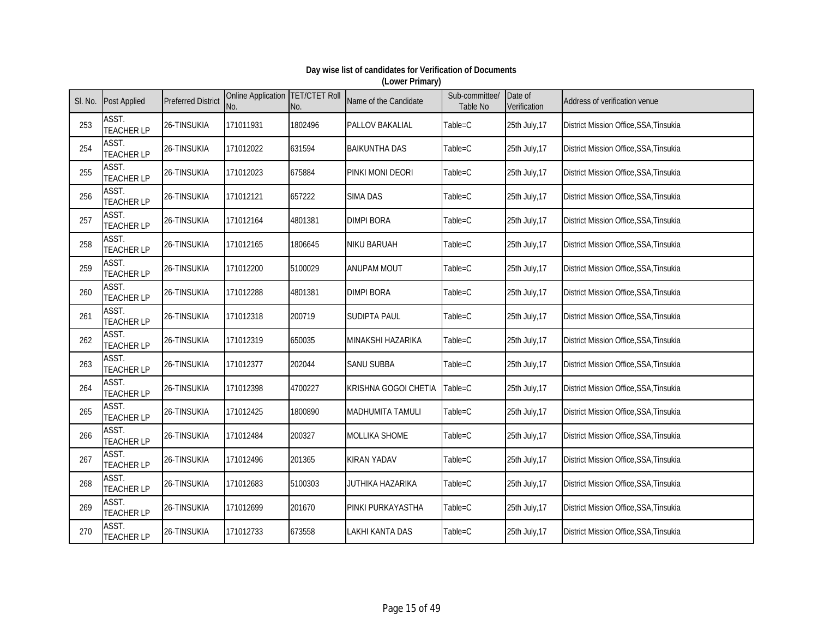| SI. No. | <b>Post Applied</b>        | <b>Preferred District</b> | Online Application   TET/CTET Roll<br>No. | No.     | Name of the Candidate   | Sub-committee/<br>Table No | Date of<br>Verification | Address of verification venue                 |
|---------|----------------------------|---------------------------|-------------------------------------------|---------|-------------------------|----------------------------|-------------------------|-----------------------------------------------|
| 253     | ASST.<br><b>TEACHER LP</b> | 26-TINSUKIA               | 171011931                                 | 1802496 | PALLOV BAKALIAL         | Table=C                    | 25th July, 17           | District Mission Office, SSA, Tinsukia        |
| 254     | ASST.<br><b>TEACHER LP</b> | 26-TINSUKIA               | 171012022                                 | 631594  | <b>BAIKUNTHA DAS</b>    | Table=C                    | 25th July, 17           | District Mission Office, SSA, Tinsukia        |
| 255     | ASST.<br><b>TEACHER LP</b> | 26-TINSUKIA               | 171012023                                 | 675884  | PINKI MONI DEORI        | Table=C                    | 25th July, 17           | District Mission Office, SSA, Tinsukia        |
| 256     | ASST.<br><b>TEACHER LP</b> | 26-TINSUKIA               | 171012121                                 | 657222  | <b>SIMA DAS</b>         | Table=C                    | 25th July, 17           | District Mission Office, SSA, Tinsukia        |
| 257     | ASST.<br><b>TEACHER LP</b> | 26-TINSUKIA               | 171012164                                 | 4801381 | <b>DIMPI BORA</b>       | Table=C                    | 25th July, 17           | District Mission Office, SSA, Tinsukia        |
| 258     | ASST.<br><b>TEACHER LP</b> | 26-TINSUKIA               | 171012165                                 | 1806645 | NIKU BARUAH             | Table=C                    | 25th July, 17           | District Mission Office, SSA, Tinsukia        |
| 259     | ASST.<br><b>TEACHER LP</b> | 26-TINSUKIA               | 171012200                                 | 5100029 | <b>ANUPAM MOUT</b>      | Table=C                    | 25th July, 17           | District Mission Office, SSA, Tinsukia        |
| 260     | ASST.<br><b>TEACHER LP</b> | 26-TINSUKIA               | 171012288                                 | 4801381 | <b>DIMPI BORA</b>       | Table=C                    | 25th July, 17           | District Mission Office, SSA, Tinsukia        |
| 261     | ASST.<br><b>TEACHER LP</b> | 26-TINSUKIA               | 171012318                                 | 200719  | <b>SUDIPTA PAUL</b>     | Table=C                    | 25th July, 17           | District Mission Office, SSA, Tinsukia        |
| 262     | ASST.<br><b>TEACHER LP</b> | 26-TINSUKIA               | 171012319                                 | 650035  | MINAKSHI HAZARIKA       | $Table = C$                | 25th July, 17           | District Mission Office, SSA, Tinsukia        |
| 263     | ASST.<br><b>TEACHER LP</b> | 26-TINSUKIA               | 171012377                                 | 202044  | <b>SANU SUBBA</b>       | Table=C                    | 25th July, 17           | <b>District Mission Office, SSA, Tinsukia</b> |
| 264     | ASST.<br><b>TEACHER LP</b> | 26-TINSUKIA               | 171012398                                 | 4700227 | KRISHNA GOGOI CHETIA    | Table=C                    | 25th July, 17           | District Mission Office, SSA, Tinsukia        |
| 265     | ASST.<br><b>TEACHER LP</b> | 26-TINSUKIA               | 171012425                                 | 1800890 | <b>MADHUMITA TAMULI</b> | Table=C                    | 25th July, 17           | District Mission Office, SSA, Tinsukia        |
| 266     | ASST.<br><b>TEACHER LP</b> | 26-TINSUKIA               | 171012484                                 | 200327  | MOLLIKA SHOME           | Table=C                    | 25th July, 17           | District Mission Office, SSA, Tinsukia        |
| 267     | ASST.<br><b>TEACHER LP</b> | 26-TINSUKIA               | 171012496                                 | 201365  | <b>KIRAN YADAV</b>      | Table=C                    | 25th July, 17           | District Mission Office, SSA, Tinsukia        |
| 268     | ASST.<br><b>TEACHER LP</b> | 26-TINSUKIA               | 171012683                                 | 5100303 | JUTHIKA HAZARIKA        | Table=C                    | 25th July, 17           | District Mission Office, SSA, Tinsukia        |
| 269     | ASST.<br><b>TEACHER LP</b> | 26-TINSUKIA               | 171012699                                 | 201670  | PINKI PURKAYASTHA       | Table=C                    | 25th July, 17           | District Mission Office, SSA, Tinsukia        |
| 270     | ASST.<br><b>TEACHER LP</b> | 26-TINSUKIA               | 171012733                                 | 673558  | <b>LAKHI KANTA DAS</b>  | Table=C                    | 25th July, 17           | District Mission Office, SSA, Tinsukia        |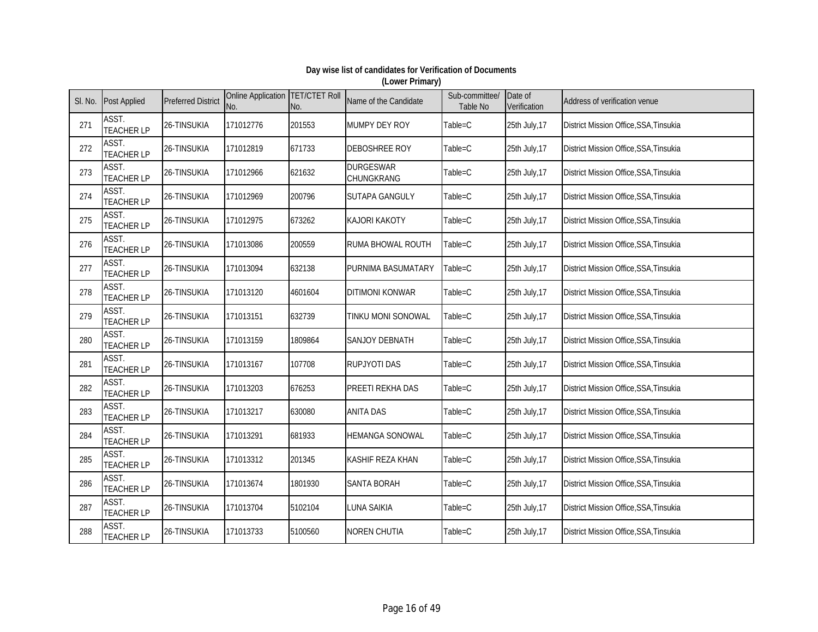| SI. No. | <b>Post Applied</b>        | <b>Preferred District</b> | Online Application TET/CTET Roll<br>No. | No.     | Name of the Candidate          | Sub-committee/<br><b>Table No</b> | Date of<br>Verification | Address of verification venue          |
|---------|----------------------------|---------------------------|-----------------------------------------|---------|--------------------------------|-----------------------------------|-------------------------|----------------------------------------|
| 271     | ASST.<br><b>TEACHER LP</b> | 26-TINSUKIA               | 171012776                               | 201553  | MUMPY DEY ROY                  | Table=C                           | 25th July, 17           | District Mission Office, SSA, Tinsukia |
| 272     | ASST.<br><b>TEACHER LP</b> | 26-TINSUKIA               | 171012819                               | 671733  | <b>DEBOSHREE ROY</b>           | Table=C                           | 25th July, 17           | District Mission Office, SSA, Tinsukia |
| 273     | ASST.<br><b>TEACHER LP</b> | 26-TINSUKIA               | 171012966                               | 621632  | <b>DURGESWAR</b><br>CHUNGKRANG | Table=C                           | 25th July, 17           | District Mission Office, SSA, Tinsukia |
| 274     | ASST.<br><b>TEACHER LP</b> | 26-TINSUKIA               | 171012969                               | 200796  | SUTAPA GANGULY                 | Table=C                           | 25th July, 17           | District Mission Office, SSA, Tinsukia |
| 275     | ASST.<br><b>TEACHER LP</b> | 26-TINSUKIA               | 171012975                               | 673262  | <b>KAJORI KAKOTY</b>           | Table=C                           | 25th July, 17           | District Mission Office, SSA, Tinsukia |
| 276     | ASST.<br><b>TEACHER LP</b> | 26-TINSUKIA               | 171013086                               | 200559  | RUMA BHOWAL ROUTH              | Table=C                           | 25th July, 17           | District Mission Office, SSA, Tinsukia |
| 277     | ASST.<br><b>TEACHER LP</b> | 26-TINSUKIA               | 171013094                               | 632138  | PURNIMA BASUMATARY             | Table=C                           | 25th July, 17           | District Mission Office, SSA, Tinsukia |
| 278     | ASST.<br><b>TEACHER LP</b> | 26-TINSUKIA               | 171013120                               | 4601604 | <b>DITIMONI KONWAR</b>         | Table=C                           | 25th July, 17           | District Mission Office, SSA, Tinsukia |
| 279     | ASST.<br><b>TEACHER LP</b> | 26-TINSUKIA               | 171013151                               | 632739  | TINKU MONI SONOWAL             | $Table = C$                       | 25th July, 17           | District Mission Office, SSA, Tinsukia |
| 280     | ASST.<br><b>TEACHER LP</b> | 26-TINSUKIA               | 171013159                               | 1809864 | SANJOY DEBNATH                 | Table=C                           | 25th July, 17           | District Mission Office, SSA, Tinsukia |
| 281     | ASST.<br><b>TEACHER LP</b> | 26-TINSUKIA               | 171013167                               | 107708  | <b>RUPJYOTI DAS</b>            | Table=C                           | 25th July, 17           | District Mission Office, SSA, Tinsukia |
| 282     | ASST.<br><b>TEACHER LP</b> | 26-TINSUKIA               | 171013203                               | 676253  | PREETI REKHA DAS               | Table=C                           | 25th July, 17           | District Mission Office, SSA, Tinsukia |
| 283     | ASST.<br><b>TEACHER LP</b> | 26-TINSUKIA               | 171013217                               | 630080  | <b>ANITA DAS</b>               | Table=C                           | 25th July, 17           | District Mission Office, SSA, Tinsukia |
| 284     | ASST.<br><b>TEACHER LP</b> | 26-TINSUKIA               | 171013291                               | 681933  | <b>HEMANGA SONOWAL</b>         | Table=C                           | 25th July, 17           | District Mission Office, SSA, Tinsukia |
| 285     | ASST.<br><b>TEACHER LP</b> | 26-TINSUKIA               | 171013312                               | 201345  | KASHIF REZA KHAN               | Table=C                           | 25th July, 17           | District Mission Office, SSA, Tinsukia |
| 286     | ASST.<br><b>TEACHER LP</b> | 26-TINSUKIA               | 171013674                               | 1801930 | <b>SANTA BORAH</b>             | Table=C                           | 25th July, 17           | District Mission Office, SSA, Tinsukia |
| 287     | ASST.<br><b>TEACHER LP</b> | 26-TINSUKIA               | 171013704                               | 5102104 | LUNA SAIKIA                    | Table=C                           | 25th July, 17           | District Mission Office, SSA, Tinsukia |
| 288     | ASST.<br><b>TEACHER LP</b> | 26-TINSUKIA               | 171013733                               | 5100560 | <b>NOREN CHUTIA</b>            | Table=C                           | 25th July, 17           | District Mission Office, SSA, Tinsukia |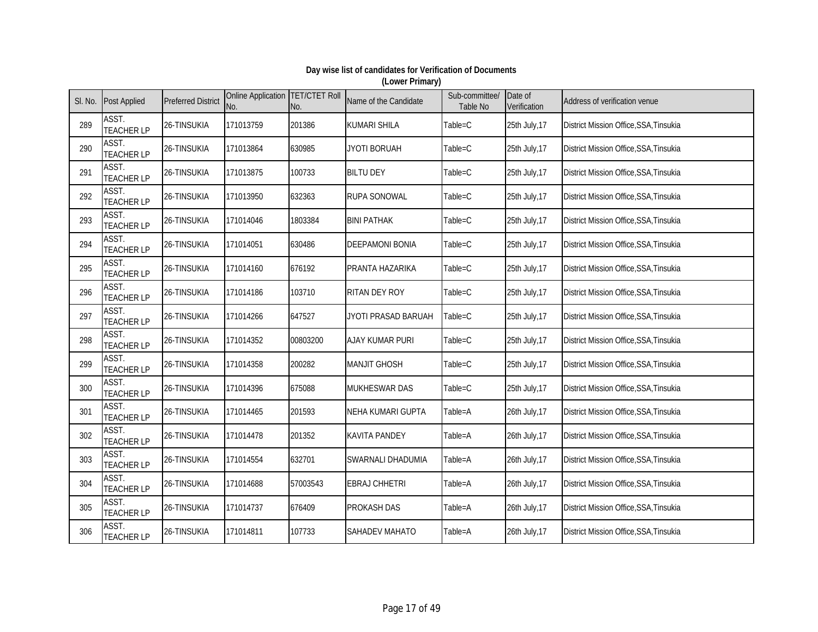| SI. No. | <b>Post Applied</b>        | <b>Preferred District</b> | Online Application TET/CTET Roll<br>No. | No.      | Name of the Candidate    | Sub-committee/<br>Table No | Date of<br>Verification | Address of verification venue          |
|---------|----------------------------|---------------------------|-----------------------------------------|----------|--------------------------|----------------------------|-------------------------|----------------------------------------|
| 289     | ASST.<br><b>TEACHER LP</b> | 26-TINSUKIA               | 171013759                               | 201386   | <b>KUMARI SHILA</b>      | Table=C                    | 25th July, 17           | District Mission Office, SSA, Tinsukia |
| 290     | ASST.<br><b>TEACHER LP</b> | 26-TINSUKIA               | 171013864                               | 630985   | JYOTI BORUAH             | Table=C                    | 25th July, 17           | District Mission Office, SSA, Tinsukia |
| 291     | ASST.<br><b>TEACHER LP</b> | 26-TINSUKIA               | 171013875                               | 100733   | <b>BILTU DEY</b>         | Table=C                    | 25th July, 17           | District Mission Office, SSA, Tinsukia |
| 292     | ASST.<br><b>TEACHER LP</b> | 26-TINSUKIA               | 171013950                               | 632363   | <b>RUPA SONOWAL</b>      | Table=C                    | 25th July, 17           | District Mission Office, SSA, Tinsukia |
| 293     | ASST.<br><b>TEACHER LP</b> | 26-TINSUKIA               | 171014046                               | 1803384  | <b>BINI PATHAK</b>       | Table=C                    | 25th July, 17           | District Mission Office, SSA, Tinsukia |
| 294     | ASST.<br><b>TEACHER LP</b> | 26-TINSUKIA               | 171014051                               | 630486   | <b>DEEPAMONI BONIA</b>   | Table=C                    | 25th July, 17           | District Mission Office, SSA, Tinsukia |
| 295     | ASST.<br><b>TEACHER LP</b> | 26-TINSUKIA               | 171014160                               | 676192   | PRANTA HAZARIKA          | Table=C                    | 25th July, 17           | District Mission Office, SSA, Tinsukia |
| 296     | ASST.<br><b>TEACHER LP</b> | 26-TINSUKIA               | 171014186                               | 103710   | RITAN DEY ROY            | Table=C                    | 25th July, 17           | District Mission Office, SSA, Tinsukia |
| 297     | ASST.<br><b>TEACHER LP</b> | 26-TINSUKIA               | 171014266                               | 647527   | JYOTI PRASAD BARUAH      | Table=C                    | 25th July, 17           | District Mission Office, SSA, Tinsukia |
| 298     | ASST.<br><b>TEACHER LP</b> | 26-TINSUKIA               | 171014352                               | 00803200 | <b>AJAY KUMAR PURI</b>   | Table=C                    | 25th July, 17           | District Mission Office, SSA, Tinsukia |
| 299     | ASST.<br><b>TEACHER LP</b> | 26-TINSUKIA               | 171014358                               | 200282   | <b>MANJIT GHOSH</b>      | Table=C                    | 25th July, 17           | District Mission Office, SSA, Tinsukia |
| 300     | ASST.<br><b>TEACHER LP</b> | 26-TINSUKIA               | 171014396                               | 675088   | MUKHESWAR DAS            | Table=C                    | 25th July, 17           | District Mission Office, SSA, Tinsukia |
| 301     | ASST.<br><b>TEACHER LP</b> | 26-TINSUKIA               | 171014465                               | 201593   | <b>NEHA KUMARI GUPTA</b> | Table=A                    | 26th July, 17           | District Mission Office, SSA, Tinsukia |
| 302     | ASST.<br><b>TEACHER LP</b> | 26-TINSUKIA               | 171014478                               | 201352   | <b>KAVITA PANDEY</b>     | Table=A                    | 26th July, 17           | District Mission Office, SSA, Tinsukia |
| 303     | ASST.<br><b>TEACHER LP</b> | 26-TINSUKIA               | 171014554                               | 632701   | <b>SWARNALI DHADUMIA</b> | Table=A                    | 26th July, 17           | District Mission Office, SSA, Tinsukia |
| 304     | ASST.<br><b>TEACHER LP</b> | 26-TINSUKIA               | 171014688                               | 57003543 | <b>EBRAJ CHHETRI</b>     | Table=A                    | 26th July, 17           | District Mission Office, SSA, Tinsukia |
| 305     | ASST.<br><b>TEACHER LP</b> | 26-TINSUKIA               | 171014737                               | 676409   | <b>PROKASH DAS</b>       | Table=A                    | 26th July, 17           | District Mission Office, SSA, Tinsukia |
| 306     | ASST.<br><b>TEACHER LP</b> | 26-TINSUKIA               | 171014811                               | 107733   | SAHADEV MAHATO           | Table=A                    | 26th July, 17           | District Mission Office, SSA, Tinsukia |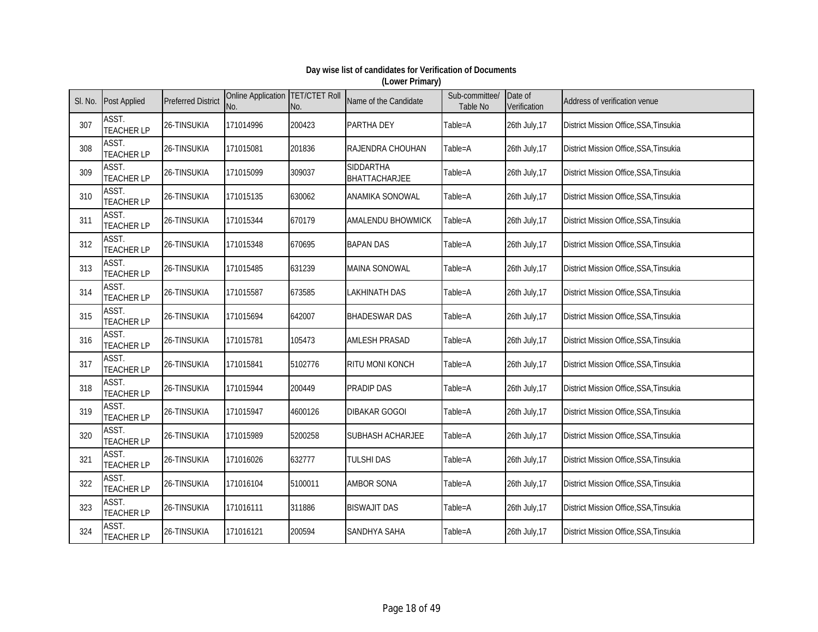| SI. No. | <b>Post Applied</b>        | <b>Preferred District</b> | Online Application TET/CTET Roll<br>No. | No.     | Name of the Candidate                    | Sub-committee/<br>Table No | Date of<br>Verification | Address of verification venue          |
|---------|----------------------------|---------------------------|-----------------------------------------|---------|------------------------------------------|----------------------------|-------------------------|----------------------------------------|
| 307     | ASST.<br><b>TEACHER LP</b> | 26-TINSUKIA               | 171014996                               | 200423  | PARTHA DEY                               | Table=A                    | 26th July, 17           | District Mission Office, SSA, Tinsukia |
| 308     | ASST.<br><b>TEACHER LP</b> | 26-TINSUKIA               | 171015081                               | 201836  | RAJENDRA CHOUHAN                         | Table=A                    | 26th July, 17           | District Mission Office, SSA, Tinsukia |
| 309     | ASST.<br><b>TEACHER LP</b> | 26-TINSUKIA               | 171015099                               | 309037  | <b>SIDDARTHA</b><br><b>BHATTACHARJEE</b> | Table=A                    | 26th July, 17           | District Mission Office, SSA, Tinsukia |
| 310     | ASST.<br><b>TEACHER LP</b> | 26-TINSUKIA               | 171015135                               | 630062  | <b>ANAMIKA SONOWAL</b>                   | Table=A                    | 26th July, 17           | District Mission Office, SSA, Tinsukia |
| 311     | ASST.<br><b>TEACHER LP</b> | 26-TINSUKIA               | 171015344                               | 670179  | <b>AMALENDU BHOWMICK</b>                 | Table=A                    | 26th July, 17           | District Mission Office, SSA, Tinsukia |
| 312     | ASST.<br><b>TEACHER LP</b> | 26-TINSUKIA               | 171015348                               | 670695  | <b>BAPAN DAS</b>                         | Table=A                    | 26th July, 17           | District Mission Office, SSA, Tinsukia |
| 313     | ASST.<br><b>TEACHER LP</b> | 26-TINSUKIA               | 171015485                               | 631239  | MAINA SONOWAL                            | Table=A                    | 26th July, 17           | District Mission Office, SSA, Tinsukia |
| 314     | ASST.<br><b>TEACHER LP</b> | 26-TINSUKIA               | 171015587                               | 673585  | LAKHINATH DAS                            | Table=A                    | 26th July, 17           | District Mission Office, SSA, Tinsukia |
| 315     | ASST.<br><b>TEACHER LP</b> | 26-TINSUKIA               | 171015694                               | 642007  | <b>BHADESWAR DAS</b>                     | Table=A                    | 26th July, 17           | District Mission Office, SSA, Tinsukia |
| 316     | ASST.<br><b>TEACHER LP</b> | 26-TINSUKIA               | 171015781                               | 105473  | <b>AMLESH PRASAD</b>                     | Table=A                    | 26th July, 17           | District Mission Office, SSA, Tinsukia |
| 317     | ASST.<br><b>TEACHER LP</b> | 26-TINSUKIA               | 171015841                               | 5102776 | <b>RITU MONI KONCH</b>                   | Table=A                    | 26th July, 17           | District Mission Office, SSA, Tinsukia |
| 318     | ASST.<br><b>TEACHER LP</b> | 26-TINSUKIA               | 171015944                               | 200449  | <b>PRADIP DAS</b>                        | Table=A                    | 26th July, 17           | District Mission Office, SSA, Tinsukia |
| 319     | ASST.<br><b>TEACHER LP</b> | 26-TINSUKIA               | 171015947                               | 4600126 | <b>DIBAKAR GOGOI</b>                     | Table=A                    | 26th July, 17           | District Mission Office, SSA, Tinsukia |
| 320     | ASST.<br><b>TEACHER LP</b> | 26-TINSUKIA               | 171015989                               | 5200258 | <b>SUBHASH ACHARJEE</b>                  | Table=A                    | 26th July, 17           | District Mission Office, SSA, Tinsukia |
| 321     | ASST.<br><b>TEACHER LP</b> | 26-TINSUKIA               | 171016026                               | 632777  | TULSHI DAS                               | Table=A                    | 26th July, 17           | District Mission Office, SSA, Tinsukia |
| 322     | ASST.<br><b>TEACHER LP</b> | 26-TINSUKIA               | 171016104                               | 5100011 | <b>AMBOR SONA</b>                        | Table=A                    | 26th July, 17           | District Mission Office, SSA, Tinsukia |
| 323     | ASST.<br><b>TEACHER LP</b> | 26-TINSUKIA               | 171016111                               | 311886  | <b>BISWAJIT DAS</b>                      | Table=A                    | 26th July, 17           | District Mission Office, SSA, Tinsukia |
| 324     | ASST.<br><b>TEACHER LP</b> | 26-TINSUKIA               | 171016121                               | 200594  | SANDHYA SAHA                             | Table=A                    | 26th July, 17           | District Mission Office, SSA, Tinsukia |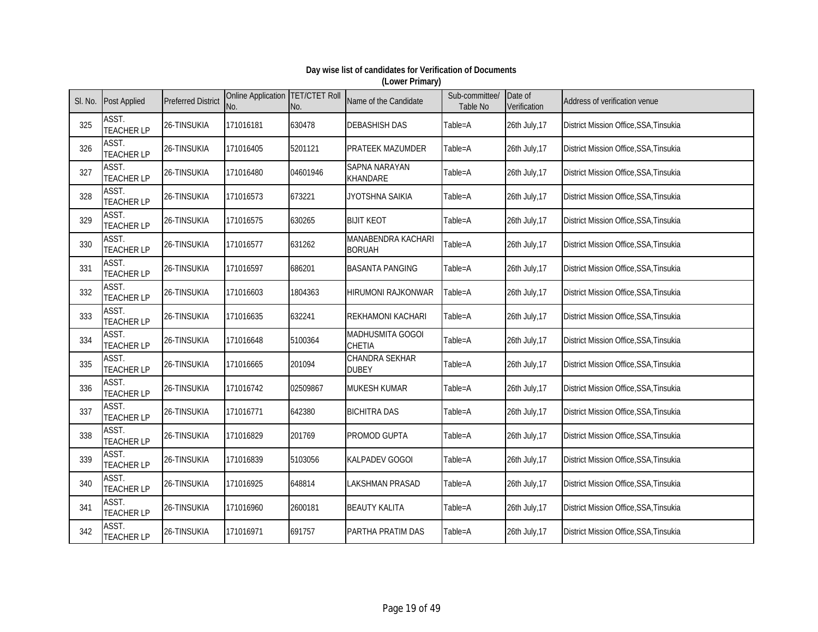| SI. No. | <b>Post Applied</b>        | <b>Preferred District</b> | Online Application   TET/CTET Roll<br>No. | No.      | Name of the Candidate               | Sub-committee/<br>Table No | Date of<br>Verification | Address of verification venue                 |
|---------|----------------------------|---------------------------|-------------------------------------------|----------|-------------------------------------|----------------------------|-------------------------|-----------------------------------------------|
| 325     | ASST.<br><b>TEACHER LP</b> | 26-TINSUKIA               | 171016181                                 | 630478   | <b>DEBASHISH DAS</b>                | Table=A                    | 26th July, 17           | District Mission Office, SSA, Tinsukia        |
| 326     | ASST.<br><b>TEACHER LP</b> | 26-TINSUKIA               | 171016405                                 | 5201121  | <b>PRATEEK MAZUMDER</b>             | Table=A                    | 26th July, 17           | District Mission Office, SSA, Tinsukia        |
| 327     | ASST.<br><b>TEACHER LP</b> | 26-TINSUKIA               | 171016480                                 | 04601946 | SAPNA NARAYAN<br><b>KHANDARE</b>    | Table=A                    | 26th July, 17           | District Mission Office, SSA, Tinsukia        |
| 328     | ASST.<br><b>TEACHER LP</b> | 26-TINSUKIA               | 171016573                                 | 673221   | JYOTSHNA SAIKIA                     | Table=A                    | 26th July, 17           | District Mission Office, SSA, Tinsukia        |
| 329     | ASST.<br><b>TEACHER LP</b> | 26-TINSUKIA               | 171016575                                 | 630265   | <b>BIJIT KEOT</b>                   | Table=A                    | 26th July, 17           | District Mission Office, SSA, Tinsukia        |
| 330     | ASST.<br><b>TEACHER LP</b> | 26-TINSUKIA               | 171016577                                 | 631262   | MANABENDRA KACHARI<br><b>BORUAH</b> | Table=A                    | 26th July, 17           | District Mission Office, SSA, Tinsukia        |
| 331     | ASST.<br><b>TEACHER LP</b> | 26-TINSUKIA               | 171016597                                 | 686201   | <b>BASANTA PANGING</b>              | Table=A                    | 26th July, 17           | District Mission Office, SSA, Tinsukia        |
| 332     | ASST.<br><b>TEACHER LP</b> | 26-TINSUKIA               | 171016603                                 | 1804363  | HIRUMONI RAJKONWAR                  | Table=A                    | 26th July, 17           | District Mission Office, SSA, Tinsukia        |
| 333     | ASST.<br><b>TEACHER LP</b> | 26-TINSUKIA               | 171016635                                 | 632241   | <b>REKHAMONI KACHARI</b>            | Table=A                    | 26th July, 17           | District Mission Office, SSA, Tinsukia        |
| 334     | ASST.<br><b>TEACHER LP</b> | 26-TINSUKIA               | 171016648                                 | 5100364  | MADHUSMITA GOGOI<br>CHETIA          | Table=A                    | 26th July, 17           | District Mission Office, SSA, Tinsukia        |
| 335     | ASST.<br><b>TEACHER LP</b> | 26-TINSUKIA               | 171016665                                 | 201094   | CHANDRA SEKHAR<br><b>DUBEY</b>      | Table=A                    | 26th July, 17           | <b>District Mission Office, SSA, Tinsukia</b> |
| 336     | ASST.<br><b>TEACHER LP</b> | 26-TINSUKIA               | 171016742                                 | 02509867 | MUKESH KUMAR                        | Table=A                    | 26th July, 17           | District Mission Office, SSA, Tinsukia        |
| 337     | ASST.<br><b>TEACHER LP</b> | 26-TINSUKIA               | 171016771                                 | 642380   | <b>BICHITRA DAS</b>                 | Table=A                    | 26th July, 17           | District Mission Office, SSA, Tinsukia        |
| 338     | ASST.<br><b>TEACHER LP</b> | 26-TINSUKIA               | 171016829                                 | 201769   | PROMOD GUPTA                        | Table=A                    | 26th July, 17           | District Mission Office, SSA, Tinsukia        |
| 339     | ASST.<br><b>TEACHER LP</b> | 26-TINSUKIA               | 171016839                                 | 5103056  | <b>KALPADEV GOGOI</b>               | Table=A                    | 26th July, 17           | District Mission Office, SSA, Tinsukia        |
| 340     | ASST.<br><b>TEACHER LP</b> | 26-TINSUKIA               | 171016925                                 | 648814   | <b>LAKSHMAN PRASAD</b>              | Table=A                    | 26th July, 17           | District Mission Office, SSA, Tinsukia        |
| 341     | ASST.<br><b>TEACHER LP</b> | 26-TINSUKIA               | 171016960                                 | 2600181  | <b>BEAUTY KALITA</b>                | Table=A                    | 26th July, 17           | District Mission Office, SSA, Tinsukia        |
| 342     | ASST.<br><b>TEACHER LP</b> | 26-TINSUKIA               | 171016971                                 | 691757   | PARTHA PRATIM DAS                   | Table=A                    | 26th July, 17           | District Mission Office, SSA, Tinsukia        |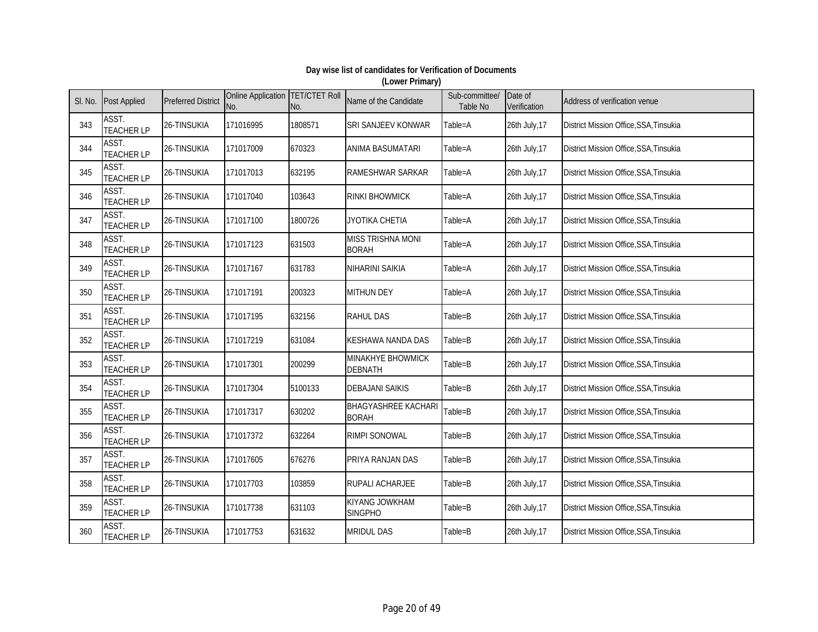| SI. No. | <b>Post Applied</b>        | <b>Preferred District</b> | Online Application TET/CTET Roll<br>No. | No.     | Name of the Candidate                      | Sub-committee/<br>Table No | Date of<br>Verification | Address of verification venue          |
|---------|----------------------------|---------------------------|-----------------------------------------|---------|--------------------------------------------|----------------------------|-------------------------|----------------------------------------|
| 343     | ASST.<br><b>TEACHER LP</b> | 26-TINSUKIA               | 171016995                               | 1808571 | SRI SANJEEV KONWAR                         | Table=A                    | 26th July, 17           | District Mission Office, SSA, Tinsukia |
| 344     | ASST.<br><b>TEACHER LP</b> | 26-TINSUKIA               | 171017009                               | 670323  | <b>ANIMA BASUMATARI</b>                    | Table=A                    | 26th July, 17           | District Mission Office, SSA, Tinsukia |
| 345     | ASST.<br><b>TEACHER LP</b> | 26-TINSUKIA               | 171017013                               | 632195  | <b>RAMESHWAR SARKAR</b>                    | Table=A                    | 26th July, 17           | District Mission Office, SSA, Tinsukia |
| 346     | ASST.<br><b>TEACHER LP</b> | 26-TINSUKIA               | 171017040                               | 103643  | <b>RINKI BHOWMICK</b>                      | Table=A                    | 26th July, 17           | District Mission Office, SSA, Tinsukia |
| 347     | ASST.<br><b>TEACHER LP</b> | 26-TINSUKIA               | 171017100                               | 1800726 | <b>JYOTIKA CHETIA</b>                      | Table=A                    | 26th July, 17           | District Mission Office, SSA, Tinsukia |
| 348     | ASST.<br><b>TEACHER LP</b> | 26-TINSUKIA               | 171017123                               | 631503  | MISS TRISHNA MONI<br><b>BORAH</b>          | Table=A                    | 26th July, 17           | District Mission Office, SSA, Tinsukia |
| 349     | ASST.<br><b>TEACHER LP</b> | 26-TINSUKIA               | 171017167                               | 631783  | NIHARINI SAIKIA                            | Table=A                    | 26th July, 17           | District Mission Office, SSA, Tinsukia |
| 350     | ASST.<br><b>TEACHER LP</b> | 26-TINSUKIA               | 171017191                               | 200323  | <b>MITHUN DEY</b>                          | Table=A                    | 26th July, 17           | District Mission Office, SSA, Tinsukia |
| 351     | ASST.<br><b>TEACHER LP</b> | 26-TINSUKIA               | 171017195                               | 632156  | <b>RAHUL DAS</b>                           | Table=B                    | 26th July, 17           | District Mission Office, SSA, Tinsukia |
| 352     | ASST.<br><b>TEACHER LP</b> | 26-TINSUKIA               | 171017219                               | 631084  | KESHAWA NANDA DAS                          | Table=B                    | 26th July, 17           | District Mission Office, SSA, Tinsukia |
| 353     | ASST.<br><b>TEACHER LP</b> | 26-TINSUKIA               | 171017301                               | 200299  | MINAKHYE BHOWMICK<br><b>DEBNATH</b>        | Table=B                    | 26th July, 17           | District Mission Office, SSA, Tinsukia |
| 354     | ASST.<br><b>TEACHER LP</b> | 26-TINSUKIA               | 171017304                               | 5100133 | <b>DEBAJANI SAIKIS</b>                     | Table=B                    | 26th July, 17           | District Mission Office, SSA, Tinsukia |
| 355     | ASST.<br><b>TEACHER LP</b> | 26-TINSUKIA               | 171017317                               | 630202  | <b>BHAGYASHREE KACHARI</b><br><b>BORAH</b> | Table=B                    | 26th July, 17           | District Mission Office, SSA, Tinsukia |
| 356     | ASST.<br><b>TEACHER LP</b> | 26-TINSUKIA               | 171017372                               | 632264  | <b>RIMPI SONOWAL</b>                       | Table=B                    | 26th July, 17           | District Mission Office, SSA, Tinsukia |
| 357     | ASST.<br><b>TEACHER LP</b> | 26-TINSUKIA               | 171017605                               | 676276  | <b>PRIYA RANJAN DAS</b>                    | Table=B                    | 26th July, 17           | District Mission Office, SSA, Tinsukia |
| 358     | ASST.<br><b>TEACHER LP</b> | 26-TINSUKIA               | 171017703                               | 103859  | <b>RUPALI ACHARJEE</b>                     | Table=B                    | 26th July, 17           | District Mission Office, SSA, Tinsukia |
| 359     | ASST.<br><b>TEACHER LP</b> | 26-TINSUKIA               | 171017738                               | 631103  | <b>KIYANG JOWKHAM</b><br><b>SINGPHO</b>    | Table=B                    | 26th July, 17           | District Mission Office, SSA, Tinsukia |
| 360     | ASST.<br><b>TEACHER LP</b> | 26-TINSUKIA               | 171017753                               | 631632  | <b>MRIDUL DAS</b>                          | Table=B                    | 26th July, 17           | District Mission Office, SSA, Tinsukia |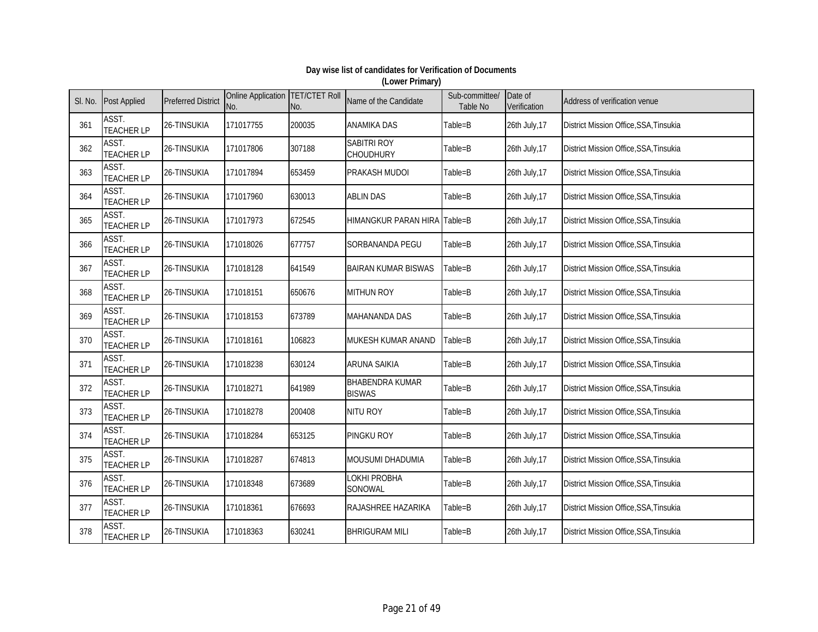| SI. No. | <b>Post Applied</b>        | <b>Preferred District</b> | Online Application TET/CTET Roll<br>No. | No.    | Name of the Candidate                   | Sub-committee/<br>Table No | Date of<br>Verification | Address of verification venue          |
|---------|----------------------------|---------------------------|-----------------------------------------|--------|-----------------------------------------|----------------------------|-------------------------|----------------------------------------|
| 361     | ASST.<br><b>TEACHER LP</b> | 26-TINSUKIA               | 171017755                               | 200035 | <b>ANAMIKA DAS</b>                      | Table=B                    | 26th July, 17           | District Mission Office, SSA, Tinsukia |
| 362     | ASST.<br><b>TEACHER LP</b> | 26-TINSUKIA               | 171017806                               | 307188 | <b>SABITRI ROY</b><br>CHOUDHURY         | Table=B                    | 26th July, 17           | District Mission Office, SSA, Tinsukia |
| 363     | ASST.<br><b>TEACHER LP</b> | 26-TINSUKIA               | 171017894                               | 653459 | <b>PRAKASH MUDOI</b>                    | Table=B                    | 26th July, 17           | District Mission Office, SSA, Tinsukia |
| 364     | ASST.<br><b>TEACHER LP</b> | 26-TINSUKIA               | 171017960                               | 630013 | <b>ABLIN DAS</b>                        | Table=B                    | 26th July, 17           | District Mission Office, SSA, Tinsukia |
| 365     | ASST.<br><b>TEACHER LP</b> | 26-TINSUKIA               | 171017973                               | 672545 | HIMANGKUR PARAN HIRA Table=B            |                            | 26th July, 17           | District Mission Office, SSA, Tinsukia |
| 366     | ASST.<br><b>TEACHER LP</b> | 26-TINSUKIA               | 171018026                               | 677757 | SORBANANDA PEGU                         | Table=B                    | 26th July, 17           | District Mission Office, SSA, Tinsukia |
| 367     | ASST.<br><b>TEACHER LP</b> | 26-TINSUKIA               | 171018128                               | 641549 | <b>BAIRAN KUMAR BISWAS</b>              | Table=B                    | 26th July, 17           | District Mission Office, SSA, Tinsukia |
| 368     | ASST.<br><b>TEACHER LP</b> | 26-TINSUKIA               | 171018151                               | 650676 | <b>MITHUN ROY</b>                       | Table=B                    | 26th July, 17           | District Mission Office, SSA, Tinsukia |
| 369     | ASST.<br><b>TEACHER LP</b> | 26-TINSUKIA               | 171018153                               | 673789 | MAHANANDA DAS                           | Table=B                    | 26th July, 17           | District Mission Office, SSA, Tinsukia |
| 370     | ASST.<br><b>TEACHER LP</b> | 26-TINSUKIA               | 171018161                               | 106823 | MUKESH KUMAR ANAND                      | Table=B                    | 26th July, 17           | District Mission Office, SSA, Tinsukia |
| 371     | ASST.<br><b>TEACHER LP</b> | 26-TINSUKIA               | 171018238                               | 630124 | <b>ARUNA SAIKIA</b>                     | Table=B                    | 26th July, 17           | District Mission Office, SSA, Tinsukia |
| 372     | ASST.<br><b>TEACHER LP</b> | 26-TINSUKIA               | 171018271                               | 641989 | <b>BHABENDRA KUMAR</b><br><b>BISWAS</b> | Table=B                    | 26th July, 17           | District Mission Office, SSA, Tinsukia |
| 373     | ASST.<br><b>TEACHER LP</b> | 26-TINSUKIA               | 171018278                               | 200408 | NITU ROY                                | Table=B                    | 26th July, 17           | District Mission Office, SSA, Tinsukia |
| 374     | ASST.<br><b>TEACHER LP</b> | 26-TINSUKIA               | 171018284                               | 653125 | <b>PINGKU ROY</b>                       | Table=B                    | 26th July, 17           | District Mission Office, SSA, Tinsukia |
| 375     | ASST.<br><b>TEACHER LP</b> | 26-TINSUKIA               | 171018287                               | 674813 | MOUSUMI DHADUMIA                        | Table=B                    | 26th July, 17           | District Mission Office, SSA, Tinsukia |
| 376     | ASST.<br><b>TEACHER LP</b> | 26-TINSUKIA               | 171018348                               | 673689 | LOKHI PROBHA<br>SONOWAL                 | Table=B                    | 26th July, 17           | District Mission Office, SSA, Tinsukia |
| 377     | ASST.<br><b>TEACHER LP</b> | 26-TINSUKIA               | 171018361                               | 676693 | RAJASHREE HAZARIKA                      | Table=B                    | 26th July, 17           | District Mission Office, SSA, Tinsukia |
| 378     | ASST.<br><b>TEACHER LP</b> | 26-TINSUKIA               | 171018363                               | 630241 | <b>BHRIGURAM MILI</b>                   | Table=B                    | 26th July, 17           | District Mission Office, SSA, Tinsukia |

#### **Day wise list of candidates for Verification of Documents (Lower Primary)**

Page 21 of 49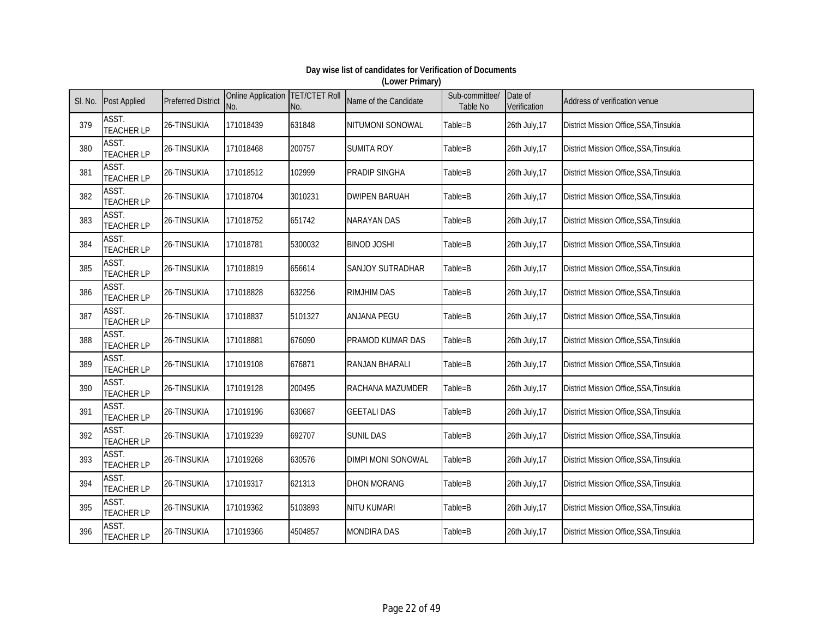| SI. No. | <b>Post Applied</b>        | <b>Preferred District</b> | Online Application TET/CTET Roll<br>No. | No.     | Name of the Candidate   | Sub-committee/<br>Table No | Date of<br>Verification | Address of verification venue          |
|---------|----------------------------|---------------------------|-----------------------------------------|---------|-------------------------|----------------------------|-------------------------|----------------------------------------|
| 379     | ASST.<br><b>TEACHER LP</b> | 26-TINSUKIA               | 171018439                               | 631848  | NITUMONI SONOWAL        | Table=B                    | 26th July, 17           | District Mission Office, SSA, Tinsukia |
| 380     | ASST.<br><b>TEACHER LP</b> | 26-TINSUKIA               | 171018468                               | 200757  | <b>SUMITA ROY</b>       | Table=B                    | 26th July, 17           | District Mission Office, SSA, Tinsukia |
| 381     | ASST.<br><b>TEACHER LP</b> | 26-TINSUKIA               | 171018512                               | 102999  | <b>PRADIP SINGHA</b>    | Table=B                    | 26th July, 17           | District Mission Office, SSA, Tinsukia |
| 382     | ASST.<br><b>TEACHER LP</b> | 26-TINSUKIA               | 171018704                               | 3010231 | <b>DWIPEN BARUAH</b>    | Table=B                    | 26th July, 17           | District Mission Office, SSA, Tinsukia |
| 383     | ASST.<br><b>TEACHER LP</b> | 26-TINSUKIA               | 171018752                               | 651742  | <b>NARAYAN DAS</b>      | Table=B                    | 26th July, 17           | District Mission Office, SSA, Tinsukia |
| 384     | ASST.<br><b>TEACHER LP</b> | 26-TINSUKIA               | 171018781                               | 5300032 | <b>BINOD JOSHI</b>      | Table=B                    | 26th July, 17           | District Mission Office, SSA, Tinsukia |
| 385     | ASST.<br><b>TEACHER LP</b> | 26-TINSUKIA               | 171018819                               | 656614  | SANJOY SUTRADHAR        | Table=B                    | 26th July, 17           | District Mission Office, SSA, Tinsukia |
| 386     | ASST.<br><b>TEACHER LP</b> | 26-TINSUKIA               | 171018828                               | 632256  | <b>RIMJHIM DAS</b>      | Table=B                    | 26th July, 17           | District Mission Office, SSA, Tinsukia |
| 387     | ASST.<br><b>TEACHER LP</b> | 26-TINSUKIA               | 171018837                               | 5101327 | <b>ANJANA PEGU</b>      | Table=B                    | 26th July, 17           | District Mission Office, SSA, Tinsukia |
| 388     | ASST.<br><b>TEACHER LP</b> | 26-TINSUKIA               | 171018881                               | 676090  | PRAMOD KUMAR DAS        | Table=B                    | 26th July, 17           | District Mission Office, SSA, Tinsukia |
| 389     | ASST.<br><b>TEACHER LP</b> | 26-TINSUKIA               | 171019108                               | 676871  | <b>RANJAN BHARALI</b>   | Table=B                    | 26th July, 17           | District Mission Office, SSA, Tinsukia |
| 390     | ASST.<br><b>TEACHER LP</b> | 26-TINSUKIA               | 171019128                               | 200495  | <b>RACHANA MAZUMDER</b> | Table=B                    | 26th July, 17           | District Mission Office, SSA, Tinsukia |
| 391     | ASST.<br><b>TEACHER LP</b> | 26-TINSUKIA               | 171019196                               | 630687  | <b>GEETALI DAS</b>      | Table=B                    | 26th July, 17           | District Mission Office, SSA, Tinsukia |
| 392     | ASST.<br><b>TEACHER LP</b> | 26-TINSUKIA               | 171019239                               | 692707  | <b>SUNIL DAS</b>        | Table=B                    | 26th July, 17           | District Mission Office, SSA, Tinsukia |
| 393     | ASST.<br><b>TEACHER LP</b> | 26-TINSUKIA               | 171019268                               | 630576  | DIMPI MONI SONOWAL      | Table=B                    | 26th July, 17           | District Mission Office, SSA, Tinsukia |
| 394     | ASST.<br><b>TEACHER LP</b> | 26-TINSUKIA               | 171019317                               | 621313  | <b>DHON MORANG</b>      | Table=B                    | 26th July, 17           | District Mission Office, SSA, Tinsukia |
| 395     | ASST.<br><b>TEACHER LP</b> | 26-TINSUKIA               | 171019362                               | 5103893 | NITU KUMARI             | Table=B                    | 26th July, 17           | District Mission Office, SSA, Tinsukia |
| 396     | ASST.<br><b>TEACHER LP</b> | 26-TINSUKIA               | 171019366                               | 4504857 | <b>MONDIRA DAS</b>      | Table=B                    | 26th July, 17           | District Mission Office, SSA, Tinsukia |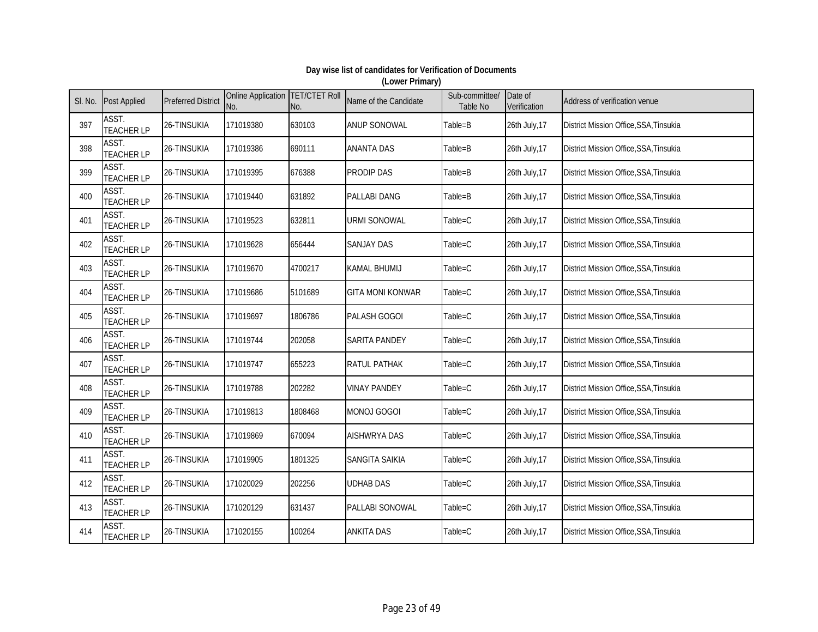| SI. No. | <b>Post Applied</b>        | <b>Preferred District</b> | Online Application TET/CTET Roll<br>No. | No.     | Name of the Candidate   | Sub-committee/<br>Table No | Date of<br>Verification | Address of verification venue          |
|---------|----------------------------|---------------------------|-----------------------------------------|---------|-------------------------|----------------------------|-------------------------|----------------------------------------|
| 397     | ASST.<br><b>TEACHER LP</b> | 26-TINSUKIA               | 171019380                               | 630103  | <b>ANUP SONOWAL</b>     | Table=B                    | 26th July, 17           | District Mission Office, SSA, Tinsukia |
| 398     | ASST.<br><b>TEACHER LP</b> | 26-TINSUKIA               | 171019386                               | 690111  | <b>ANANTA DAS</b>       | Table=B                    | 26th July, 17           | District Mission Office, SSA, Tinsukia |
| 399     | ASST.<br><b>TEACHER LP</b> | 26-TINSUKIA               | 171019395                               | 676388  | <b>PRODIP DAS</b>       | Table=B                    | 26th July, 17           | District Mission Office, SSA, Tinsukia |
| 400     | ASST.<br><b>TEACHER LP</b> | 26-TINSUKIA               | 171019440                               | 631892  | <b>PALLABI DANG</b>     | Table=B                    | 26th July, 17           | District Mission Office, SSA, Tinsukia |
| 401     | ASST.<br><b>TEACHER LP</b> | 26-TINSUKIA               | 171019523                               | 632811  | <b>URMI SONOWAL</b>     | Table=C                    | 26th July, 17           | District Mission Office, SSA, Tinsukia |
| 402     | ASST.<br><b>TEACHER LP</b> | 26-TINSUKIA               | 171019628                               | 656444  | <b>SANJAY DAS</b>       | Table=C                    | 26th July, 17           | District Mission Office, SSA, Tinsukia |
| 403     | ASST.<br><b>TEACHER LP</b> | 26-TINSUKIA               | 171019670                               | 4700217 | <b>KAMAL BHUMIJ</b>     | Table=C                    | 26th July, 17           | District Mission Office, SSA, Tinsukia |
| 404     | ASST.<br><b>TEACHER LP</b> | 26-TINSUKIA               | 171019686                               | 5101689 | <b>GITA MONI KONWAR</b> | Table=C                    | 26th July, 17           | District Mission Office, SSA, Tinsukia |
| 405     | ASST.<br><b>TEACHER LP</b> | 26-TINSUKIA               | 171019697                               | 1806786 | PALASH GOGOI            | Table=C                    | 26th July, 17           | District Mission Office, SSA, Tinsukia |
| 406     | ASST.<br><b>TEACHER LP</b> | 26-TINSUKIA               | 171019744                               | 202058  | SARITA PANDEY           | Table=C                    | 26th July, 17           | District Mission Office, SSA, Tinsukia |
| 407     | ASST.<br><b>TEACHER LP</b> | 26-TINSUKIA               | 171019747                               | 655223  | <b>RATUL PATHAK</b>     | Table=C                    | 26th July, 17           | District Mission Office, SSA, Tinsukia |
| 408     | ASST.<br><b>TEACHER LP</b> | 26-TINSUKIA               | 171019788                               | 202282  | <b>VINAY PANDEY</b>     | Table=C                    | 26th July, 17           | District Mission Office, SSA, Tinsukia |
| 409     | ASST.<br><b>TEACHER LP</b> | 26-TINSUKIA               | 171019813                               | 1808468 | MONOJ GOGOI             | Table=C                    | 26th July, 17           | District Mission Office, SSA, Tinsukia |
| 410     | ASST.<br><b>TEACHER LP</b> | 26-TINSUKIA               | 171019869                               | 670094  | <b>AISHWRYA DAS</b>     | Table=C                    | 26th July, 17           | District Mission Office, SSA, Tinsukia |
| 411     | ASST.<br><b>TEACHER LP</b> | 26-TINSUKIA               | 171019905                               | 1801325 | <b>SANGITA SAIKIA</b>   | Table=C                    | 26th July, 17           | District Mission Office, SSA, Tinsukia |
| 412     | ASST.<br><b>TEACHER LP</b> | 26-TINSUKIA               | 171020029                               | 202256  | <b>UDHAB DAS</b>        | Table=C                    | 26th July, 17           | District Mission Office, SSA, Tinsukia |
| 413     | ASST.<br><b>TEACHER LP</b> | 26-TINSUKIA               | 171020129                               | 631437  | PALLABI SONOWAL         | Table=C                    | 26th July, 17           | District Mission Office, SSA, Tinsukia |
| 414     | ASST.<br><b>TEACHER LP</b> | 26-TINSUKIA               | 171020155                               | 100264  | <b>ANKITA DAS</b>       | Table=C                    | 26th July, 17           | District Mission Office, SSA, Tinsukia |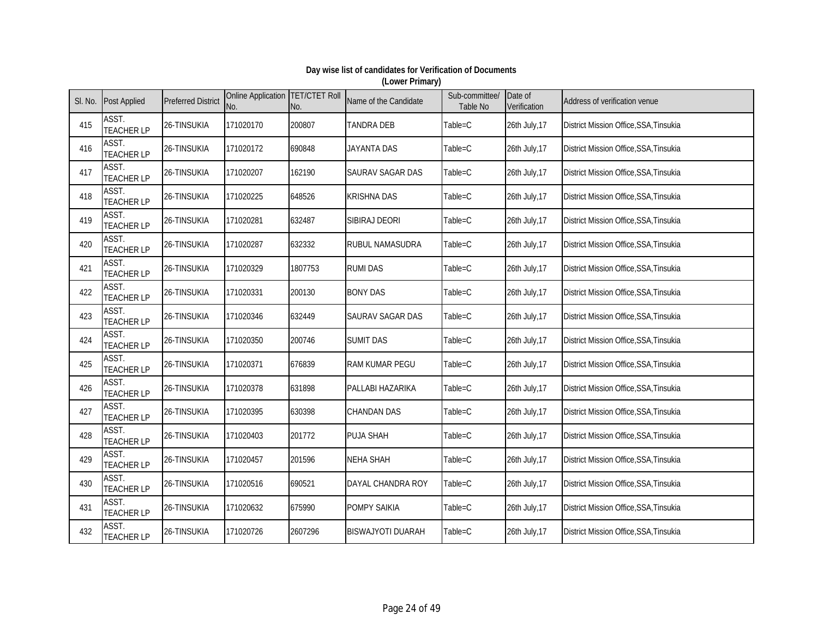| SI. No. | <b>Post Applied</b>        | <b>Preferred District</b> | <b>Online Application TET/CTET Roll</b><br>No. | No.     | Name of the Candidate    | Sub-committee/<br><b>Table No</b> | Date of<br>Verification | Address of verification venue          |
|---------|----------------------------|---------------------------|------------------------------------------------|---------|--------------------------|-----------------------------------|-------------------------|----------------------------------------|
| 415     | ASST.<br><b>TEACHER LP</b> | 26-TINSUKIA               | 171020170                                      | 200807  | <b>TANDRA DEB</b>        | Table=C                           | 26th July, 17           | District Mission Office, SSA, Tinsukia |
| 416     | ASST.<br><b>TEACHER LP</b> | 26-TINSUKIA               | 171020172                                      | 690848  | <b>JAYANTA DAS</b>       | Table=C                           | 26th July, 17           | District Mission Office, SSA, Tinsukia |
| 417     | ASST.<br><b>TEACHER LP</b> | 26-TINSUKIA               | 171020207                                      | 162190  | <b>SAURAV SAGAR DAS</b>  | Table=C                           | 26th July, 17           | District Mission Office, SSA, Tinsukia |
| 418     | ASST.<br><b>TEACHER LP</b> | 26-TINSUKIA               | 171020225                                      | 648526  | <b>KRISHNA DAS</b>       | Table=C                           | 26th July, 17           | District Mission Office, SSA, Tinsukia |
| 419     | ASST.<br><b>TEACHER LP</b> | 26-TINSUKIA               | 171020281                                      | 632487  | SIBIRAJ DEORI            | Table=C                           | 26th July, 17           | District Mission Office, SSA, Tinsukia |
| 420     | ASST.<br><b>TEACHER LP</b> | 26-TINSUKIA               | 171020287                                      | 632332  | RUBUL NAMASUDRA          | Table=C                           | 26th July, 17           | District Mission Office, SSA, Tinsukia |
| 421     | ASST.<br><b>TEACHER LP</b> | 26-TINSUKIA               | 171020329                                      | 1807753 | <b>RUMI DAS</b>          | Table=C                           | 26th July, 17           | District Mission Office, SSA, Tinsukia |
| 422     | ASST.<br><b>TEACHER LP</b> | 26-TINSUKIA               | 171020331                                      | 200130  | <b>BONY DAS</b>          | Table=C                           | 26th July, 17           | District Mission Office, SSA, Tinsukia |
| 423     | ASST.<br><b>TEACHER LP</b> | 26-TINSUKIA               | 171020346                                      | 632449  | SAURAV SAGAR DAS         | Table=C                           | 26th July, 17           | District Mission Office, SSA, Tinsukia |
| 424     | ASST.<br><b>TEACHER LP</b> | 26-TINSUKIA               | 171020350                                      | 200746  | <b>SUMIT DAS</b>         | Table=C                           | 26th July, 17           | District Mission Office, SSA, Tinsukia |
| 425     | ASST.<br><b>TEACHER LP</b> | 26-TINSUKIA               | 171020371                                      | 676839  | RAM KUMAR PEGU           | Table=C                           | 26th July, 17           | District Mission Office, SSA, Tinsukia |
| 426     | ASST.<br><b>TEACHER LP</b> | 26-TINSUKIA               | 171020378                                      | 631898  | PALLABI HAZARIKA         | Table=C                           | 26th July, 17           | District Mission Office, SSA, Tinsukia |
| 427     | ASST.<br><b>TEACHER LP</b> | 26-TINSUKIA               | 171020395                                      | 630398  | <b>CHANDAN DAS</b>       | Table=C                           | 26th July, 17           | District Mission Office, SSA, Tinsukia |
| 428     | ASST.<br><b>TEACHER LP</b> | 26-TINSUKIA               | 171020403                                      | 201772  | <b>PUJA SHAH</b>         | Table=C                           | 26th July, 17           | District Mission Office, SSA, Tinsukia |
| 429     | ASST.<br><b>TEACHER LP</b> | 26-TINSUKIA               | 171020457                                      | 201596  | <b>NEHA SHAH</b>         | Table=C                           | 26th July, 17           | District Mission Office, SSA, Tinsukia |
| 430     | ASST.<br><b>TEACHER LP</b> | 26-TINSUKIA               | 171020516                                      | 690521  | DAYAL CHANDRA ROY        | Table=C                           | 26th July, 17           | District Mission Office, SSA, Tinsukia |
| 431     | ASST.<br><b>TEACHER LP</b> | 26-TINSUKIA               | 171020632                                      | 675990  | <b>POMPY SAIKIA</b>      | Table=C                           | 26th July, 17           | District Mission Office, SSA, Tinsukia |
| 432     | ASST.<br><b>TEACHER LP</b> | 26-TINSUKIA               | 171020726                                      | 2607296 | <b>BISWAJYOTI DUARAH</b> | Table=C                           | 26th July, 17           | District Mission Office, SSA, Tinsukia |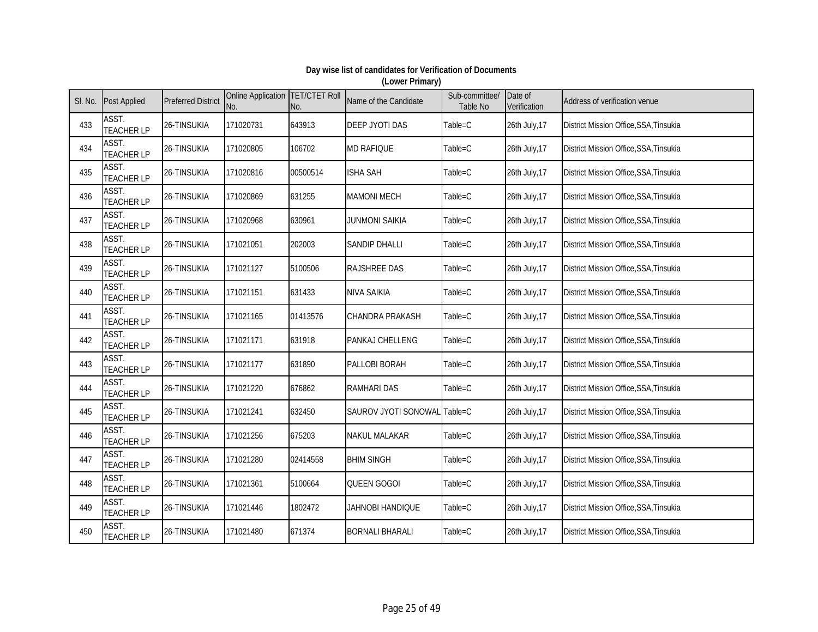| SI. No. | <b>Post Applied</b>        | <b>Preferred District</b> | Online Application TET/CTET Roll<br>No. | No.      | Name of the Candidate        | Sub-committee/<br>Table No | Date of<br>Verification | Address of verification venue                 |
|---------|----------------------------|---------------------------|-----------------------------------------|----------|------------------------------|----------------------------|-------------------------|-----------------------------------------------|
| 433     | ASST.<br><b>TEACHER LP</b> | 26-TINSUKIA               | 171020731                               | 643913   | <b>DEEP JYOTI DAS</b>        | Table=C                    | 26th July, 17           | District Mission Office, SSA, Tinsukia        |
| 434     | ASST.<br><b>TEACHER LP</b> | 26-TINSUKIA               | 171020805                               | 106702   | <b>MD RAFIQUE</b>            | Table=C                    | 26th July, 17           | District Mission Office, SSA, Tinsukia        |
| 435     | ASST.<br><b>TEACHER LP</b> | 26-TINSUKIA               | 171020816                               | 00500514 | <b>ISHA SAH</b>              | Table=C                    | 26th July, 17           | District Mission Office, SSA, Tinsukia        |
| 436     | ASST.<br><b>TEACHER LP</b> | 26-TINSUKIA               | 171020869                               | 631255   | <b>MAMONI MECH</b>           | Table=C                    | 26th July, 17           | District Mission Office, SSA, Tinsukia        |
| 437     | ASST.<br><b>TEACHER LP</b> | 26-TINSUKIA               | 171020968                               | 630961   | <b>JUNMONI SAIKIA</b>        | Table=C                    | 26th July, 17           | District Mission Office, SSA, Tinsukia        |
| 438     | ASST.<br><b>TEACHER LP</b> | 26-TINSUKIA               | 171021051                               | 202003   | <b>SANDIP DHALLI</b>         | Table=C                    | 26th July, 17           | District Mission Office, SSA, Tinsukia        |
| 439     | ASST.<br><b>TEACHER LP</b> | 26-TINSUKIA               | 171021127                               | 5100506  | <b>RAJSHREE DAS</b>          | Table=C                    | 26th July, 17           | District Mission Office, SSA, Tinsukia        |
| 440     | ASST.<br><b>TEACHER LP</b> | 26-TINSUKIA               | 171021151                               | 631433   | NIVA SAIKIA                  | Table=C                    | 26th July, 17           | <b>District Mission Office, SSA, Tinsukia</b> |
| 441     | ASST.<br><b>TEACHER LP</b> | 26-TINSUKIA               | 171021165                               | 01413576 | <b>CHANDRA PRAKASH</b>       | Table=C                    | 26th July, 17           | District Mission Office, SSA, Tinsukia        |
| 442     | ASST.<br><b>TEACHER LP</b> | 26-TINSUKIA               | 171021171                               | 631918   | PANKAJ CHELLENG              | Table=C                    | 26th July, 17           | District Mission Office, SSA, Tinsukia        |
| 443     | ASST.<br><b>TEACHER LP</b> | 26-TINSUKIA               | 171021177                               | 631890   | PALLOBI BORAH                | Table=C                    | 26th July, 17           | District Mission Office, SSA, Tinsukia        |
| 444     | ASST.<br><b>TEACHER LP</b> | 26-TINSUKIA               | 171021220                               | 676862   | <b>RAMHARI DAS</b>           | Table=C                    | 26th July, 17           | District Mission Office, SSA, Tinsukia        |
| 445     | ASST.<br><b>TEACHER LP</b> | 26-TINSUKIA               | 171021241                               | 632450   | SAUROV JYOTI SONOWAL Table=C |                            | 26th July, 17           | District Mission Office, SSA, Tinsukia        |
| 446     | ASST.<br><b>TEACHER LP</b> | 26-TINSUKIA               | 171021256                               | 675203   | <b>NAKUL MALAKAR</b>         | Table=C                    | 26th July, 17           | District Mission Office, SSA, Tinsukia        |
| 447     | ASST.<br><b>TEACHER LP</b> | 26-TINSUKIA               | 171021280                               | 02414558 | <b>BHIM SINGH</b>            | Table=C                    | 26th July, 17           | District Mission Office, SSA, Tinsukia        |
| 448     | ASST.<br><b>TEACHER LP</b> | 26-TINSUKIA               | 171021361                               | 5100664  | QUEEN GOGOI                  | Table=C                    | 26th July, 17           | District Mission Office, SSA, Tinsukia        |
| 449     | ASST.<br><b>TEACHER LP</b> | 26-TINSUKIA               | 171021446                               | 1802472  | JAHNOBI HANDIQUE             | Table=C                    | 26th July, 17           | District Mission Office, SSA, Tinsukia        |
| 450     | ASST.<br><b>TEACHER LP</b> | 26-TINSUKIA               | 171021480                               | 671374   | <b>BORNALI BHARALI</b>       | Table=C                    | 26th July, 17           | District Mission Office, SSA, Tinsukia        |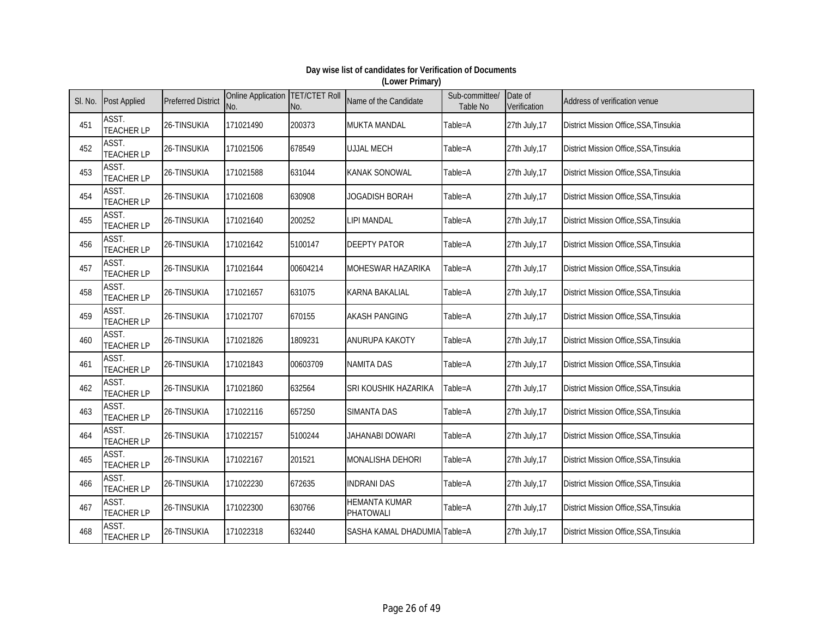| SI. No. | <b>Post Applied</b>        | <b>Preferred District</b> | <b>Online Application TET/CTET Roll</b><br>No. | No.      | Name of the Candidate             | Sub-committee/<br><b>Table No</b> | Date of<br>Verification | Address of verification venue          |
|---------|----------------------------|---------------------------|------------------------------------------------|----------|-----------------------------------|-----------------------------------|-------------------------|----------------------------------------|
| 451     | ASST.<br><b>TEACHER LP</b> | 26-TINSUKIA               | 171021490                                      | 200373   | <b>MUKTA MANDAL</b>               | Table=A                           | 27th July, 17           | District Mission Office, SSA, Tinsukia |
| 452     | ASST.<br><b>TEACHER LP</b> | 26-TINSUKIA               | 171021506                                      | 678549   | <b>UJJAL MECH</b>                 | Table=A                           | 27th July, 17           | District Mission Office, SSA, Tinsukia |
| 453     | ASST.<br><b>TEACHER LP</b> | 26-TINSUKIA               | 171021588                                      | 631044   | <b>KANAK SONOWAL</b>              | Table=A                           | 27th July, 17           | District Mission Office, SSA, Tinsukia |
| 454     | ASST.<br><b>TEACHER LP</b> | 26-TINSUKIA               | 171021608                                      | 630908   | <b>JOGADISH BORAH</b>             | Table=A                           | 27th July, 17           | District Mission Office, SSA, Tinsukia |
| 455     | ASST.<br><b>TEACHER LP</b> | 26-TINSUKIA               | 171021640                                      | 200252   | LIPI MANDAL                       | Table=A                           | 27th July, 17           | District Mission Office, SSA, Tinsukia |
| 456     | ASST.<br><b>TEACHER LP</b> | 26-TINSUKIA               | 171021642                                      | 5100147  | <b>DEEPTY PATOR</b>               | Table=A                           | 27th July, 17           | District Mission Office, SSA, Tinsukia |
| 457     | ASST.<br><b>TEACHER LP</b> | 26-TINSUKIA               | 171021644                                      | 00604214 | <b>MOHESWAR HAZARIKA</b>          | Table=A                           | 27th July, 17           | District Mission Office, SSA, Tinsukia |
| 458     | ASST.<br><b>TEACHER LP</b> | 26-TINSUKIA               | 171021657                                      | 631075   | KARNA BAKALIAL                    | Table=A                           | 27th July, 17           | District Mission Office, SSA, Tinsukia |
| 459     | ASST.<br><b>TEACHER LP</b> | 26-TINSUKIA               | 171021707                                      | 670155   | <b>AKASH PANGING</b>              | Table=A                           | 27th July, 17           | District Mission Office, SSA, Tinsukia |
| 460     | ASST.<br><b>TEACHER LP</b> | 26-TINSUKIA               | 171021826                                      | 1809231  | <b>ANURUPA KAKOTY</b>             | Table=A                           | 27th July, 17           | District Mission Office, SSA, Tinsukia |
| 461     | ASST.<br><b>TEACHER LP</b> | 26-TINSUKIA               | 171021843                                      | 00603709 | <b>NAMITA DAS</b>                 | Table=A                           | 27th July, 17           | District Mission Office, SSA, Tinsukia |
| 462     | ASST.<br><b>TEACHER LP</b> | 26-TINSUKIA               | 171021860                                      | 632564   | SRI KOUSHIK HAZARIKA              | Table=A                           | 27th July, 17           | District Mission Office, SSA, Tinsukia |
| 463     | ASST.<br><b>TEACHER LP</b> | 26-TINSUKIA               | 171022116                                      | 657250   | <b>SIMANTA DAS</b>                | Table=A                           | 27th July, 17           | District Mission Office, SSA, Tinsukia |
| 464     | ASST.<br><b>TEACHER LP</b> | 26-TINSUKIA               | 171022157                                      | 5100244  | JAHANABI DOWARI                   | Table=A                           | 27th July, 17           | District Mission Office, SSA, Tinsukia |
| 465     | ASST.<br><b>TEACHER LP</b> | 26-TINSUKIA               | 171022167                                      | 201521   | <b>MONALISHA DEHORI</b>           | Table=A                           | 27th July, 17           | District Mission Office, SSA, Tinsukia |
| 466     | ASST.<br><b>TEACHER LP</b> | 26-TINSUKIA               | 171022230                                      | 672635   | <b>INDRANI DAS</b>                | Table=A                           | 27th July, 17           | District Mission Office, SSA, Tinsukia |
| 467     | ASST.<br><b>TEACHER LP</b> | 26-TINSUKIA               | 171022300                                      | 630766   | <b>HEMANTA KUMAR</b><br>PHATOWALI | Table=A                           | 27th July, 17           | District Mission Office, SSA, Tinsukia |
| 468     | ASST.<br><b>TEACHER LP</b> | 26-TINSUKIA               | 171022318                                      | 632440   | SASHA KAMAL DHADUMIA Table=A      |                                   | 27th July, 17           | District Mission Office, SSA, Tinsukia |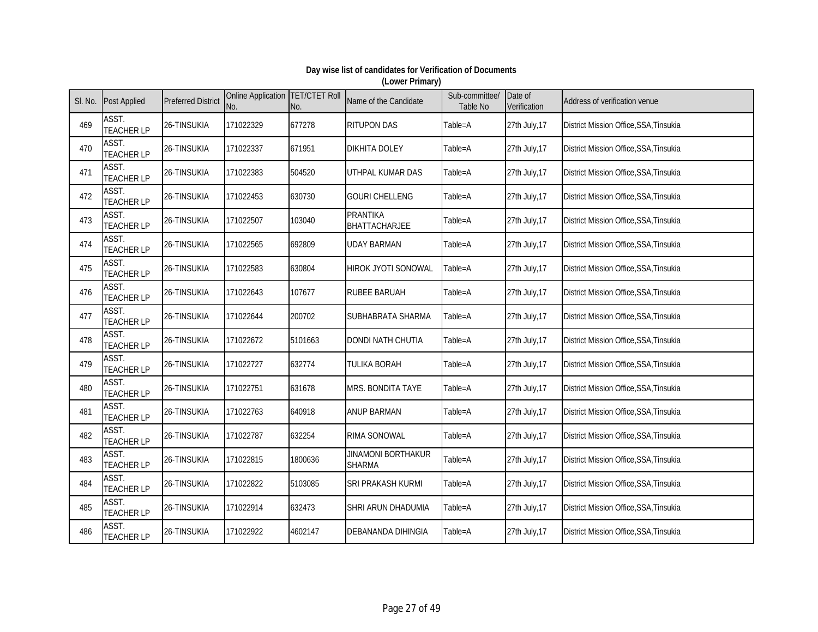| SI. No. | <b>Post Applied</b>        | <b>Preferred District</b> | Online Application TET/CTET Roll<br>No. | No.     | Name of the Candidate                      | Sub-committee/<br>Table No | Date of<br>Verification | Address of verification venue                 |
|---------|----------------------------|---------------------------|-----------------------------------------|---------|--------------------------------------------|----------------------------|-------------------------|-----------------------------------------------|
| 469     | ASST.<br><b>TEACHER LP</b> | 26-TINSUKIA               | 171022329                               | 677278  | <b>RITUPON DAS</b>                         | Table=A                    | 27th July, 17           | District Mission Office, SSA, Tinsukia        |
| 470     | ASST.<br><b>TEACHER LP</b> | 26-TINSUKIA               | 171022337                               | 671951  | <b>DIKHITA DOLEY</b>                       | Table=A                    | 27th July, 17           | District Mission Office, SSA, Tinsukia        |
| 471     | ASST.<br><b>TEACHER LP</b> | 26-TINSUKIA               | 171022383                               | 504520  | UTHPAL KUMAR DAS                           | Table=A                    | 27th July, 17           | District Mission Office, SSA, Tinsukia        |
| 472     | ASST.<br><b>TEACHER LP</b> | 26-TINSUKIA               | 171022453                               | 630730  | <b>GOURI CHELLENG</b>                      | Table=A                    | 27th July, 17           | District Mission Office, SSA, Tinsukia        |
| 473     | ASST.<br><b>TEACHER LP</b> | 26-TINSUKIA               | 171022507                               | 103040  | <b>PRANTIKA</b><br><b>BHATTACHARJEE</b>    | Table=A                    | 27th July, 17           | District Mission Office, SSA, Tinsukia        |
| 474     | ASST.<br><b>TEACHER LP</b> | 26-TINSUKIA               | 171022565                               | 692809  | <b>UDAY BARMAN</b>                         | Table=A                    | 27th July, 17           | District Mission Office, SSA, Tinsukia        |
| 475     | ASST.<br><b>TEACHER LP</b> | 26-TINSUKIA               | 171022583                               | 630804  | HIROK JYOTI SONOWAL                        | Table=A                    | 27th July, 17           | District Mission Office, SSA, Tinsukia        |
| 476     | ASST.<br><b>TEACHER LP</b> | 26-TINSUKIA               | 171022643                               | 107677  | <b>RUBEE BARUAH</b>                        | Table=A                    | 27th July, 17           | <b>District Mission Office, SSA, Tinsukia</b> |
| 477     | ASST.<br><b>TEACHER LP</b> | 26-TINSUKIA               | 171022644                               | 200702  | SUBHABRATA SHARMA                          | Table=A                    | 27th July, 17           | District Mission Office, SSA, Tinsukia        |
| 478     | ASST.<br><b>TEACHER LP</b> | 26-TINSUKIA               | 171022672                               | 5101663 | <b>DONDI NATH CHUTIA</b>                   | Table=A                    | 27th July, 17           | District Mission Office, SSA, Tinsukia        |
| 479     | ASST.<br><b>TEACHER LP</b> | 26-TINSUKIA               | 171022727                               | 632774  | TULIKA BORAH                               | Table=A                    | 27th July, 17           | <b>District Mission Office, SSA, Tinsukia</b> |
| 480     | ASST.<br><b>TEACHER LP</b> | 26-TINSUKIA               | 171022751                               | 631678  | MRS. BONDITA TAYE                          | Table=A                    | 27th July, 17           | District Mission Office, SSA, Tinsukia        |
| 481     | ASST.<br><b>TEACHER LP</b> | 26-TINSUKIA               | 171022763                               | 640918  | <b>ANUP BARMAN</b>                         | Table=A                    | 27th July, 17           | District Mission Office, SSA, Tinsukia        |
| 482     | ASST.<br><b>TEACHER LP</b> | 26-TINSUKIA               | 171022787                               | 632254  | RIMA SONOWAL                               | Table=A                    | 27th July, 17           | District Mission Office, SSA, Tinsukia        |
| 483     | ASST.<br><b>TEACHER LP</b> | 26-TINSUKIA               | 171022815                               | 1800636 | <b>JINAMONI BORTHAKUR</b><br><b>SHARMA</b> | Table=A                    | 27th July, 17           | District Mission Office, SSA, Tinsukia        |
| 484     | ASST.<br><b>TEACHER LP</b> | 26-TINSUKIA               | 171022822                               | 5103085 | SRI PRAKASH KURMI                          | Table=A                    | 27th July, 17           | District Mission Office, SSA, Tinsukia        |
| 485     | ASST.<br><b>TEACHER LP</b> | 26-TINSUKIA               | 171022914                               | 632473  | SHRI ARUN DHADUMIA                         | Table=A                    | 27th July, 17           | District Mission Office, SSA, Tinsukia        |
| 486     | ASST.<br><b>TEACHER LP</b> | 26-TINSUKIA               | 171022922                               | 4602147 | <b>DEBANANDA DIHINGIA</b>                  | Table=A                    | 27th July, 17           | District Mission Office, SSA, Tinsukia        |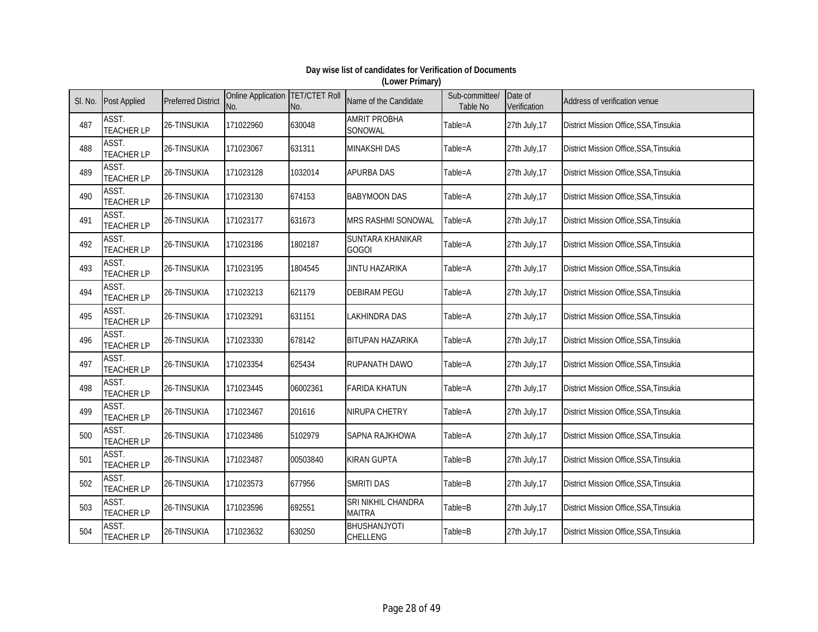| SI. No. | <b>Post Applied</b>        | <b>Preferred District</b> | Online Application TET/CTET Roll<br>No. | No.      | Name of the Candidate               | Sub-committee/<br>Table No | Date of<br>Verification | Address of verification venue          |
|---------|----------------------------|---------------------------|-----------------------------------------|----------|-------------------------------------|----------------------------|-------------------------|----------------------------------------|
| 487     | ASST.<br><b>TEACHER LP</b> | 26-TINSUKIA               | 171022960                               | 630048   | <b>AMRIT PROBHA</b><br>SONOWAL      | Table=A                    | 27th July, 17           | District Mission Office, SSA, Tinsukia |
| 488     | ASST.<br><b>TEACHER LP</b> | 26-TINSUKIA               | 171023067                               | 631311   | <b>MINAKSHI DAS</b>                 | Table=A                    | 27th July, 17           | District Mission Office, SSA, Tinsukia |
| 489     | ASST.<br><b>TEACHER LP</b> | 26-TINSUKIA               | 171023128                               | 1032014  | <b>APURBA DAS</b>                   | Table=A                    | 27th July, 17           | District Mission Office, SSA, Tinsukia |
| 490     | ASST.<br><b>TEACHER LP</b> | 26-TINSUKIA               | 171023130                               | 674153   | <b>BABYMOON DAS</b>                 | Table=A                    | 27th July, 17           | District Mission Office, SSA, Tinsukia |
| 491     | ASST.<br><b>TEACHER LP</b> | 26-TINSUKIA               | 171023177                               | 631673   | <b>MRS RASHMI SONOWAL</b>           | Table=A                    | 27th July, 17           | District Mission Office, SSA, Tinsukia |
| 492     | ASST.<br><b>TEACHER LP</b> | 26-TINSUKIA               | 171023186                               | 1802187  | SUNTARA KHANIKAR<br><b>GOGOI</b>    | Table=A                    | 27th July, 17           | District Mission Office, SSA, Tinsukia |
| 493     | ASST.<br><b>TEACHER LP</b> | 26-TINSUKIA               | 171023195                               | 1804545  | <b>JINTU HAZARIKA</b>               | Table=A                    | 27th July, 17           | District Mission Office, SSA, Tinsukia |
| 494     | ASST.<br><b>TEACHER LP</b> | 26-TINSUKIA               | 171023213                               | 621179   | <b>DEBIRAM PEGU</b>                 | Table=A                    | 27th July, 17           | District Mission Office, SSA, Tinsukia |
| 495     | ASST.<br><b>TEACHER LP</b> | 26-TINSUKIA               | 171023291                               | 631151   | <b>LAKHINDRA DAS</b>                | Table=A                    | 27th July, 17           | District Mission Office, SSA, Tinsukia |
| 496     | ASST.<br><b>TEACHER LP</b> | 26-TINSUKIA               | 171023330                               | 678142   | <b>BITUPAN HAZARIKA</b>             | Table=A                    | 27th July, 17           | District Mission Office, SSA, Tinsukia |
| 497     | ASST.<br><b>TEACHER LP</b> | 26-TINSUKIA               | 171023354                               | 625434   | RUPANATH DAWO                       | Table=A                    | 27th July, 17           | District Mission Office, SSA, Tinsukia |
| 498     | ASST.<br><b>TEACHER LP</b> | 26-TINSUKIA               | 171023445                               | 06002361 | <b>FARIDA KHATUN</b>                | Table=A                    | 27th July, 17           | District Mission Office, SSA, Tinsukia |
| 499     | ASST.<br><b>TEACHER LP</b> | 26-TINSUKIA               | 171023467                               | 201616   | <b>NIRUPA CHETRY</b>                | Table=A                    | 27th July, 17           | District Mission Office, SSA, Tinsukia |
| 500     | ASST.<br><b>TEACHER LP</b> | 26-TINSUKIA               | 171023486                               | 5102979  | SAPNA RAJKHOWA                      | Table=A                    | 27th July, 17           | District Mission Office, SSA, Tinsukia |
| 501     | ASST.<br><b>TEACHER LP</b> | 26-TINSUKIA               | 171023487                               | 00503840 | <b>KIRAN GUPTA</b>                  | Table=B                    | 27th July, 17           | District Mission Office, SSA, Tinsukia |
| 502     | ASST.<br><b>TEACHER LP</b> | 26-TINSUKIA               | 171023573                               | 677956   | <b>SMRITI DAS</b>                   | Table=B                    | 27th July, 17           | District Mission Office, SSA, Tinsukia |
| 503     | ASST.<br><b>TEACHER LP</b> | 26-TINSUKIA               | 171023596                               | 692551   | SRI NIKHIL CHANDRA<br><b>MAITRA</b> | Table=B                    | 27th July, 17           | District Mission Office, SSA, Tinsukia |
| 504     | ASST.<br><b>TEACHER LP</b> | 26-TINSUKIA               | 171023632                               | 630250   | BHUSHANJYOTI<br>CHELLENG            | Table=B                    | 27th July, 17           | District Mission Office, SSA, Tinsukia |

#### **Day wise list of candidates for Verification of Documents (Lower Primary)**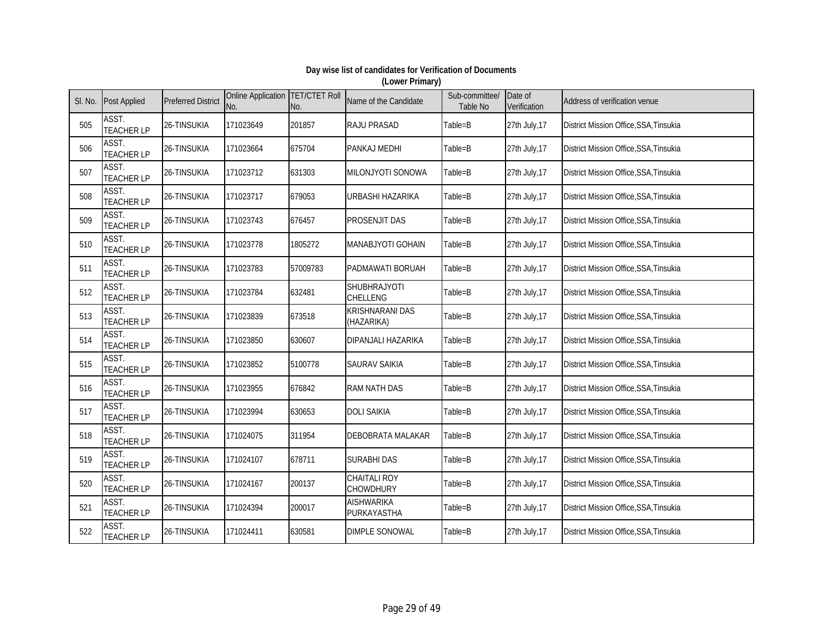| SI. No. | <b>Post Applied</b>        | <b>Preferred District</b> | Online Application TET/CTET Roll<br>No. | No.      | Name of the Candidate            | Sub-committee/<br>Table No | Date of<br>Verification | Address of verification venue                 |
|---------|----------------------------|---------------------------|-----------------------------------------|----------|----------------------------------|----------------------------|-------------------------|-----------------------------------------------|
| 505     | ASST.<br><b>TEACHER LP</b> | 26-TINSUKIA               | 171023649                               | 201857   | <b>RAJU PRASAD</b>               | Table=B                    | 27th July, 17           | District Mission Office, SSA, Tinsukia        |
| 506     | ASST.<br><b>TEACHER LP</b> | 26-TINSUKIA               | 171023664                               | 675704   | PANKAJ MEDHI                     | Table=B                    | 27th July, 17           | District Mission Office, SSA, Tinsukia        |
| 507     | ASST.<br><b>TEACHER LP</b> | 26-TINSUKIA               | 171023712                               | 631303   | MILONJYOTI SONOWA                | Table=B                    | 27th July, 17           | District Mission Office, SSA, Tinsukia        |
| 508     | ASST.<br><b>TEACHER LP</b> | 26-TINSUKIA               | 171023717                               | 679053   | URBASHI HAZARIKA                 | Table=B                    | 27th July, 17           | District Mission Office, SSA, Tinsukia        |
| 509     | ASST.<br><b>TEACHER LP</b> | 26-TINSUKIA               | 171023743                               | 676457   | PROSENJIT DAS                    | Table=B                    | 27th July, 17           | District Mission Office, SSA, Tinsukia        |
| 510     | ASST.<br><b>TEACHER LP</b> | 26-TINSUKIA               | 171023778                               | 1805272  | MANABJYOTI GOHAIN                | Table=B                    | 27th July, 17           | District Mission Office, SSA, Tinsukia        |
| 511     | ASST.<br><b>TEACHER LP</b> | 26-TINSUKIA               | 171023783                               | 57009783 | PADMAWATI BORUAH                 | Table=B                    | 27th July, 17           | District Mission Office, SSA, Tinsukia        |
| 512     | ASST.<br><b>TEACHER LP</b> | 26-TINSUKIA               | 171023784                               | 632481   | SHUBHRAJYOTI<br>CHELLENG         | Table=B                    | 27th July, 17           | <b>District Mission Office, SSA, Tinsukia</b> |
| 513     | ASST.<br><b>TEACHER LP</b> | 26-TINSUKIA               | 171023839                               | 673518   | KRISHNARANI DAS<br>(HAZARIKA)    | Table=B                    | 27th July, 17           | District Mission Office, SSA, Tinsukia        |
| 514     | ASST.<br><b>TEACHER LP</b> | 26-TINSUKIA               | 171023850                               | 630607   | DIPANJALI HAZARIKA               | Table=B                    | 27th July, 17           | District Mission Office, SSA, Tinsukia        |
| 515     | ASST.<br><b>TEACHER LP</b> | 26-TINSUKIA               | 171023852                               | 5100778  | <b>SAURAV SAIKIA</b>             | Table=B                    | 27th July, 17           | <b>District Mission Office, SSA, Tinsukia</b> |
| 516     | ASST.<br><b>TEACHER LP</b> | 26-TINSUKIA               | 171023955                               | 676842   | <b>RAM NATH DAS</b>              | Table=B                    | 27th July, 17           | District Mission Office, SSA, Tinsukia        |
| 517     | ASST.<br><b>TEACHER LP</b> | 26-TINSUKIA               | 171023994                               | 630653   | <b>DOLI SAIKIA</b>               | Table=B                    | 27th July, 17           | District Mission Office, SSA, Tinsukia        |
| 518     | ASST.<br><b>TEACHER LP</b> | 26-TINSUKIA               | 171024075                               | 311954   | <b>DEBOBRATA MALAKAR</b>         | Table=B                    | 27th July, 17           | District Mission Office, SSA, Tinsukia        |
| 519     | ASST.<br><b>TEACHER LP</b> | 26-TINSUKIA               | 171024107                               | 678711   | <b>SURABHI DAS</b>               | Table=B                    | 27th July, 17           | District Mission Office, SSA, Tinsukia        |
| 520     | ASST.<br><b>TEACHER LP</b> | 26-TINSUKIA               | 171024167                               | 200137   | <b>CHAITALI ROY</b><br>CHOWDHURY | Table=B                    | 27th July, 17           | District Mission Office, SSA, Tinsukia        |
| 521     | ASST.<br><b>TEACHER LP</b> | 26-TINSUKIA               | 171024394                               | 200017   | <b>AISHWARIKA</b><br>PURKAYASTHA | Table=B                    | 27th July, 17           | District Mission Office, SSA, Tinsukia        |
| 522     | ASST.<br><b>TEACHER LP</b> | 26-TINSUKIA               | 171024411                               | 630581   | <b>DIMPLE SONOWAL</b>            | Table=B                    | 27th July, 17           | District Mission Office, SSA, Tinsukia        |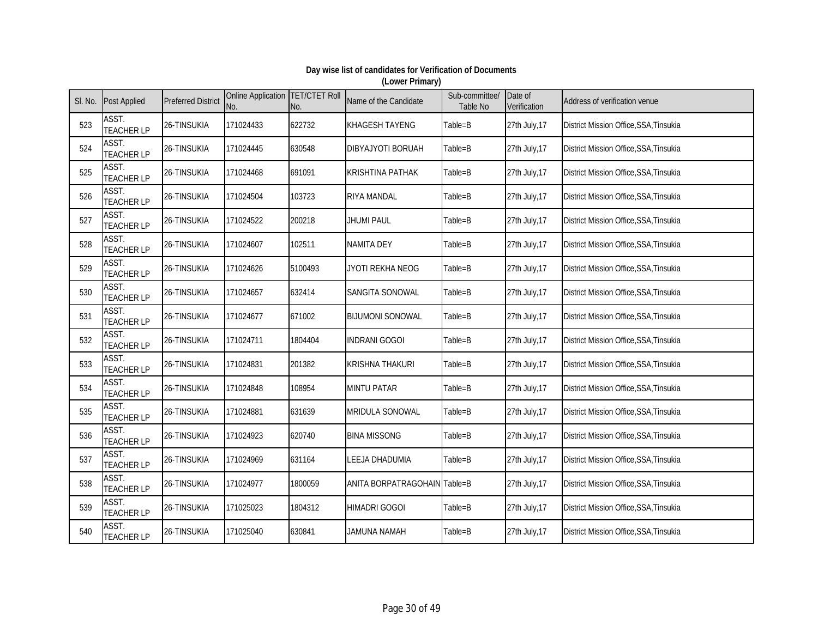| SI. No. | <b>Post Applied</b>        | <b>Preferred District</b> | Online Application TET/CTET Roll<br>No. | No.     | Name of the Candidate        | Sub-committee/<br>Table No | Date of<br>Verification | Address of verification venue                 |
|---------|----------------------------|---------------------------|-----------------------------------------|---------|------------------------------|----------------------------|-------------------------|-----------------------------------------------|
| 523     | ASST.<br><b>TEACHER LP</b> | 26-TINSUKIA               | 171024433                               | 622732  | <b>KHAGESH TAYENG</b>        | Table=B                    | 27th July, 17           | District Mission Office, SSA, Tinsukia        |
| 524     | ASST.<br><b>TEACHER LP</b> | 26-TINSUKIA               | 171024445                               | 630548  | <b>DIBYAJYOTI BORUAH</b>     | Table=B                    | 27th July, 17           | District Mission Office, SSA, Tinsukia        |
| 525     | ASST.<br><b>TEACHER LP</b> | 26-TINSUKIA               | 171024468                               | 691091  | <b>KRISHTINA PATHAK</b>      | Table=B                    | 27th July, 17           | District Mission Office, SSA, Tinsukia        |
| 526     | ASST.<br><b>TEACHER LP</b> | 26-TINSUKIA               | 171024504                               | 103723  | <b>RIYA MANDAL</b>           | Table=B                    | 27th July, 17           | District Mission Office, SSA, Tinsukia        |
| 527     | ASST.<br><b>TEACHER LP</b> | 26-TINSUKIA               | 171024522                               | 200218  | <b>JHUMI PAUL</b>            | Table=B                    | 27th July, 17           | District Mission Office, SSA, Tinsukia        |
| 528     | ASST.<br><b>TEACHER LP</b> | 26-TINSUKIA               | 171024607                               | 102511  | <b>NAMITA DEY</b>            | Table=B                    | 27th July, 17           | District Mission Office, SSA, Tinsukia        |
| 529     | ASST.<br><b>TEACHER LP</b> | 26-TINSUKIA               | 171024626                               | 5100493 | JYOTI REKHA NEOG             | Table=B                    | 27th July, 17           | District Mission Office, SSA, Tinsukia        |
| 530     | ASST.<br><b>TEACHER LP</b> | 26-TINSUKIA               | 171024657                               | 632414  | SANGITA SONOWAL              | Table=B                    | 27th July, 17           | <b>District Mission Office, SSA, Tinsukia</b> |
| 531     | ASST.<br><b>TEACHER LP</b> | 26-TINSUKIA               | 171024677                               | 671002  | <b>BIJUMONI SONOWAL</b>      | Table=B                    | 27th July, 17           | District Mission Office, SSA, Tinsukia        |
| 532     | ASST.<br><b>TEACHER LP</b> | 26-TINSUKIA               | 171024711                               | 1804404 | <b>INDRANI GOGOI</b>         | Table=B                    | 27th July, 17           | District Mission Office, SSA, Tinsukia        |
| 533     | ASST.<br><b>TEACHER LP</b> | 26-TINSUKIA               | 171024831                               | 201382  | <b>KRISHNA THAKURI</b>       | Table=B                    | 27th July, 17           | District Mission Office, SSA, Tinsukia        |
| 534     | ASST.<br><b>TEACHER LP</b> | 26-TINSUKIA               | 171024848                               | 108954  | <b>MINTU PATAR</b>           | Table=B                    | 27th July, 17           | District Mission Office, SSA, Tinsukia        |
| 535     | ASST.<br><b>TEACHER LP</b> | 26-TINSUKIA               | 171024881                               | 631639  | MRIDULA SONOWAL              | Table=B                    | 27th July, 17           | District Mission Office, SSA, Tinsukia        |
| 536     | ASST.<br><b>TEACHER LP</b> | 26-TINSUKIA               | 171024923                               | 620740  | <b>BINA MISSONG</b>          | Table=B                    | 27th July, 17           | District Mission Office, SSA, Tinsukia        |
| 537     | ASST.<br><b>TEACHER LP</b> | 26-TINSUKIA               | 171024969                               | 631164  | <b>LEEJA DHADUMIA</b>        | Table=B                    | 27th July, 17           | District Mission Office, SSA, Tinsukia        |
| 538     | ASST.<br><b>TEACHER LP</b> | 26-TINSUKIA               | 171024977                               | 1800059 | ANITA BORPATRAGOHAIN Table=B |                            | 27th July, 17           | District Mission Office, SSA, Tinsukia        |
| 539     | ASST.<br><b>TEACHER LP</b> | 26-TINSUKIA               | 171025023                               | 1804312 | <b>HIMADRI GOGOI</b>         | Table=B                    | 27th July, 17           | District Mission Office, SSA, Tinsukia        |
| 540     | ASST.<br><b>TEACHER LP</b> | 26-TINSUKIA               | 171025040                               | 630841  | <b>HAMMA NAMAH</b>           | Table=B                    | 27th July, 17           | District Mission Office, SSA, Tinsukia        |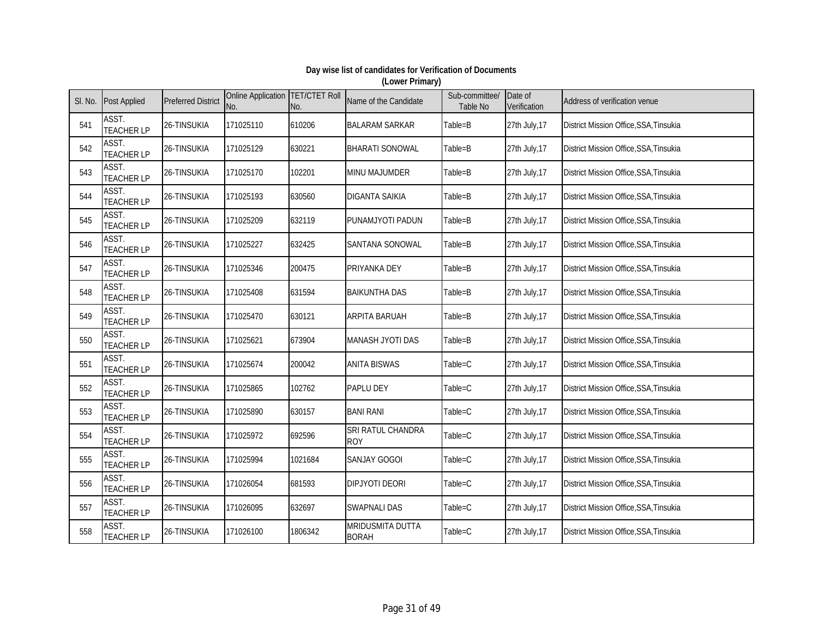| SI. No. | <b>Post Applied</b>        | <b>Preferred District</b> | Online Application   TET/CTET Roll<br>No. | No.     | Name of the Candidate            | Sub-committee/<br><b>Table No</b> | Date of<br>Verification | Address of verification venue                 |
|---------|----------------------------|---------------------------|-------------------------------------------|---------|----------------------------------|-----------------------------------|-------------------------|-----------------------------------------------|
| 541     | ASST.<br><b>TEACHER LP</b> | 26-TINSUKIA               | 171025110                                 | 610206  | <b>BALARAM SARKAR</b>            | Table=B                           | 27th July, 17           | District Mission Office, SSA, Tinsukia        |
| 542     | ASST.<br><b>TEACHER LP</b> | 26-TINSUKIA               | 171025129                                 | 630221  | <b>BHARATI SONOWAL</b>           | Table=B                           | 27th July, 17           | District Mission Office, SSA, Tinsukia        |
| 543     | ASST.<br><b>TEACHER LP</b> | 26-TINSUKIA               | 171025170                                 | 102201  | <b>MINU MAJUMDER</b>             | Table=B                           | 27th July, 17           | District Mission Office, SSA, Tinsukia        |
| 544     | ASST.<br><b>TEACHER LP</b> | 26-TINSUKIA               | 171025193                                 | 630560  | <b>DIGANTA SAIKIA</b>            | Table=B                           | 27th July, 17           | District Mission Office, SSA, Tinsukia        |
| 545     | ASST.<br><b>TEACHER LP</b> | 26-TINSUKIA               | 171025209                                 | 632119  | PUNAMJYOTI PADUN                 | Table=B                           | 27th July, 17           | District Mission Office, SSA, Tinsukia        |
| 546     | ASST.<br><b>TEACHER LP</b> | 26-TINSUKIA               | 171025227                                 | 632425  | SANTANA SONOWAL                  | Table=B                           | 27th July, 17           | District Mission Office, SSA, Tinsukia        |
| 547     | ASST.<br><b>TEACHER LP</b> | 26-TINSUKIA               | 171025346                                 | 200475  | PRIYANKA DEY                     | Table=B                           | 27th July, 17           | District Mission Office, SSA, Tinsukia        |
| 548     | ASST.<br><b>TEACHER LP</b> | 26-TINSUKIA               | 171025408                                 | 631594  | <b>BAIKUNTHA DAS</b>             | Table=B                           | 27th July, 17           | District Mission Office, SSA, Tinsukia        |
| 549     | ASST.<br><b>TEACHER LP</b> | 26-TINSUKIA               | 171025470                                 | 630121  | <b>ARPITA BARUAH</b>             | Table=B                           | 27th July, 17           | District Mission Office, SSA, Tinsukia        |
| 550     | ASST.<br><b>TEACHER LP</b> | 26-TINSUKIA               | 171025621                                 | 673904  | MANASH JYOTI DAS                 | Table=B                           | 27th July, 17           | <b>District Mission Office, SSA, Tinsukia</b> |
| 551     | ASST.<br><b>TEACHER LP</b> | 26-TINSUKIA               | 171025674                                 | 200042  | <b>ANITA BISWAS</b>              | Table=C                           | 27th July, 17           | District Mission Office, SSA, Tinsukia        |
| 552     | ASST.<br><b>TEACHER LP</b> | 26-TINSUKIA               | 171025865                                 | 102762  | PAPLU DEY                        | Table=C                           | 27th July, 17           | District Mission Office, SSA, Tinsukia        |
| 553     | ASST.<br><b>TEACHER LP</b> | 26-TINSUKIA               | 171025890                                 | 630157  | <b>BANI RANI</b>                 | Table=C                           | 27th July, 17           | District Mission Office, SSA, Tinsukia        |
| 554     | ASST.<br><b>TEACHER LP</b> | 26-TINSUKIA               | 171025972                                 | 692596  | SRI RATUL CHANDRA<br><b>ROY</b>  | Table=C                           | 27th July, 17           | District Mission Office, SSA, Tinsukia        |
| 555     | ASST.<br><b>TEACHER LP</b> | 26-TINSUKIA               | 171025994                                 | 1021684 | <b>SANJAY GOGOI</b>              | Table=C                           | 27th July, 17           | District Mission Office, SSA, Tinsukia        |
| 556     | ASST.<br><b>TEACHER LP</b> | 26-TINSUKIA               | 171026054                                 | 681593  | <b>DIPJYOTI DEORI</b>            | Table=C                           | 27th July, 17           | District Mission Office, SSA, Tinsukia        |
| 557     | ASST.<br><b>TEACHER LP</b> | 26-TINSUKIA               | 171026095                                 | 632697  | <b>SWAPNALI DAS</b>              | Table=C                           | 27th July, 17           | District Mission Office, SSA, Tinsukia        |
| 558     | ASST.<br><b>TEACHER LP</b> | 26-TINSUKIA               | 171026100                                 | 1806342 | MRIDUSMITA DUTTA<br><b>BORAH</b> | Table=C                           | 27th July, 17           | District Mission Office, SSA, Tinsukia        |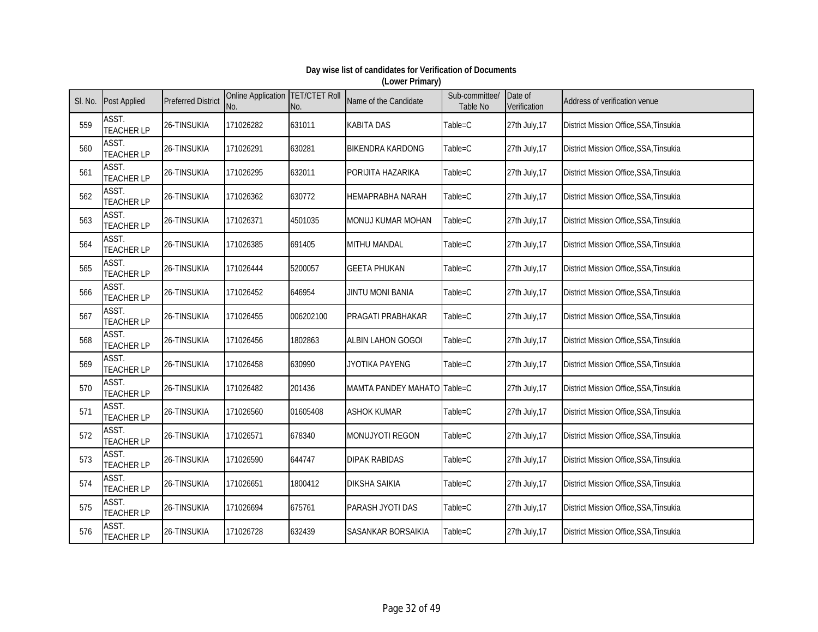| SI. No. | <b>Post Applied</b>        | <b>Preferred District</b> | Online Application TET/CTET Roll<br>No. | No.       | Name of the Candidate       | Sub-committee/<br>Table No | Date of<br>Verification | Address of verification venue          |
|---------|----------------------------|---------------------------|-----------------------------------------|-----------|-----------------------------|----------------------------|-------------------------|----------------------------------------|
| 559     | ASST.<br><b>TEACHER LP</b> | 26-TINSUKIA               | 171026282                               | 631011    | <b>KABITA DAS</b>           | Table=C                    | 27th July, 17           | District Mission Office, SSA, Tinsukia |
| 560     | ASST.<br><b>TEACHER LP</b> | 26-TINSUKIA               | 171026291                               | 630281    | <b>BIKENDRA KARDONG</b>     | Table=C                    | 27th July, 17           | District Mission Office, SSA, Tinsukia |
| 561     | ASST.<br><b>TEACHER LP</b> | 26-TINSUKIA               | 171026295                               | 632011    | PORIJITA HAZARIKA           | Table=C                    | 27th July, 17           | District Mission Office, SSA, Tinsukia |
| 562     | ASST.<br><b>TEACHER LP</b> | 26-TINSUKIA               | 171026362                               | 630772    | <b>HEMAPRABHA NARAH</b>     | Table=C                    | 27th July, 17           | District Mission Office, SSA, Tinsukia |
| 563     | ASST.<br><b>TEACHER LP</b> | 26-TINSUKIA               | 171026371                               | 4501035   | MONUJ KUMAR MOHAN           | Table=C                    | 27th July, 17           | District Mission Office, SSA, Tinsukia |
| 564     | ASST.<br><b>TEACHER LP</b> | 26-TINSUKIA               | 171026385                               | 691405    | MITHU MANDAL                | Table=C                    | 27th July, 17           | District Mission Office, SSA, Tinsukia |
| 565     | ASST.<br><b>TEACHER LP</b> | 26-TINSUKIA               | 171026444                               | 5200057   | <b>GEETA PHUKAN</b>         | Table=C                    | 27th July, 17           | District Mission Office, SSA, Tinsukia |
| 566     | ASST.<br><b>TEACHER LP</b> | 26-TINSUKIA               | 171026452                               | 646954    | <b>JINTU MONI BANIA</b>     | Table=C                    | 27th July, 17           | District Mission Office, SSA, Tinsukia |
| 567     | ASST.<br><b>TEACHER LP</b> | 26-TINSUKIA               | 171026455                               | 006202100 | PRAGATI PRABHAKAR           | Table=C                    | 27th July, 17           | District Mission Office, SSA, Tinsukia |
| 568     | ASST.<br><b>TEACHER LP</b> | 26-TINSUKIA               | 171026456                               | 1802863   | <b>ALBIN LAHON GOGOI</b>    | Table=C                    | 27th July, 17           | District Mission Office, SSA, Tinsukia |
| 569     | ASST.<br><b>TEACHER LP</b> | 26-TINSUKIA               | 171026458                               | 630990    | JYOTIKA PAYENG              | Table=C                    | 27th July, 17           | District Mission Office, SSA, Tinsukia |
| 570     | ASST.<br><b>TEACHER LP</b> | 26-TINSUKIA               | 171026482                               | 201436    | MAMTA PANDEY MAHATO Table=C |                            | 27th July, 17           | District Mission Office, SSA, Tinsukia |
| 571     | ASST.<br><b>TEACHER LP</b> | 26-TINSUKIA               | 171026560                               | 01605408  | <b>ASHOK KUMAR</b>          | Table=C                    | 27th July, 17           | District Mission Office, SSA, Tinsukia |
| 572     | ASST.<br><b>TEACHER LP</b> | 26-TINSUKIA               | 171026571                               | 678340    | MONUJYOTI REGON             | Table=C                    | 27th July, 17           | District Mission Office, SSA, Tinsukia |
| 573     | ASST.<br><b>TEACHER LP</b> | 26-TINSUKIA               | 171026590                               | 644747    | <b>DIPAK RABIDAS</b>        | Table=C                    | 27th July, 17           | District Mission Office, SSA, Tinsukia |
| 574     | ASST.<br><b>TEACHER LP</b> | 26-TINSUKIA               | 171026651                               | 1800412   | <b>DIKSHA SAIKIA</b>        | Table=C                    | 27th July, 17           | District Mission Office, SSA, Tinsukia |
| 575     | ASST.<br><b>TEACHER LP</b> | 26-TINSUKIA               | 171026694                               | 675761    | PARASH JYOTI DAS            | Table=C                    | 27th July, 17           | District Mission Office, SSA, Tinsukia |
| 576     | ASST.<br><b>TEACHER LP</b> | 26-TINSUKIA               | 171026728                               | 632439    | <b>SASANKAR BORSAIKIA</b>   | Table=C                    | 27th July, 17           | District Mission Office, SSA, Tinsukia |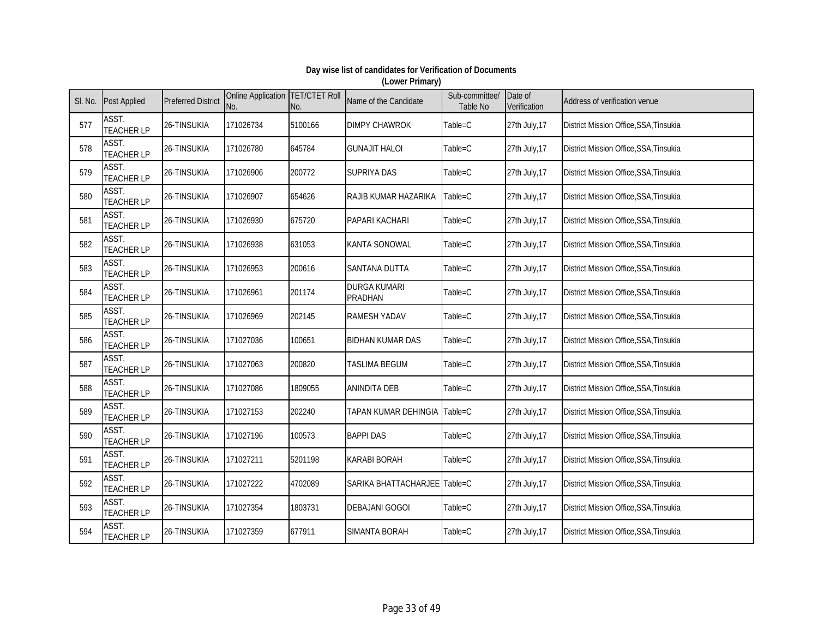| SI. No. | <b>Post Applied</b>        | <b>Preferred District</b> | Online Application TET/CTET Roll<br>No. | No.     | Name of the Candidate                 | Sub-committee/<br>Table No | Date of<br>Verification | Address of verification venue          |
|---------|----------------------------|---------------------------|-----------------------------------------|---------|---------------------------------------|----------------------------|-------------------------|----------------------------------------|
| 577     | ASST.<br><b>TEACHER LP</b> | 26-TINSUKIA               | 171026734                               | 5100166 | <b>DIMPY CHAWROK</b>                  | Table=C                    | 27th July, 17           | District Mission Office, SSA, Tinsukia |
| 578     | ASST.<br><b>TEACHER LP</b> | 26-TINSUKIA               | 171026780                               | 645784  | <b>GUNAJIT HALOI</b>                  | Table=C                    | 27th July, 17           | District Mission Office, SSA, Tinsukia |
| 579     | ASST.<br><b>TEACHER LP</b> | 26-TINSUKIA               | 171026906                               | 200772  | <b>SUPRIYA DAS</b>                    | Table=C                    | 27th July, 17           | District Mission Office, SSA, Tinsukia |
| 580     | ASST.<br><b>TEACHER LP</b> | 26-TINSUKIA               | 171026907                               | 654626  | RAJIB KUMAR HAZARIKA                  | Table=C                    | 27th July, 17           | District Mission Office, SSA, Tinsukia |
| 581     | ASST.<br><b>TEACHER LP</b> | 26-TINSUKIA               | 171026930                               | 675720  | <b>PAPARI KACHARI</b>                 | Table=C                    | 27th July, 17           | District Mission Office, SSA, Tinsukia |
| 582     | ASST.<br><b>TEACHER LP</b> | 26-TINSUKIA               | 171026938                               | 631053  | <b>KANTA SONOWAL</b>                  | Table=C                    | 27th July, 17           | District Mission Office, SSA, Tinsukia |
| 583     | ASST.<br><b>TEACHER LP</b> | 26-TINSUKIA               | 171026953                               | 200616  | SANTANA DUTTA                         | Table=C                    | 27th July, 17           | District Mission Office, SSA, Tinsukia |
| 584     | ASST.<br><b>TEACHER LP</b> | 26-TINSUKIA               | 171026961                               | 201174  | <b>DURGA KUMARI</b><br><b>PRADHAN</b> | Table=C                    | 27th July, 17           | District Mission Office, SSA, Tinsukia |
| 585     | ASST.<br><b>TEACHER LP</b> | 26-TINSUKIA               | 171026969                               | 202145  | <b>RAMESH YADAV</b>                   | Table=C                    | 27th July, 17           | District Mission Office, SSA, Tinsukia |
| 586     | ASST.<br><b>TEACHER LP</b> | 26-TINSUKIA               | 171027036                               | 100651  | <b>BIDHAN KUMAR DAS</b>               | Table=C                    | 27th July, 17           | District Mission Office, SSA, Tinsukia |
| 587     | ASST.<br><b>TEACHER LP</b> | 26-TINSUKIA               | 171027063                               | 200820  | <b>TASLIMA BEGUM</b>                  | Table=C                    | 27th July, 17           | District Mission Office, SSA, Tinsukia |
| 588     | ASST.<br><b>TEACHER LP</b> | 26-TINSUKIA               | 171027086                               | 1809055 | <b>ANINDITA DEB</b>                   | Table=C                    | 27th July, 17           | District Mission Office, SSA, Tinsukia |
| 589     | ASST.<br><b>TEACHER LP</b> | 26-TINSUKIA               | 171027153                               | 202240  | TAPAN KUMAR DEHINGIA Table=C          |                            | 27th July, 17           | District Mission Office, SSA, Tinsukia |
| 590     | ASST.<br><b>TEACHER LP</b> | 26-TINSUKIA               | 171027196                               | 100573  | <b>BAPPI DAS</b>                      | Table=C                    | 27th July, 17           | District Mission Office, SSA, Tinsukia |
| 591     | ASST.<br><b>TEACHER LP</b> | 26-TINSUKIA               | 171027211                               | 5201198 | <b>KARABI BORAH</b>                   | Table=C                    | 27th July, 17           | District Mission Office, SSA, Tinsukia |
| 592     | ASST.<br><b>TEACHER LP</b> | 26-TINSUKIA               | 171027222                               | 4702089 | SARIKA BHATTACHARJEE Table=C          |                            | 27th July, 17           | District Mission Office, SSA, Tinsukia |
| 593     | ASST.<br><b>TEACHER LP</b> | 26-TINSUKIA               | 171027354                               | 1803731 | <b>DEBAJANI GOGOI</b>                 | Table=C                    | 27th July, 17           | District Mission Office, SSA, Tinsukia |
| 594     | ASST.<br><b>TEACHER LP</b> | 26-TINSUKIA               | 171027359                               | 677911  | <b>SIMANTA BORAH</b>                  | Table=C                    | 27th July, 17           | District Mission Office, SSA, Tinsukia |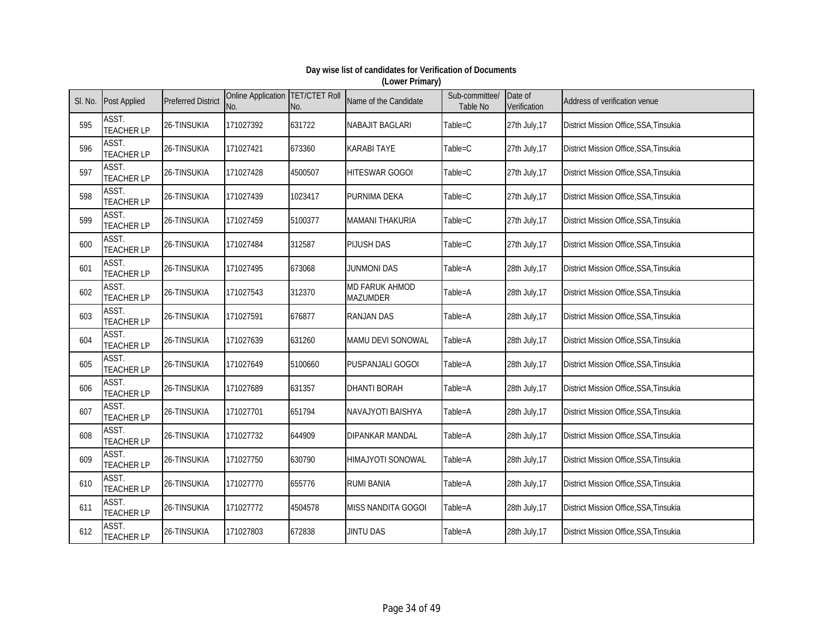| SI. No. | <b>Post Applied</b>        | <b>Preferred District</b> | Online Application TET/CTET Roll<br>No. | No.     | Name of the Candidate             | Sub-committee/<br>Table No | Date of<br>Verification | Address of verification venue                 |
|---------|----------------------------|---------------------------|-----------------------------------------|---------|-----------------------------------|----------------------------|-------------------------|-----------------------------------------------|
| 595     | ASST.<br><b>TEACHER LP</b> | 26-TINSUKIA               | 171027392                               | 631722  | <b>NABAJIT BAGLARI</b>            | Table=C                    | 27th July, 17           | District Mission Office, SSA, Tinsukia        |
| 596     | ASST.<br><b>TEACHER LP</b> | 26-TINSUKIA               | 171027421                               | 673360  | <b>KARABI TAYE</b>                | Table=C                    | 27th July, 17           | District Mission Office, SSA, Tinsukia        |
| 597     | ASST.<br><b>TEACHER LP</b> | 26-TINSUKIA               | 171027428                               | 4500507 | <b>HITESWAR GOGOI</b>             | Table=C                    | 27th July, 17           | District Mission Office, SSA, Tinsukia        |
| 598     | ASST.<br><b>TEACHER LP</b> | 26-TINSUKIA               | 171027439                               | 1023417 | PURNIMA DEKA                      | Table=C                    | 27th July, 17           | District Mission Office, SSA, Tinsukia        |
| 599     | ASST.<br><b>TEACHER LP</b> | 26-TINSUKIA               | 171027459                               | 5100377 | <b>MAMANI THAKURIA</b>            | Table=C                    | 27th July, 17           | District Mission Office, SSA, Tinsukia        |
| 600     | ASST.<br><b>TEACHER LP</b> | 26-TINSUKIA               | 171027484                               | 312587  | <b>PIJUSH DAS</b>                 | Table=C                    | 27th July, 17           | District Mission Office, SSA, Tinsukia        |
| 601     | ASST.<br><b>TEACHER LP</b> | 26-TINSUKIA               | 171027495                               | 673068  | <b>JUNMONI DAS</b>                | Table=A                    | 28th July, 17           | District Mission Office, SSA, Tinsukia        |
| 602     | ASST.<br><b>TEACHER LP</b> | 26-TINSUKIA               | 171027543                               | 312370  | MD FARUK AHMOD<br><b>MAZUMDER</b> | Table=A                    | 28th July, 17           | <b>District Mission Office, SSA, Tinsukia</b> |
| 603     | ASST.<br><b>TEACHER LP</b> | 26-TINSUKIA               | 171027591                               | 676877  | <b>RANJAN DAS</b>                 | Table=A                    | 28th July, 17           | District Mission Office, SSA, Tinsukia        |
| 604     | ASST.<br><b>TEACHER LP</b> | 26-TINSUKIA               | 171027639                               | 631260  | MAMU DEVI SONOWAL                 | Table=A                    | 28th July, 17           | District Mission Office, SSA, Tinsukia        |
| 605     | ASST.<br><b>TEACHER LP</b> | 26-TINSUKIA               | 171027649                               | 5100660 | <b>PUSPANJALI GOGOI</b>           | Table=A                    | 28th July, 17           | <b>District Mission Office, SSA, Tinsukia</b> |
| 606     | ASST.<br><b>TEACHER LP</b> | 26-TINSUKIA               | 171027689                               | 631357  | <b>DHANTI BORAH</b>               | Table=A                    | 28th July, 17           | District Mission Office, SSA, Tinsukia        |
| 607     | ASST.<br><b>TEACHER LP</b> | 26-TINSUKIA               | 171027701                               | 651794  | NAVAJYOTI BAISHYA                 | Table=A                    | 28th July, 17           | District Mission Office, SSA, Tinsukia        |
| 608     | ASST.<br><b>TEACHER LP</b> | 26-TINSUKIA               | 171027732                               | 644909  | <b>DIPANKAR MANDAL</b>            | Table=A                    | 28th July, 17           | District Mission Office, SSA, Tinsukia        |
| 609     | ASST.<br><b>TEACHER LP</b> | 26-TINSUKIA               | 171027750                               | 630790  | <b>HIMAJYOTI SONOWAL</b>          | Table=A                    | 28th July, 17           | District Mission Office, SSA, Tinsukia        |
| 610     | ASST.<br><b>TEACHER LP</b> | 26-TINSUKIA               | 171027770                               | 655776  | <b>RUMI BANIA</b>                 | Table=A                    | 28th July, 17           | District Mission Office, SSA, Tinsukia        |
| 611     | ASST.<br><b>TEACHER LP</b> | 26-TINSUKIA               | 171027772                               | 4504578 | MISS NANDITA GOGOI                | Table=A                    | 28th July, 17           | District Mission Office, SSA, Tinsukia        |
| 612     | ASST.<br><b>TEACHER LP</b> | 26-TINSUKIA               | 171027803                               | 672838  | <b>JINTU DAS</b>                  | Table=A                    | 28th July, 17           | District Mission Office, SSA, Tinsukia        |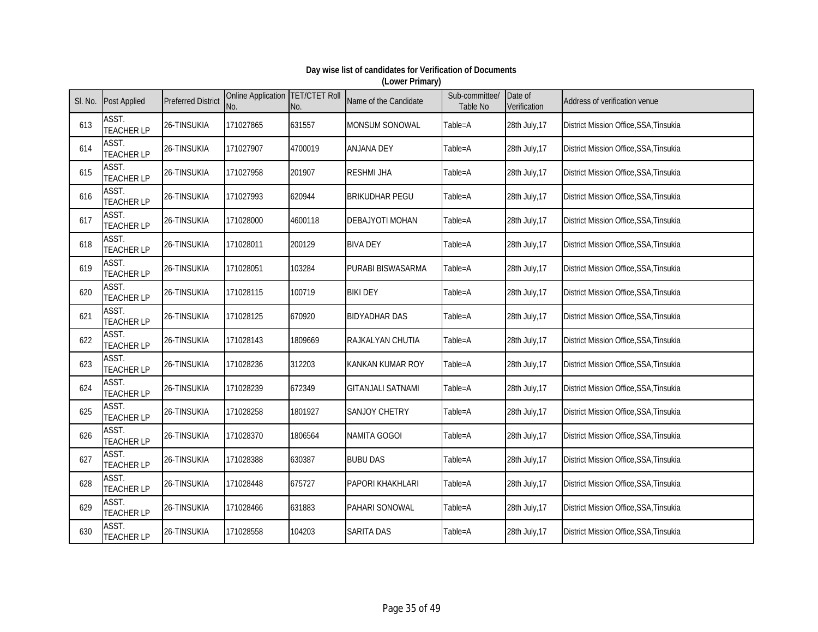| SI. No. | <b>Post Applied</b>        | <b>Preferred District</b> | Online Application<br>No. | <b>TET/CTET Roll</b><br>No. | Name of the Candidate    | Sub-committee/<br><b>Table No</b> | Date of<br>Verification | Address of verification venue                 |
|---------|----------------------------|---------------------------|---------------------------|-----------------------------|--------------------------|-----------------------------------|-------------------------|-----------------------------------------------|
| 613     | ASST.<br><b>TEACHER LP</b> | 26-TINSUKIA               | 171027865                 | 631557                      | MONSUM SONOWAL           | Table=A                           | 28th July, 17           | District Mission Office, SSA, Tinsukia        |
| 614     | ASST.<br><b>TEACHER LP</b> | 26-TINSUKIA               | 171027907                 | 4700019                     | <b>ANJANA DEY</b>        | Table=A                           | 28th July, 17           | District Mission Office, SSA, Tinsukia        |
| 615     | ASST.<br><b>TEACHER LP</b> | 26-TINSUKIA               | 171027958                 | 201907                      | <b>RESHMI JHA</b>        | Table=A                           | 28th July, 17           | District Mission Office, SSA, Tinsukia        |
| 616     | ASST.<br><b>TEACHER LP</b> | 26-TINSUKIA               | 171027993                 | 620944                      | <b>BRIKUDHAR PEGU</b>    | Table=A                           | 28th July, 17           | District Mission Office, SSA, Tinsukia        |
| 617     | ASST.<br><b>TEACHER LP</b> | 26-TINSUKIA               | 171028000                 | 4600118                     | <b>DEBAJYOTI MOHAN</b>   | Table=A                           | 28th July, 17           | District Mission Office, SSA, Tinsukia        |
| 618     | ASST.<br><b>TEACHER LP</b> | 26-TINSUKIA               | 171028011                 | 200129                      | <b>BIVA DEY</b>          | Table=A                           | 28th July, 17           | District Mission Office, SSA, Tinsukia        |
| 619     | ASST.<br><b>TEACHER LP</b> | 26-TINSUKIA               | 171028051                 | 103284                      | PURABI BISWASARMA        | Table=A                           | 28th July, 17           | District Mission Office, SSA, Tinsukia        |
| 620     | ASST.<br><b>TEACHER LP</b> | 26-TINSUKIA               | 171028115                 | 100719                      | <b>BIKI DEY</b>          | Table=A                           | 28th July, 17           | District Mission Office, SSA, Tinsukia        |
| 621     | ASST.<br><b>TEACHER LP</b> | 26-TINSUKIA               | 171028125                 | 670920                      | <b>BIDYADHAR DAS</b>     | Table=A                           | 28th July, 17           | District Mission Office, SSA, Tinsukia        |
| 622     | ASST.<br><b>TEACHER LP</b> | 26-TINSUKIA               | 171028143                 | 1809669                     | RAJKALYAN CHUTIA         | Table=A                           | 28th July, 17           | <b>District Mission Office, SSA, Tinsukia</b> |
| 623     | ASST.<br><b>TEACHER LP</b> | 26-TINSUKIA               | 171028236                 | 312203                      | <b>KANKAN KUMAR ROY</b>  | Table=A                           | 28th July, 17           | District Mission Office, SSA, Tinsukia        |
| 624     | ASST.<br><b>TEACHER LP</b> | 26-TINSUKIA               | 171028239                 | 672349                      | <b>GITANJALI SATNAMI</b> | Table=A                           | 28th July, 17           | District Mission Office, SSA, Tinsukia        |
| 625     | ASST.<br><b>TEACHER LP</b> | 26-TINSUKIA               | 171028258                 | 1801927                     | SANJOY CHETRY            | Table=A                           | 28th July, 17           | District Mission Office, SSA, Tinsukia        |
| 626     | ASST.<br><b>TEACHER LP</b> | 26-TINSUKIA               | 171028370                 | 1806564                     | NAMITA GOGOI             | Table=A                           | 28th July, 17           | District Mission Office, SSA, Tinsukia        |
| 627     | ASST.<br><b>TEACHER LP</b> | 26-TINSUKIA               | 171028388                 | 630387                      | <b>BUBU DAS</b>          | Table=A                           | 28th July, 17           | District Mission Office, SSA, Tinsukia        |
| 628     | ASST.<br><b>TEACHER LP</b> | 26-TINSUKIA               | 171028448                 | 675727                      | <b>PAPORI KHAKHLARI</b>  | Table=A                           | 28th July, 17           | District Mission Office, SSA, Tinsukia        |
| 629     | ASST.<br><b>TEACHER LP</b> | 26-TINSUKIA               | 171028466                 | 631883                      | PAHARI SONOWAL           | Table=A                           | 28th July, 17           | District Mission Office, SSA, Tinsukia        |
| 630     | ASST.<br><b>TEACHER LP</b> | 26-TINSUKIA               | 171028558                 | 104203                      | <b>SARITA DAS</b>        | Table=A                           | 28th July, 17           | District Mission Office, SSA, Tinsukia        |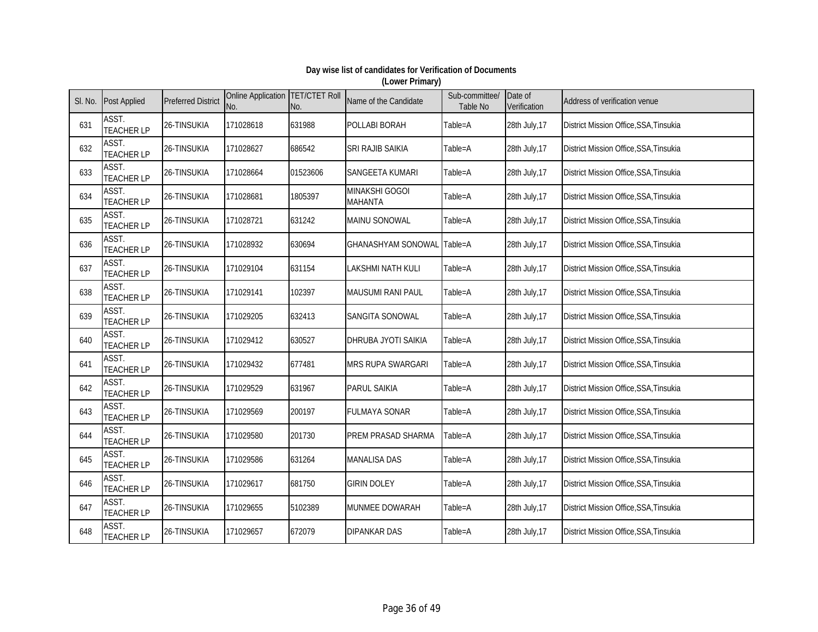| SI. No. | <b>Post Applied</b>        | <b>Preferred District</b> | Online Application TET/CTET Roll<br>No. | No.      | Name of the Candidate            | Sub-committee/<br>Table No | Date of<br>Verification | Address of verification venue                 |
|---------|----------------------------|---------------------------|-----------------------------------------|----------|----------------------------------|----------------------------|-------------------------|-----------------------------------------------|
| 631     | ASST.<br><b>TEACHER LP</b> | 26-TINSUKIA               | 171028618                               | 631988   | POLLABI BORAH                    | Table=A                    | 28th July, 17           | District Mission Office, SSA, Tinsukia        |
| 632     | ASST.<br><b>TEACHER LP</b> | 26-TINSUKIA               | 171028627                               | 686542   | SRI RAJIB SAIKIA                 | Table=A                    | 28th July, 17           | District Mission Office, SSA, Tinsukia        |
| 633     | ASST.<br><b>TEACHER LP</b> | 26-TINSUKIA               | 171028664                               | 01523606 | SANGEETA KUMARI                  | Table=A                    | 28th July, 17           | District Mission Office, SSA, Tinsukia        |
| 634     | ASST.<br><b>TEACHER LP</b> | 26-TINSUKIA               | 171028681                               | 1805397  | MINAKSHI GOGOI<br><b>MAHANTA</b> | Table=A                    | 28th July, 17           | District Mission Office, SSA, Tinsukia        |
| 635     | ASST.<br><b>TEACHER LP</b> | 26-TINSUKIA               | 171028721                               | 631242   | MAINU SONOWAL                    | Table=A                    | 28th July, 17           | District Mission Office, SSA, Tinsukia        |
| 636     | ASST.<br><b>TEACHER LP</b> | 26-TINSUKIA               | 171028932                               | 630694   | <b>GHANASHYAM SONOWAL</b>        | Table=A                    | 28th July, 17           | District Mission Office, SSA, Tinsukia        |
| 637     | ASST.<br><b>TEACHER LP</b> | 26-TINSUKIA               | 171029104                               | 631154   | <b>LAKSHMI NATH KULI</b>         | Table=A                    | 28th July, 17           | District Mission Office, SSA, Tinsukia        |
| 638     | ASST.<br><b>TEACHER LP</b> | 26-TINSUKIA               | 171029141                               | 102397   | MAUSUMI RANI PAUL                | Table=A                    | 28th July, 17           | <b>District Mission Office, SSA, Tinsukia</b> |
| 639     | ASST.<br><b>TEACHER LP</b> | 26-TINSUKIA               | 171029205                               | 632413   | SANGITA SONOWAL                  | Table=A                    | 28th July, 17           | District Mission Office, SSA, Tinsukia        |
| 640     | ASST.<br><b>TEACHER LP</b> | 26-TINSUKIA               | 171029412                               | 630527   | DHRUBA JYOTI SAIKIA              | Table=A                    | 28th July, 17           | District Mission Office, SSA, Tinsukia        |
| 641     | ASST.<br><b>TEACHER LP</b> | 26-TINSUKIA               | 171029432                               | 677481   | MRS RUPA SWARGARI                | Table=A                    | 28th July, 17           | <b>District Mission Office, SSA, Tinsukia</b> |
| 642     | ASST.<br><b>TEACHER LP</b> | 26-TINSUKIA               | 171029529                               | 631967   | <b>PARUL SAIKIA</b>              | Table=A                    | 28th July, 17           | District Mission Office, SSA, Tinsukia        |
| 643     | ASST.<br><b>TEACHER LP</b> | 26-TINSUKIA               | 171029569                               | 200197   | <b>FULMAYA SONAR</b>             | Table=A                    | 28th July, 17           | District Mission Office, SSA, Tinsukia        |
| 644     | ASST.<br><b>TEACHER LP</b> | 26-TINSUKIA               | 171029580                               | 201730   | PREM PRASAD SHARMA               | Table=A                    | 28th July, 17           | District Mission Office, SSA, Tinsukia        |
| 645     | ASST.<br><b>TEACHER LP</b> | 26-TINSUKIA               | 171029586                               | 631264   | <b>MANALISA DAS</b>              | Table=A                    | 28th July, 17           | District Mission Office, SSA, Tinsukia        |
| 646     | ASST.<br><b>TEACHER LP</b> | 26-TINSUKIA               | 171029617                               | 681750   | <b>GIRIN DOLEY</b>               | Table=A                    | 28th July, 17           | District Mission Office, SSA, Tinsukia        |
| 647     | ASST.<br><b>TEACHER LP</b> | 26-TINSUKIA               | 171029655                               | 5102389  | MUNMEE DOWARAH                   | Table=A                    | 28th July, 17           | District Mission Office, SSA, Tinsukia        |
| 648     | ASST.<br><b>TEACHER LP</b> | 26-TINSUKIA               | 171029657                               | 672079   | <b>DIPANKAR DAS</b>              | Table=A                    | 28th July, 17           | District Mission Office, SSA, Tinsukia        |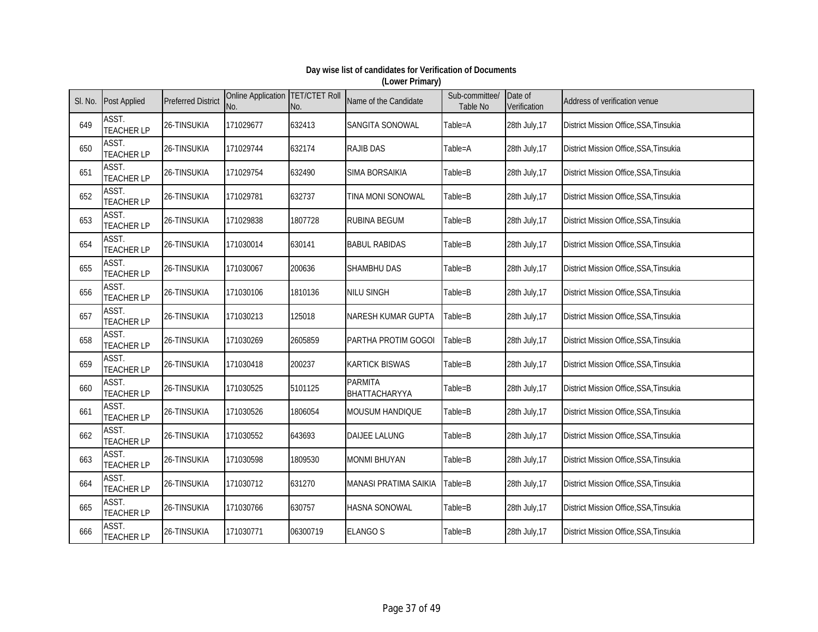| SI. No. | <b>Post Applied</b>        | <b>Preferred District</b> | Online Application TET/CTET Roll<br>No. | No.      | Name of the Candidate           | Sub-committee/<br>Table No | Date of<br>Verification | Address of verification venue          |
|---------|----------------------------|---------------------------|-----------------------------------------|----------|---------------------------------|----------------------------|-------------------------|----------------------------------------|
| 649     | ASST.<br><b>TEACHER LP</b> | 26-TINSUKIA               | 171029677                               | 632413   | SANGITA SONOWAL                 | Table=A                    | 28th July, 17           | District Mission Office, SSA, Tinsukia |
| 650     | ASST.<br><b>TEACHER LP</b> | 26-TINSUKIA               | 171029744                               | 632174   | <b>RAJIB DAS</b>                | Table=A                    | 28th July, 17           | District Mission Office, SSA, Tinsukia |
| 651     | ASST.<br><b>TEACHER LP</b> | 26-TINSUKIA               | 171029754                               | 632490   | <b>SIMA BORSAIKIA</b>           | Table=B                    | 28th July, 17           | District Mission Office, SSA, Tinsukia |
| 652     | ASST.<br><b>TEACHER LP</b> | 26-TINSUKIA               | 171029781                               | 632737   | TINA MONI SONOWAL               | Table=B                    | 28th July, 17           | District Mission Office, SSA, Tinsukia |
| 653     | ASST.<br><b>TEACHER LP</b> | 26-TINSUKIA               | 171029838                               | 1807728  | <b>RUBINA BEGUM</b>             | Table=B                    | 28th July, 17           | District Mission Office, SSA, Tinsukia |
| 654     | ASST.<br><b>TEACHER LP</b> | 26-TINSUKIA               | 171030014                               | 630141   | <b>BABUL RABIDAS</b>            | Table=B                    | 28th July, 17           | District Mission Office, SSA, Tinsukia |
| 655     | ASST.<br><b>TEACHER LP</b> | 26-TINSUKIA               | 171030067                               | 200636   | SHAMBHU DAS                     | Table=B                    | 28th July, 17           | District Mission Office, SSA, Tinsukia |
| 656     | ASST.<br><b>TEACHER LP</b> | 26-TINSUKIA               | 171030106                               | 1810136  | <b>NILU SINGH</b>               | Table=B                    | 28th July, 17           | District Mission Office, SSA, Tinsukia |
| 657     | ASST.<br><b>TEACHER LP</b> | 26-TINSUKIA               | 171030213                               | 125018   | <b>NARESH KUMAR GUPTA</b>       | Table=B                    | 28th July, 17           | District Mission Office, SSA, Tinsukia |
| 658     | ASST.<br><b>TEACHER LP</b> | 26-TINSUKIA               | 171030269                               | 2605859  | PARTHA PROTIM GOGOI             | Table=B                    | 28th July, 17           | District Mission Office, SSA, Tinsukia |
| 659     | ASST.<br><b>TEACHER LP</b> | 26-TINSUKIA               | 171030418                               | 200237   | <b>KARTICK BISWAS</b>           | Table=B                    | 28th July, 17           | District Mission Office, SSA, Tinsukia |
| 660     | ASST.<br><b>TEACHER LP</b> | 26-TINSUKIA               | 171030525                               | 5101125  | <b>PARMITA</b><br>BHATTACHARYYA | Table=B                    | 28th July, 17           | District Mission Office, SSA, Tinsukia |
| 661     | ASST.<br><b>TEACHER LP</b> | 26-TINSUKIA               | 171030526                               | 1806054  | <b>MOUSUM HANDIQUE</b>          | Table=B                    | 28th July, 17           | District Mission Office, SSA, Tinsukia |
| 662     | ASST.<br><b>TEACHER LP</b> | 26-TINSUKIA               | 171030552                               | 643693   | <b>DAIJEE LALUNG</b>            | Table=B                    | 28th July, 17           | District Mission Office, SSA, Tinsukia |
| 663     | ASST.<br><b>TEACHER LP</b> | 26-TINSUKIA               | 171030598                               | 1809530  | <b>MONMI BHUYAN</b>             | Table=B                    | 28th July, 17           | District Mission Office, SSA, Tinsukia |
| 664     | ASST.<br><b>TEACHER LP</b> | 26-TINSUKIA               | 171030712                               | 631270   | <b>MANASI PRATIMA SAIKIA</b>    | Table=B                    | 28th July, 17           | District Mission Office, SSA, Tinsukia |
| 665     | ASST.<br><b>TEACHER LP</b> | 26-TINSUKIA               | 171030766                               | 630757   | <b>HASNA SONOWAL</b>            | Table=B                    | 28th July, 17           | District Mission Office, SSA, Tinsukia |
| 666     | ASST.<br><b>TEACHER LP</b> | 26-TINSUKIA               | 171030771                               | 06300719 | <b>ELANGO S</b>                 | Table=B                    | 28th July, 17           | District Mission Office, SSA, Tinsukia |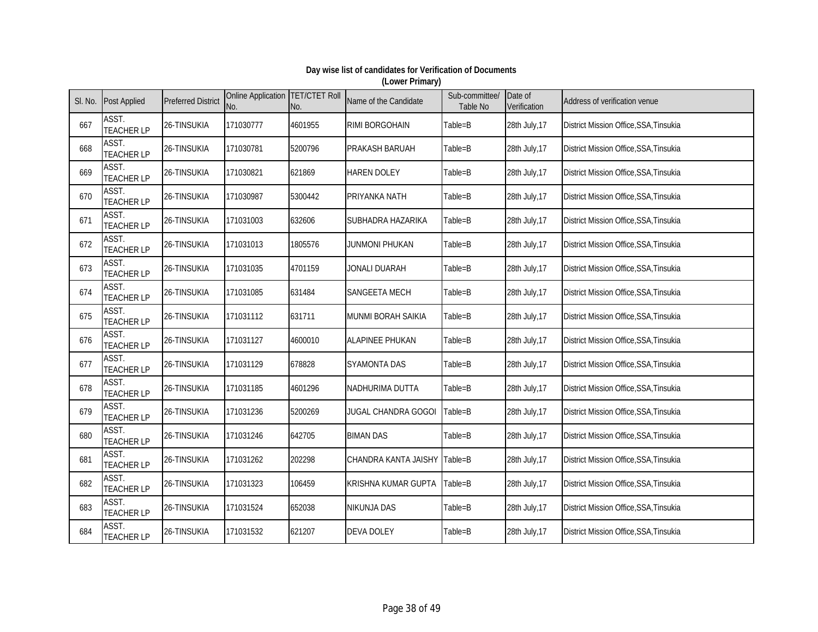| SI. No. | <b>Post Applied</b>        | <b>Preferred District</b> | Online Application TET/CTET Roll<br>No. | No.     | Name of the Candidate        | Sub-committee/<br>Table No | Date of<br>Verification | Address of verification venue                 |
|---------|----------------------------|---------------------------|-----------------------------------------|---------|------------------------------|----------------------------|-------------------------|-----------------------------------------------|
| 667     | ASST.<br><b>TEACHER LP</b> | 26-TINSUKIA               | 171030777                               | 4601955 | <b>RIMI BORGOHAIN</b>        | Table=B                    | 28th July, 17           | District Mission Office, SSA, Tinsukia        |
| 668     | ASST.<br><b>TEACHER LP</b> | 26-TINSUKIA               | 171030781                               | 5200796 | PRAKASH BARUAH               | Table=B                    | 28th July, 17           | District Mission Office, SSA, Tinsukia        |
| 669     | ASST.<br><b>TEACHER LP</b> | 26-TINSUKIA               | 171030821                               | 621869  | <b>HAREN DOLEY</b>           | Table=B                    | 28th July, 17           | District Mission Office, SSA, Tinsukia        |
| 670     | ASST.<br><b>TEACHER LP</b> | 26-TINSUKIA               | 171030987                               | 5300442 | PRIYANKA NATH                | Table=B                    | 28th July, 17           | District Mission Office, SSA, Tinsukia        |
| 671     | ASST.<br><b>TEACHER LP</b> | 26-TINSUKIA               | 171031003                               | 632606  | SUBHADRA HAZARIKA            | Table=B                    | 28th July, 17           | District Mission Office, SSA, Tinsukia        |
| 672     | ASST.<br><b>TEACHER LP</b> | 26-TINSUKIA               | 171031013                               | 1805576 | <b>JUNMONI PHUKAN</b>        | Table=B                    | 28th July, 17           | District Mission Office, SSA, Tinsukia        |
| 673     | ASST.<br><b>TEACHER LP</b> | 26-TINSUKIA               | 171031035                               | 4701159 | JONALI DUARAH                | Table=B                    | 28th July, 17           | District Mission Office, SSA, Tinsukia        |
| 674     | ASST.<br><b>TEACHER LP</b> | 26-TINSUKIA               | 171031085                               | 631484  | <b>SANGEETA MECH</b>         | Table=B                    | 28th July, 17           | <b>District Mission Office, SSA, Tinsukia</b> |
| 675     | ASST.<br><b>TEACHER LP</b> | 26-TINSUKIA               | 171031112                               | 631711  | MUNMI BORAH SAIKIA           | Table=B                    | 28th July, 17           | District Mission Office, SSA, Tinsukia        |
| 676     | ASST.<br><b>TEACHER LP</b> | 26-TINSUKIA               | 171031127                               | 4600010 | <b>ALAPINEE PHUKAN</b>       | Table=B                    | 28th July, 17           | District Mission Office, SSA, Tinsukia        |
| 677     | ASST.<br><b>TEACHER LP</b> | 26-TINSUKIA               | 171031129                               | 678828  | <b>SYAMONTA DAS</b>          | Table=B                    | 28th July, 17           | District Mission Office, SSA, Tinsukia        |
| 678     | ASST.<br><b>TEACHER LP</b> | 26-TINSUKIA               | 171031185                               | 4601296 | NADHURIMA DUTTA              | Table=B                    | 28th July, 17           | District Mission Office, SSA, Tinsukia        |
| 679     | ASST.<br><b>TEACHER LP</b> | 26-TINSUKIA               | 171031236                               | 5200269 | JUGAL CHANDRA GOGOI          | Table=B                    | 28th July, 17           | District Mission Office, SSA, Tinsukia        |
| 680     | ASST.<br><b>TEACHER LP</b> | 26-TINSUKIA               | 171031246                               | 642705  | <b>BIMAN DAS</b>             | Table=B                    | 28th July, 17           | District Mission Office, SSA, Tinsukia        |
| 681     | ASST.<br><b>TEACHER LP</b> | 26-TINSUKIA               | 171031262                               | 202298  | CHANDRA KANTA JAISHY Table=B |                            | 28th July, 17           | District Mission Office, SSA, Tinsukia        |
| 682     | ASST.<br><b>TEACHER LP</b> | 26-TINSUKIA               | 171031323                               | 106459  | <b>KRISHNA KUMAR GUPTA</b>   | Table=B                    | 28th July, 17           | District Mission Office, SSA, Tinsukia        |
| 683     | ASST.<br><b>TEACHER LP</b> | 26-TINSUKIA               | 171031524                               | 652038  | <b>NIKUNJA DAS</b>           | Table=B                    | 28th July, 17           | District Mission Office, SSA, Tinsukia        |
| 684     | ASST.<br><b>TEACHER LP</b> | 26-TINSUKIA               | 171031532                               | 621207  | <b>DEVA DOLEY</b>            | Table=B                    | 28th July, 17           | District Mission Office, SSA, Tinsukia        |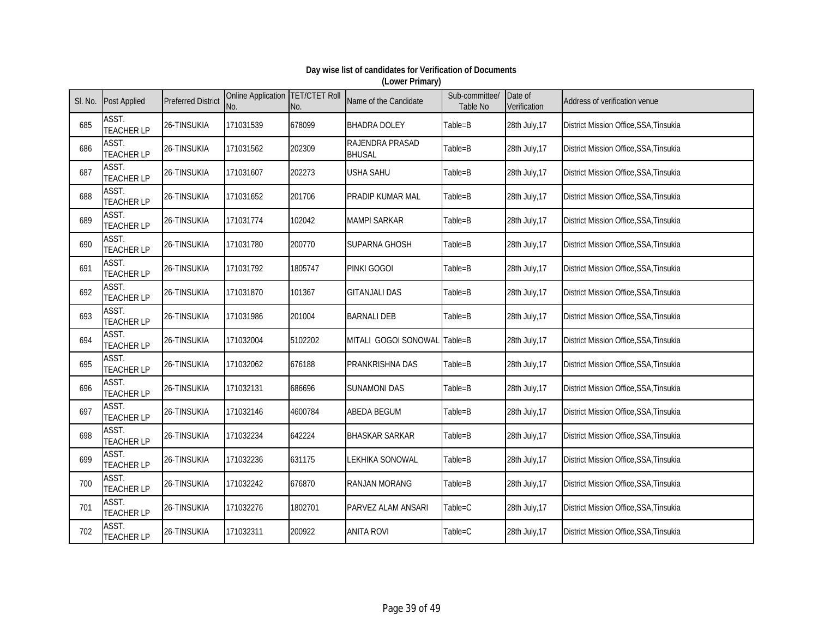| SI. No. | <b>Post Applied</b>        | <b>Preferred District</b> | Online Application TET/CTET Roll<br>No. | No.     | Name of the Candidate            | Sub-committee/<br>Table No | Date of<br>Verification | Address of verification venue                 |
|---------|----------------------------|---------------------------|-----------------------------------------|---------|----------------------------------|----------------------------|-------------------------|-----------------------------------------------|
| 685     | ASST.<br><b>TEACHER LP</b> | 26-TINSUKIA               | 171031539                               | 678099  | <b>BHADRA DOLEY</b>              | Table=B                    | 28th July, 17           | District Mission Office, SSA, Tinsukia        |
| 686     | ASST.<br><b>TEACHER LP</b> | 26-TINSUKIA               | 171031562                               | 202309  | RAJENDRA PRASAD<br><b>BHUSAL</b> | Table=B                    | 28th July, 17           | District Mission Office, SSA, Tinsukia        |
| 687     | ASST.<br><b>TEACHER LP</b> | 26-TINSUKIA               | 171031607                               | 202273  | <b>USHA SAHU</b>                 | Table=B                    | 28th July, 17           | District Mission Office, SSA, Tinsukia        |
| 688     | ASST.<br><b>TEACHER LP</b> | 26-TINSUKIA               | 171031652                               | 201706  | PRADIP KUMAR MAL                 | Table=B                    | 28th July, 17           | District Mission Office, SSA, Tinsukia        |
| 689     | ASST.<br><b>TEACHER LP</b> | 26-TINSUKIA               | 171031774                               | 102042  | <b>MAMPI SARKAR</b>              | Table=B                    | 28th July, 17           | District Mission Office, SSA, Tinsukia        |
| 690     | ASST.<br><b>TEACHER LP</b> | 26-TINSUKIA               | 171031780                               | 200770  | <b>SUPARNA GHOSH</b>             | Table=B                    | 28th July, 17           | District Mission Office, SSA, Tinsukia        |
| 691     | ASST.<br><b>TEACHER LP</b> | 26-TINSUKIA               | 171031792                               | 1805747 | PINKI GOGOI                      | Table=B                    | 28th July, 17           | District Mission Office, SSA, Tinsukia        |
| 692     | ASST.<br><b>TEACHER LP</b> | 26-TINSUKIA               | 171031870                               | 101367  | <b>GITANJALI DAS</b>             | Table=B                    | 28th July, 17           | <b>District Mission Office, SSA, Tinsukia</b> |
| 693     | ASST.<br><b>TEACHER LP</b> | 26-TINSUKIA               | 171031986                               | 201004  | <b>BARNALI DEB</b>               | Table=B                    | 28th July, 17           | District Mission Office, SSA, Tinsukia        |
| 694     | ASST.<br><b>TEACHER LP</b> | 26-TINSUKIA               | 171032004                               | 5102202 | MITALI GOGOI SONOWAL Table=B     |                            | 28th July, 17           | District Mission Office, SSA, Tinsukia        |
| 695     | ASST.<br><b>TEACHER LP</b> | 26-TINSUKIA               | 171032062                               | 676188  | <b>PRANKRISHNA DAS</b>           | Table=B                    | 28th July, 17           | <b>District Mission Office, SSA, Tinsukia</b> |
| 696     | ASST.<br><b>TEACHER LP</b> | 26-TINSUKIA               | 171032131                               | 686696  | <b>SUNAMONI DAS</b>              | Table=B                    | 28th July, 17           | District Mission Office, SSA, Tinsukia        |
| 697     | ASST.<br><b>TEACHER LP</b> | 26-TINSUKIA               | 171032146                               | 4600784 | <b>ABEDA BEGUM</b>               | Table=B                    | 28th July, 17           | District Mission Office, SSA, Tinsukia        |
| 698     | ASST.<br><b>TEACHER LP</b> | 26-TINSUKIA               | 171032234                               | 642224  | <b>BHASKAR SARKAR</b>            | Table=B                    | 28th July, 17           | District Mission Office, SSA, Tinsukia        |
| 699     | ASST.<br><b>TEACHER LP</b> | 26-TINSUKIA               | 171032236                               | 631175  | LEKHIKA SONOWAL                  | Table=B                    | 28th July, 17           | District Mission Office, SSA, Tinsukia        |
| 700     | ASST.<br><b>TEACHER LP</b> | 26-TINSUKIA               | 171032242                               | 676870  | <b>RANJAN MORANG</b>             | Table=B                    | 28th July, 17           | District Mission Office, SSA, Tinsukia        |
| 701     | ASST.<br><b>TEACHER LP</b> | 26-TINSUKIA               | 171032276                               | 1802701 | PARVEZ ALAM ANSARI               | Table=C                    | 28th July, 17           | District Mission Office, SSA, Tinsukia        |
| 702     | ASST.<br><b>TEACHER LP</b> | 26-TINSUKIA               | 171032311                               | 200922  | <b>ANITA ROVI</b>                | Table=C                    | 28th July, 17           | District Mission Office, SSA, Tinsukia        |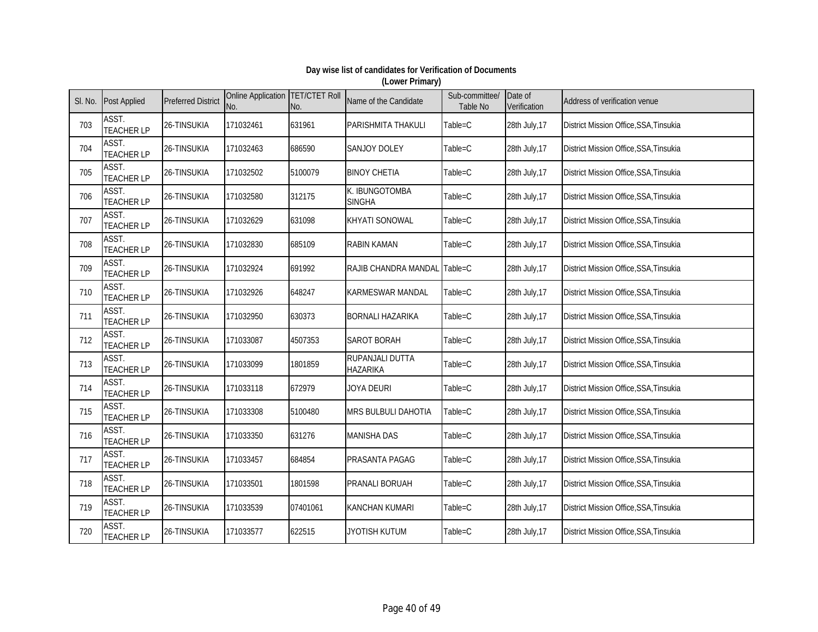| SI. No. | <b>Post Applied</b>        | <b>Preferred District</b> | Online Application TET/CTET Roll<br>No. | No.      | Name of the Candidate              | Sub-committee/<br>Table No | Date of<br>Verification | Address of verification venue          |
|---------|----------------------------|---------------------------|-----------------------------------------|----------|------------------------------------|----------------------------|-------------------------|----------------------------------------|
| 703     | ASST.<br><b>TEACHER LP</b> | 26-TINSUKIA               | 171032461                               | 631961   | PARISHMITA THAKULI                 | Table=C                    | 28th July, 17           | District Mission Office, SSA, Tinsukia |
| 704     | ASST.<br><b>TEACHER LP</b> | 26-TINSUKIA               | 171032463                               | 686590   | <b>SANJOY DOLEY</b>                | Table=C                    | 28th July, 17           | District Mission Office, SSA, Tinsukia |
| 705     | ASST.<br><b>TEACHER LP</b> | 26-TINSUKIA               | 171032502                               | 5100079  | <b>BINOY CHETIA</b>                | Table=C                    | 28th July, 17           | District Mission Office, SSA, Tinsukia |
| 706     | ASST.<br><b>TEACHER LP</b> | 26-TINSUKIA               | 171032580                               | 312175   | K. IBUNGOTOMBA<br><b>SINGHA</b>    | Table=C                    | 28th July, 17           | District Mission Office, SSA, Tinsukia |
| 707     | ASST.<br><b>TEACHER LP</b> | 26-TINSUKIA               | 171032629                               | 631098   | <b>KHYATI SONOWAL</b>              | Table=C                    | 28th July, 17           | District Mission Office, SSA, Tinsukia |
| 708     | ASST.<br><b>TEACHER LP</b> | 26-TINSUKIA               | 171032830                               | 685109   | <b>RABIN KAMAN</b>                 | Table=C                    | 28th July, 17           | District Mission Office, SSA, Tinsukia |
| 709     | ASST.<br><b>TEACHER LP</b> | 26-TINSUKIA               | 171032924                               | 691992   | RAJIB CHANDRA MANDAL Table=C       |                            | 28th July, 17           | District Mission Office, SSA, Tinsukia |
| 710     | ASST.<br><b>TEACHER LP</b> | 26-TINSUKIA               | 171032926                               | 648247   | <b>KARMESWAR MANDAL</b>            | Table=C                    | 28th July, 17           | District Mission Office, SSA, Tinsukia |
| 711     | ASST.<br><b>TEACHER LP</b> | 26-TINSUKIA               | 171032950                               | 630373   | <b>BORNALI HAZARIKA</b>            | Table=C                    | 28th July, 17           | District Mission Office, SSA, Tinsukia |
| 712     | ASST.<br><b>TEACHER LP</b> | 26-TINSUKIA               | 171033087                               | 4507353  | SAROT BORAH                        | Table=C                    | 28th July, 17           | District Mission Office, SSA, Tinsukia |
| 713     | ASST.<br><b>TEACHER LP</b> | 26-TINSUKIA               | 171033099                               | 1801859  | RUPANJALI DUTTA<br><b>HAZARIKA</b> | Table=C                    | 28th July, 17           | District Mission Office, SSA, Tinsukia |
| 714     | ASST.<br><b>TEACHER LP</b> | 26-TINSUKIA               | 171033118                               | 672979   | JOYA DEURI                         | Table=C                    | 28th July, 17           | District Mission Office, SSA, Tinsukia |
| 715     | ASST.<br><b>TEACHER LP</b> | 26-TINSUKIA               | 171033308                               | 5100480  | MRS BULBULI DAHOTIA                | Table=C                    | 28th July, 17           | District Mission Office, SSA, Tinsukia |
| 716     | ASST.<br><b>TEACHER LP</b> | 26-TINSUKIA               | 171033350                               | 631276   | <b>MANISHA DAS</b>                 | Table=C                    | 28th July, 17           | District Mission Office, SSA, Tinsukia |
| 717     | ASST.<br><b>TEACHER LP</b> | 26-TINSUKIA               | 171033457                               | 684854   | <b>PRASANTA PAGAG</b>              | Table=C                    | 28th July, 17           | District Mission Office, SSA, Tinsukia |
| 718     | ASST.<br><b>TEACHER LP</b> | 26-TINSUKIA               | 171033501                               | 1801598  | <b>PRANALI BORUAH</b>              | Table=C                    | 28th July, 17           | District Mission Office, SSA, Tinsukia |
| 719     | ASST.<br><b>TEACHER LP</b> | 26-TINSUKIA               | 171033539                               | 07401061 | <b>KANCHAN KUMARI</b>              | Table=C                    | 28th July, 17           | District Mission Office, SSA, Tinsukia |
| 720     | ASST.<br><b>TEACHER LP</b> | 26-TINSUKIA               | 171033577                               | 622515   | <b>JYOTISH KUTUM</b>               | Table=C                    | 28th July, 17           | District Mission Office, SSA, Tinsukia |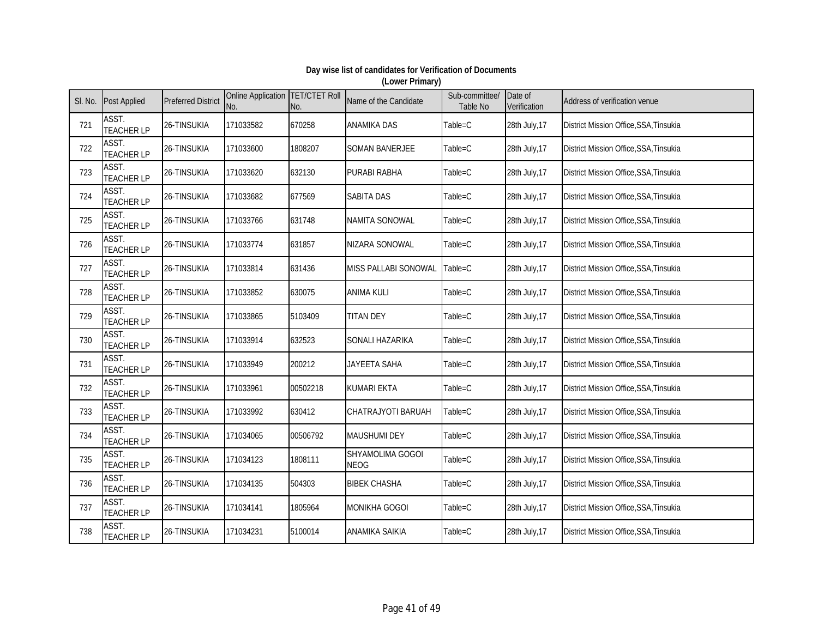| SI. No. | <b>Post Applied</b>        | <b>Preferred District</b> | Online Application TET/CTET Roll<br>No. | No.      | Name of the Candidate           | Sub-committee/<br>Table No | Date of<br>Verification | Address of verification venue          |
|---------|----------------------------|---------------------------|-----------------------------------------|----------|---------------------------------|----------------------------|-------------------------|----------------------------------------|
| 721     | ASST.<br><b>TEACHER LP</b> | 26-TINSUKIA               | 171033582                               | 670258   | <b>ANAMIKA DAS</b>              | Table=C                    | 28th July, 17           | District Mission Office, SSA, Tinsukia |
| 722     | ASST.<br><b>TEACHER LP</b> | 26-TINSUKIA               | 171033600                               | 1808207  | <b>SOMAN BANERJEE</b>           | Table=C                    | 28th July, 17           | District Mission Office, SSA, Tinsukia |
| 723     | ASST.<br><b>TEACHER LP</b> | 26-TINSUKIA               | 171033620                               | 632130   | <b>PURABI RABHA</b>             | Table=C                    | 28th July, 17           | District Mission Office, SSA, Tinsukia |
| 724     | ASST.<br><b>TEACHER LP</b> | 26-TINSUKIA               | 171033682                               | 677569   | <b>SABITA DAS</b>               | Table=C                    | 28th July, 17           | District Mission Office, SSA, Tinsukia |
| 725     | ASST.<br><b>TEACHER LP</b> | 26-TINSUKIA               | 171033766                               | 631748   | NAMITA SONOWAL                  | Table=C                    | 28th July, 17           | District Mission Office, SSA, Tinsukia |
| 726     | ASST.<br><b>TEACHER LP</b> | 26-TINSUKIA               | 171033774                               | 631857   | NIZARA SONOWAL                  | Table=C                    | 28th July, 17           | District Mission Office, SSA, Tinsukia |
| 727     | ASST.<br><b>TEACHER LP</b> | 26-TINSUKIA               | 171033814                               | 631436   | MISS PALLABI SONOWAL            | Table=C                    | 28th July, 17           | District Mission Office, SSA, Tinsukia |
| 728     | ASST.<br><b>TEACHER LP</b> | 26-TINSUKIA               | 171033852                               | 630075   | <b>ANIMA KULI</b>               | Table=C                    | 28th July, 17           | District Mission Office, SSA, Tinsukia |
| 729     | ASST.<br><b>TEACHER LP</b> | 26-TINSUKIA               | 171033865                               | 5103409  | <b>TITAN DEY</b>                | Table=C                    | 28th July, 17           | District Mission Office, SSA, Tinsukia |
| 730     | ASST.<br><b>TEACHER LP</b> | 26-TINSUKIA               | 171033914                               | 632523   | SONALI HAZARIKA                 | Table=C                    | 28th July, 17           | District Mission Office, SSA, Tinsukia |
| 731     | ASST.<br><b>TEACHER LP</b> | 26-TINSUKIA               | 171033949                               | 200212   | JAYEETA SAHA                    | Table=C                    | 28th July, 17           | District Mission Office, SSA, Tinsukia |
| 732     | ASST.<br><b>TEACHER LP</b> | 26-TINSUKIA               | 171033961                               | 00502218 | <b>KUMARI EKTA</b>              | Table=C                    | 28th July, 17           | District Mission Office, SSA, Tinsukia |
| 733     | ASST.<br><b>TEACHER LP</b> | 26-TINSUKIA               | 171033992                               | 630412   | CHATRAJYOTI BARUAH              | Table=C                    | 28th July, 17           | District Mission Office, SSA, Tinsukia |
| 734     | ASST.<br><b>TEACHER LP</b> | 26-TINSUKIA               | 171034065                               | 00506792 | <b>MAUSHUMI DEY</b>             | Table=C                    | 28th July, 17           | District Mission Office, SSA, Tinsukia |
| 735     | ASST.<br><b>TEACHER LP</b> | 26-TINSUKIA               | 171034123                               | 1808111  | SHYAMOLIMA GOGOI<br><b>NEOG</b> | Table=C                    | 28th July, 17           | District Mission Office, SSA, Tinsukia |
| 736     | ASST.<br><b>TEACHER LP</b> | 26-TINSUKIA               | 171034135                               | 504303   | <b>BIBEK CHASHA</b>             | Table=C                    | 28th July, 17           | District Mission Office, SSA, Tinsukia |
| 737     | ASST.<br><b>TEACHER LP</b> | 26-TINSUKIA               | 171034141                               | 1805964  | MONIKHA GOGOI                   | Table=C                    | 28th July, 17           | District Mission Office, SSA, Tinsukia |
| 738     | ASST.<br><b>TEACHER LP</b> | 26-TINSUKIA               | 171034231                               | 5100014  | <b>ANAMIKA SAIKIA</b>           | Table=C                    | 28th July, 17           | District Mission Office, SSA, Tinsukia |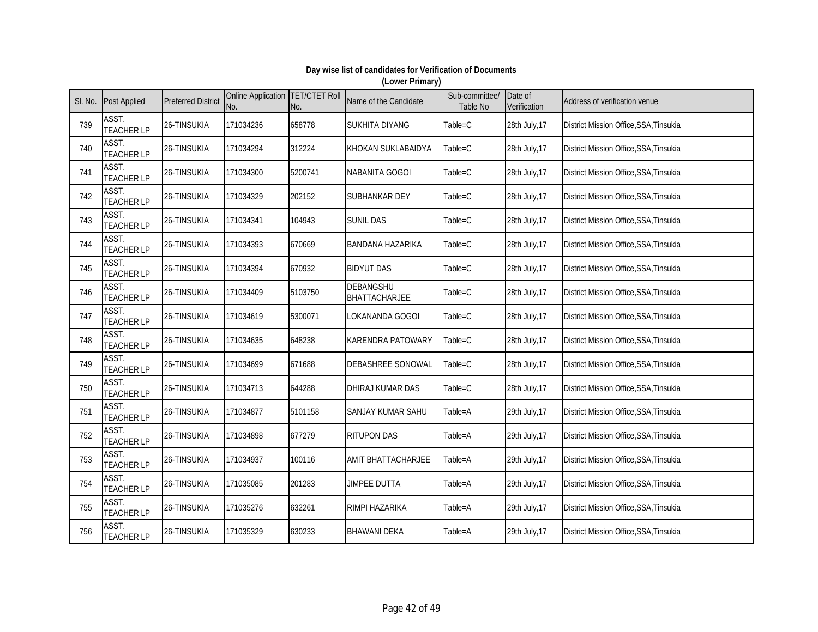| SI. No. | <b>Post Applied</b>        | <b>Preferred District</b> | Online Application TET/CTET Roll<br>No. | No.     | Name of the Candidate      | Sub-committee/<br>Table No | Date of<br>Verification | Address of verification venue                 |
|---------|----------------------------|---------------------------|-----------------------------------------|---------|----------------------------|----------------------------|-------------------------|-----------------------------------------------|
| 739     | ASST.<br><b>TEACHER LP</b> | 26-TINSUKIA               | 171034236                               | 658778  | <b>SUKHITA DIYANG</b>      | Table=C                    | 28th July, 17           | District Mission Office, SSA, Tinsukia        |
| 740     | ASST.<br><b>TEACHER LP</b> | 26-TINSUKIA               | 171034294                               | 312224  | KHOKAN SUKLABAIDYA         | Table=C                    | 28th July, 17           | District Mission Office, SSA, Tinsukia        |
| 741     | ASST.<br><b>TEACHER LP</b> | 26-TINSUKIA               | 171034300                               | 5200741 | NABANITA GOGOI             | Table=C                    | 28th July, 17           | District Mission Office, SSA, Tinsukia        |
| 742     | ASST.<br><b>TEACHER LP</b> | 26-TINSUKIA               | 171034329                               | 202152  | SUBHANKAR DEY              | Table=C                    | 28th July, 17           | District Mission Office, SSA, Tinsukia        |
| 743     | ASST.<br><b>TEACHER LP</b> | 26-TINSUKIA               | 171034341                               | 104943  | <b>SUNIL DAS</b>           | Table=C                    | 28th July, 17           | District Mission Office, SSA, Tinsukia        |
| 744     | ASST.<br><b>TEACHER LP</b> | 26-TINSUKIA               | 171034393                               | 670669  | <b>BANDANA HAZARIKA</b>    | Table=C                    | 28th July, 17           | District Mission Office, SSA, Tinsukia        |
| 745     | ASST.<br><b>TEACHER LP</b> | 26-TINSUKIA               | 171034394                               | 670932  | <b>BIDYUT DAS</b>          | Table=C                    | 28th July, 17           | District Mission Office, SSA, Tinsukia        |
| 746     | ASST.<br><b>TEACHER LP</b> | 26-TINSUKIA               | 171034409                               | 5103750 | DEBANGSHU<br>BHATTACHARJEE | Table=C                    | 28th July, 17           | <b>District Mission Office, SSA, Tinsukia</b> |
| 747     | ASST.<br><b>TEACHER LP</b> | 26-TINSUKIA               | 171034619                               | 5300071 | LOKANANDA GOGOI            | $Table = C$                | 28th July, 17           | District Mission Office, SSA, Tinsukia        |
| 748     | ASST.<br><b>TEACHER LP</b> | 26-TINSUKIA               | 171034635                               | 648238  | <b>KARENDRA PATOWARY</b>   | Table=C                    | 28th July, 17           | District Mission Office, SSA, Tinsukia        |
| 749     | ASST.<br><b>TEACHER LP</b> | 26-TINSUKIA               | 171034699                               | 671688  | DEBASHREE SONOWAL          | Table=C                    | 28th July, 17           | <b>District Mission Office, SSA, Tinsukia</b> |
| 750     | ASST.<br><b>TEACHER LP</b> | 26-TINSUKIA               | 171034713                               | 644288  | DHIRAJ KUMAR DAS           | Table=C                    | 28th July, 17           | District Mission Office, SSA, Tinsukia        |
| 751     | ASST.<br><b>TEACHER LP</b> | 26-TINSUKIA               | 171034877                               | 5101158 | SANJAY KUMAR SAHU          | Table=A                    | 29th July, 17           | District Mission Office, SSA, Tinsukia        |
| 752     | ASST.<br><b>TEACHER LP</b> | 26-TINSUKIA               | 171034898                               | 677279  | <b>RITUPON DAS</b>         | Table=A                    | 29th July, 17           | District Mission Office, SSA, Tinsukia        |
| 753     | ASST.<br><b>TEACHER LP</b> | 26-TINSUKIA               | 171034937                               | 100116  | <b>AMIT BHATTACHARJEE</b>  | Table=A                    | 29th July, 17           | District Mission Office, SSA, Tinsukia        |
| 754     | ASST.<br><b>TEACHER LP</b> | 26-TINSUKIA               | 171035085                               | 201283  | <b>JIMPEE DUTTA</b>        | Table=A                    | 29th July, 17           | District Mission Office, SSA, Tinsukia        |
| 755     | ASST.<br><b>TEACHER LP</b> | 26-TINSUKIA               | 171035276                               | 632261  | RIMPI HAZARIKA             | Table=A                    | 29th July, 17           | District Mission Office, SSA, Tinsukia        |
| 756     | ASST.<br><b>TEACHER LP</b> | 26-TINSUKIA               | 171035329                               | 630233  | <b>BHAWANI DEKA</b>        | Table=A                    | 29th July, 17           | District Mission Office, SSA, Tinsukia        |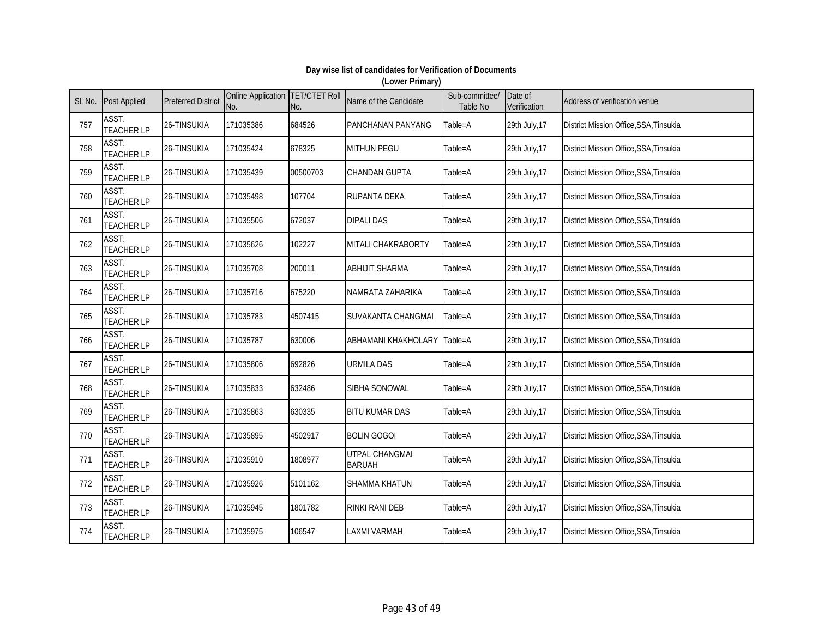| SI. No. | <b>Post Applied</b>        | <b>Preferred District</b> | Online Application TET/CTET Roll<br>No. | No.      | Name of the Candidate                  | Sub-committee/<br>Table No | Date of<br>Verification | Address of verification venue          |
|---------|----------------------------|---------------------------|-----------------------------------------|----------|----------------------------------------|----------------------------|-------------------------|----------------------------------------|
| 757     | ASST.<br><b>TEACHER LP</b> | 26-TINSUKIA               | 171035386                               | 684526   | PANCHANAN PANYANG                      | Table=A                    | 29th July, 17           | District Mission Office, SSA, Tinsukia |
| 758     | ASST.<br><b>TEACHER LP</b> | 26-TINSUKIA               | 171035424                               | 678325   | <b>MITHUN PEGU</b>                     | Table=A                    | 29th July, 17           | District Mission Office, SSA, Tinsukia |
| 759     | ASST.<br><b>TEACHER LP</b> | 26-TINSUKIA               | 171035439                               | 00500703 | <b>CHANDAN GUPTA</b>                   | Table=A                    | 29th July, 17           | District Mission Office, SSA, Tinsukia |
| 760     | ASST.<br><b>TEACHER LP</b> | 26-TINSUKIA               | 171035498                               | 107704   | <b>RUPANTA DEKA</b>                    | Table=A                    | 29th July, 17           | District Mission Office, SSA, Tinsukia |
| 761     | ASST.<br><b>TEACHER LP</b> | 26-TINSUKIA               | 171035506                               | 672037   | <b>DIPALI DAS</b>                      | Table=A                    | 29th July, 17           | District Mission Office, SSA, Tinsukia |
| 762     | ASST.<br><b>TEACHER LP</b> | 26-TINSUKIA               | 171035626                               | 102227   | MITALI CHAKRABORTY                     | Table=A                    | 29th July, 17           | District Mission Office, SSA, Tinsukia |
| 763     | ASST.<br><b>TEACHER LP</b> | 26-TINSUKIA               | 171035708                               | 200011   | <b>ABHIJIT SHARMA</b>                  | Table=A                    | 29th July, 17           | District Mission Office, SSA, Tinsukia |
| 764     | ASST.<br><b>TEACHER LP</b> | 26-TINSUKIA               | 171035716                               | 675220   | NAMRATA ZAHARIKA                       | Table=A                    | 29th July, 17           | District Mission Office, SSA, Tinsukia |
| 765     | ASST.<br><b>TEACHER LP</b> | 26-TINSUKIA               | 171035783                               | 4507415  | SUVAKANTA CHANGMAI                     | Table=A                    | 29th July, 17           | District Mission Office, SSA, Tinsukia |
| 766     | ASST.<br><b>TEACHER LP</b> | 26-TINSUKIA               | 171035787                               | 630006   | ABHAMANI KHAKHOLARY                    | Table=A                    | 29th July, 17           | District Mission Office, SSA, Tinsukia |
| 767     | ASST.<br><b>TEACHER LP</b> | 26-TINSUKIA               | 171035806                               | 692826   | <b>URMILA DAS</b>                      | Table=A                    | 29th July, 17           | District Mission Office, SSA, Tinsukia |
| 768     | ASST.<br><b>TEACHER LP</b> | 26-TINSUKIA               | 171035833                               | 632486   | SIBHA SONOWAL                          | Table=A                    | 29th July, 17           | District Mission Office, SSA, Tinsukia |
| 769     | ASST.<br><b>TEACHER LP</b> | 26-TINSUKIA               | 171035863                               | 630335   | <b>BITU KUMAR DAS</b>                  | Table=A                    | 29th July, 17           | District Mission Office, SSA, Tinsukia |
| 770     | ASST.<br><b>TEACHER LP</b> | 26-TINSUKIA               | 171035895                               | 4502917  | <b>BOLIN GOGOI</b>                     | Table=A                    | 29th July, 17           | District Mission Office, SSA, Tinsukia |
| 771     | ASST.<br><b>TEACHER LP</b> | 26-TINSUKIA               | 171035910                               | 1808977  | <b>UTPAL CHANGMAI</b><br><b>BARUAH</b> | Table=A                    | 29th July, 17           | District Mission Office, SSA, Tinsukia |
| 772     | ASST.<br><b>TEACHER LP</b> | 26-TINSUKIA               | 171035926                               | 5101162  | <b>SHAMMA KHATUN</b>                   | Table=A                    | 29th July, 17           | District Mission Office, SSA, Tinsukia |
| 773     | ASST.<br><b>TEACHER LP</b> | 26-TINSUKIA               | 171035945                               | 1801782  | <b>RINKI RANI DEB</b>                  | Table=A                    | 29th July, 17           | District Mission Office, SSA, Tinsukia |
| 774     | ASST.<br><b>TEACHER LP</b> | 26-TINSUKIA               | 171035975                               | 106547   | <b>LAXMI VARMAH</b>                    | Table=A                    | 29th July, 17           | District Mission Office, SSA, Tinsukia |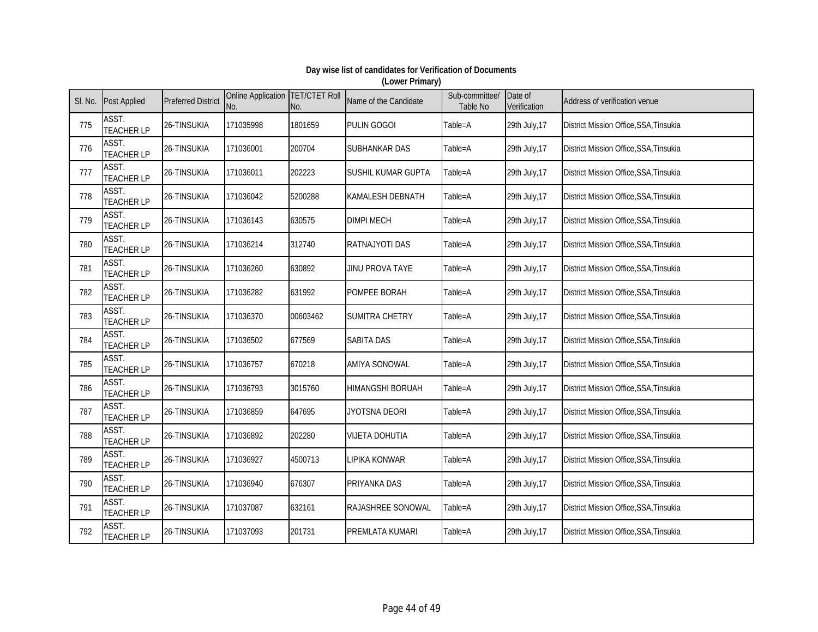| SI. No. | <b>Post Applied</b>        | <b>Preferred District</b> | Online Application TET/CTET Roll<br>No. | No.      | Name of the Candidate   | Sub-committee/<br>Table No | Date of<br>Verification | Address of verification venue                 |
|---------|----------------------------|---------------------------|-----------------------------------------|----------|-------------------------|----------------------------|-------------------------|-----------------------------------------------|
| 775     | ASST.<br><b>TEACHER LP</b> | 26-TINSUKIA               | 171035998                               | 1801659  | <b>PULIN GOGOI</b>      | Table=A                    | 29th July, 17           | District Mission Office, SSA, Tinsukia        |
| 776     | ASST.<br><b>TEACHER LP</b> | 26-TINSUKIA               | 171036001                               | 200704   | SUBHANKAR DAS           | Table=A                    | 29th July, 17           | District Mission Office, SSA, Tinsukia        |
| 777     | ASST.<br><b>TEACHER LP</b> | 26-TINSUKIA               | 171036011                               | 202223   | SUSHIL KUMAR GUPTA      | Table=A                    | 29th July, 17           | District Mission Office, SSA, Tinsukia        |
| 778     | ASST.<br><b>TEACHER LP</b> | 26-TINSUKIA               | 171036042                               | 5200288  | <b>KAMALESH DEBNATH</b> | Table=A                    | 29th July, 17           | District Mission Office, SSA, Tinsukia        |
| 779     | ASST.<br><b>TEACHER LP</b> | 26-TINSUKIA               | 171036143                               | 630575   | <b>DIMPI MECH</b>       | Table=A                    | 29th July, 17           | District Mission Office, SSA, Tinsukia        |
| 780     | ASST.<br><b>TEACHER LP</b> | 26-TINSUKIA               | 171036214                               | 312740   | RATNAJYOTI DAS          | Table=A                    | 29th July, 17           | District Mission Office, SSA, Tinsukia        |
| 781     | ASST.<br><b>TEACHER LP</b> | 26-TINSUKIA               | 171036260                               | 630892   | <b>JINU PROVA TAYE</b>  | Table=A                    | 29th July, 17           | District Mission Office, SSA, Tinsukia        |
| 782     | ASST.<br><b>TEACHER LP</b> | 26-TINSUKIA               | 171036282                               | 631992   | POMPEE BORAH            | Table=A                    | 29th July, 17           | <b>District Mission Office, SSA, Tinsukia</b> |
| 783     | ASST.<br><b>TEACHER LP</b> | 26-TINSUKIA               | 171036370                               | 00603462 | <b>SUMITRA CHETRY</b>   | Table=A                    | 29th July, 17           | District Mission Office, SSA, Tinsukia        |
| 784     | ASST.<br><b>TEACHER LP</b> | 26-TINSUKIA               | 171036502                               | 677569   | <b>SABITA DAS</b>       | Table=A                    | 29th July, 17           | District Mission Office, SSA, Tinsukia        |
| 785     | ASST.<br><b>TEACHER LP</b> | 26-TINSUKIA               | 171036757                               | 670218   | <b>AMIYA SONOWAL</b>    | Table=A                    | 29th July, 17           | <b>District Mission Office, SSA, Tinsukia</b> |
| 786     | ASST.<br><b>TEACHER LP</b> | 26-TINSUKIA               | 171036793                               | 3015760  | <b>HIMANGSHI BORUAH</b> | Table=A                    | 29th July, 17           | District Mission Office, SSA, Tinsukia        |
| 787     | ASST.<br><b>TEACHER LP</b> | 26-TINSUKIA               | 171036859                               | 647695   | JYOTSNA DEORI           | Table=A                    | 29th July, 17           | District Mission Office, SSA, Tinsukia        |
| 788     | ASST.<br><b>TEACHER LP</b> | 26-TINSUKIA               | 171036892                               | 202280   | <b>VIJETA DOHUTIA</b>   | Table=A                    | 29th July, 17           | District Mission Office, SSA, Tinsukia        |
| 789     | ASST.<br><b>TEACHER LP</b> | 26-TINSUKIA               | 171036927                               | 4500713  | LIPIKA KONWAR           | Table=A                    | 29th July, 17           | District Mission Office, SSA, Tinsukia        |
| 790     | ASST.<br><b>TEACHER LP</b> | 26-TINSUKIA               | 171036940                               | 676307   | PRIYANKA DAS            | Table=A                    | 29th July, 17           | District Mission Office, SSA, Tinsukia        |
| 791     | ASST.<br><b>TEACHER LP</b> | 26-TINSUKIA               | 171037087                               | 632161   | RAJASHREE SONOWAL       | Table=A                    | 29th July, 17           | District Mission Office, SSA, Tinsukia        |
| 792     | ASST.<br><b>TEACHER LP</b> | 26-TINSUKIA               | 171037093                               | 201731   | PREMLATA KUMARI         | Table=A                    | 29th July, 17           | District Mission Office, SSA, Tinsukia        |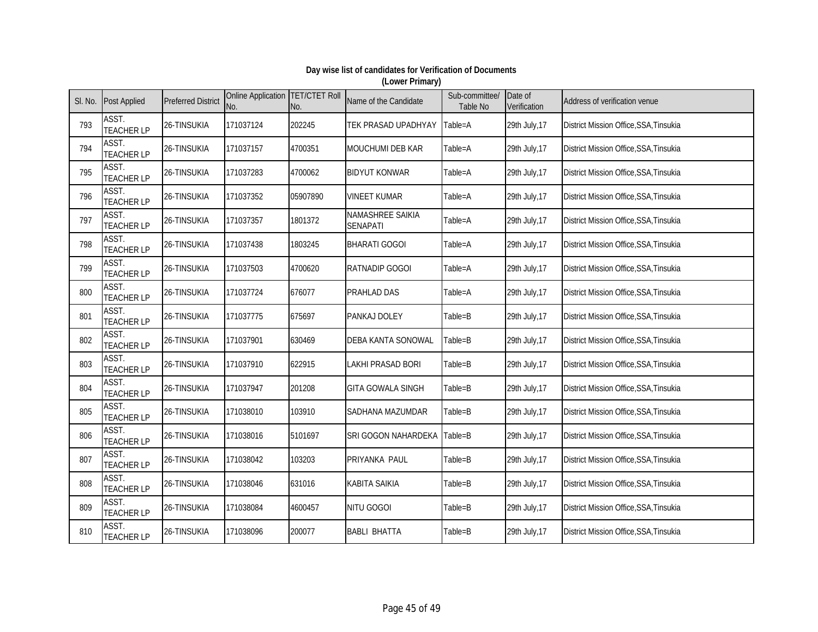| SI. No. | <b>Post Applied</b>        | <b>Preferred District</b> | Online Application TET/CTET Roll<br>No. | No.      | Name of the Candidate               | Sub-committee/<br>Table No | Date of<br>Verification | Address of verification venue          |
|---------|----------------------------|---------------------------|-----------------------------------------|----------|-------------------------------------|----------------------------|-------------------------|----------------------------------------|
| 793     | ASST.<br><b>TEACHER LP</b> | 26-TINSUKIA               | 171037124                               | 202245   | TEK PRASAD UPADHYAY                 | Table=A                    | 29th July, 17           | District Mission Office, SSA, Tinsukia |
| 794     | ASST.<br><b>TEACHER LP</b> | 26-TINSUKIA               | 171037157                               | 4700351  | MOUCHUMI DEB KAR                    | Table=A                    | 29th July, 17           | District Mission Office, SSA, Tinsukia |
| 795     | ASST.<br><b>TEACHER LP</b> | 26-TINSUKIA               | 171037283                               | 4700062  | <b>BIDYUT KONWAR</b>                | Table=A                    | 29th July, 17           | District Mission Office, SSA, Tinsukia |
| 796     | ASST.<br><b>TEACHER LP</b> | 26-TINSUKIA               | 171037352                               | 05907890 | <b>VINEET KUMAR</b>                 | Table=A                    | 29th July, 17           | District Mission Office, SSA, Tinsukia |
| 797     | ASST.<br><b>TEACHER LP</b> | 26-TINSUKIA               | 171037357                               | 1801372  | NAMASHREE SAIKIA<br><b>SENAPATI</b> | Table=A                    | 29th July, 17           | District Mission Office, SSA, Tinsukia |
| 798     | ASST.<br><b>TEACHER LP</b> | 26-TINSUKIA               | 171037438                               | 1803245  | <b>BHARATI GOGOI</b>                | Table=A                    | 29th July, 17           | District Mission Office, SSA, Tinsukia |
| 799     | ASST.<br><b>TEACHER LP</b> | 26-TINSUKIA               | 171037503                               | 4700620  | RATNADIP GOGOI                      | Table=A                    | 29th July, 17           | District Mission Office, SSA, Tinsukia |
| 800     | ASST.<br><b>TEACHER LP</b> | 26-TINSUKIA               | 171037724                               | 676077   | <b>PRAHLAD DAS</b>                  | Table=A                    | 29th July, 17           | District Mission Office, SSA, Tinsukia |
| 801     | ASST.<br><b>TEACHER LP</b> | 26-TINSUKIA               | 171037775                               | 675697   | PANKAJ DOLEY                        | Table=B                    | 29th July, 17           | District Mission Office, SSA, Tinsukia |
| 802     | ASST.<br><b>TEACHER LP</b> | 26-TINSUKIA               | 171037901                               | 630469   | <b>DEBA KANTA SONOWAL</b>           | Table=B                    | 29th July, 17           | District Mission Office, SSA, Tinsukia |
| 803     | ASST.<br><b>TEACHER LP</b> | 26-TINSUKIA               | 171037910                               | 622915   | LAKHI PRASAD BORI                   | Table=B                    | 29th July, 17           | District Mission Office, SSA, Tinsukia |
| 804     | ASST.<br><b>TEACHER LP</b> | 26-TINSUKIA               | 171037947                               | 201208   | <b>GITA GOWALA SINGH</b>            | Table=B                    | 29th July, 17           | District Mission Office, SSA, Tinsukia |
| 805     | ASST.<br><b>TEACHER LP</b> | 26-TINSUKIA               | 171038010                               | 103910   | SADHANA MAZUMDAR                    | Table=B                    | 29th July, 17           | District Mission Office, SSA, Tinsukia |
| 806     | ASST.<br><b>TEACHER LP</b> | 26-TINSUKIA               | 171038016                               | 5101697  | SRI GOGON NAHARDEKA                 | Table=B                    | 29th July, 17           | District Mission Office, SSA, Tinsukia |
| 807     | ASST.<br><b>TEACHER LP</b> | 26-TINSUKIA               | 171038042                               | 103203   | PRIYANKA PAUL                       | Table=B                    | 29th July, 17           | District Mission Office, SSA, Tinsukia |
| 808     | ASST.<br><b>TEACHER LP</b> | 26-TINSUKIA               | 171038046                               | 631016   | <b>KABITA SAIKIA</b>                | Table=B                    | 29th July, 17           | District Mission Office, SSA, Tinsukia |
| 809     | ASST.<br><b>TEACHER LP</b> | 26-TINSUKIA               | 171038084                               | 4600457  | <b>NITU GOGOI</b>                   | Table=B                    | 29th July, 17           | District Mission Office, SSA, Tinsukia |
| 810     | ASST.<br><b>TEACHER LP</b> | 26-TINSUKIA               | 171038096                               | 200077   | <b>BABLI BHATTA</b>                 | Table=B                    | 29th July, 17           | District Mission Office, SSA, Tinsukia |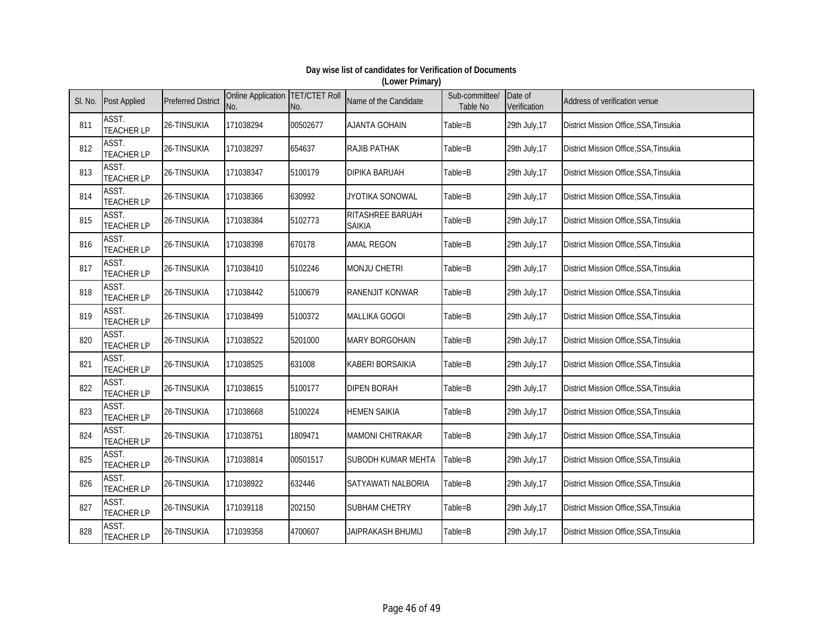| SI. No. | <b>Post Applied</b>        | <b>Preferred District</b> | Online Application TET/CTET Roll<br>No. | No.      | Name of the Candidate             | Sub-committee/<br>Table No | Date of<br>Verification | Address of verification venue                 |
|---------|----------------------------|---------------------------|-----------------------------------------|----------|-----------------------------------|----------------------------|-------------------------|-----------------------------------------------|
| 811     | ASST.<br><b>TEACHER LP</b> | 26-TINSUKIA               | 171038294                               | 00502677 | <b>AJANTA GOHAIN</b>              | Table=B                    | 29th July, 17           | District Mission Office, SSA, Tinsukia        |
| 812     | ASST.<br><b>TEACHER LP</b> | 26-TINSUKIA               | 171038297                               | 654637   | RAJIB PATHAK                      | Table=B                    | 29th July, 17           | District Mission Office, SSA, Tinsukia        |
| 813     | ASST.<br><b>TEACHER LP</b> | 26-TINSUKIA               | 171038347                               | 5100179  | <b>DIPIKA BARUAH</b>              | Table=B                    | 29th July, 17           | District Mission Office, SSA, Tinsukia        |
| 814     | ASST.<br><b>TEACHER LP</b> | 26-TINSUKIA               | 171038366                               | 630992   | JYOTIKA SONOWAL                   | Table=B                    | 29th July, 17           | District Mission Office, SSA, Tinsukia        |
| 815     | ASST.<br><b>TEACHER LP</b> | 26-TINSUKIA               | 171038384                               | 5102773  | RITASHREE BARUAH<br><b>SAIKIA</b> | Table=B                    | 29th July, 17           | District Mission Office, SSA, Tinsukia        |
| 816     | ASST.<br><b>TEACHER LP</b> | 26-TINSUKIA               | 171038398                               | 670178   | <b>AMAL REGON</b>                 | Table=B                    | 29th July, 17           | District Mission Office, SSA, Tinsukia        |
| 817     | ASST.<br><b>TEACHER LP</b> | 26-TINSUKIA               | 171038410                               | 5102246  | <b>MONJU CHETRI</b>               | Table=B                    | 29th July, 17           | District Mission Office, SSA, Tinsukia        |
| 818     | ASST.<br><b>TEACHER LP</b> | 26-TINSUKIA               | 171038442                               | 5100679  | <b>RANENJIT KONWAR</b>            | Table=B                    | 29th July, 17           | <b>District Mission Office, SSA, Tinsukia</b> |
| 819     | ASST.<br><b>TEACHER LP</b> | 26-TINSUKIA               | 171038499                               | 5100372  | <b>MALLIKA GOGOI</b>              | Table=B                    | 29th July, 17           | District Mission Office, SSA, Tinsukia        |
| 820     | ASST.<br><b>TEACHER LP</b> | 26-TINSUKIA               | 171038522                               | 5201000  | <b>MARY BORGOHAIN</b>             | Table=B                    | 29th July, 17           | District Mission Office, SSA, Tinsukia        |
| 821     | ASST.<br><b>TEACHER LP</b> | 26-TINSUKIA               | 171038525                               | 631008   | <b>KABERI BORSAIKIA</b>           | Table=B                    | 29th July, 17           | District Mission Office, SSA, Tinsukia        |
| 822     | ASST.<br><b>TEACHER LP</b> | 26-TINSUKIA               | 171038615                               | 5100177  | <b>DIPEN BORAH</b>                | Table=B                    | 29th July, 17           | District Mission Office, SSA, Tinsukia        |
| 823     | ASST.<br><b>TEACHER LP</b> | 26-TINSUKIA               | 171038668                               | 5100224  | <b>HEMEN SAIKIA</b>               | Table=B                    | 29th July, 17           | District Mission Office, SSA, Tinsukia        |
| 824     | ASST.<br><b>TEACHER LP</b> | 26-TINSUKIA               | 171038751                               | 1809471  | <b>MAMONI CHITRAKAR</b>           | Table=B                    | 29th July, 17           | District Mission Office, SSA, Tinsukia        |
| 825     | ASST.<br><b>TEACHER LP</b> | 26-TINSUKIA               | 171038814                               | 00501517 | <b>SUBODH KUMAR MEHTA</b>         | Table=B                    | 29th July, 17           | District Mission Office, SSA, Tinsukia        |
| 826     | ASST.<br><b>TEACHER LP</b> | 26-TINSUKIA               | 171038922                               | 632446   | SATYAWATI NALBORIA                | Table=B                    | 29th July, 17           | District Mission Office, SSA, Tinsukia        |
| 827     | ASST.<br><b>TEACHER LP</b> | 26-TINSUKIA               | 171039118                               | 202150   | <b>SUBHAM CHETRY</b>              | Table=B                    | 29th July, 17           | District Mission Office, SSA, Tinsukia        |
| 828     | ASST.<br><b>TEACHER LP</b> | 26-TINSUKIA               | 171039358                               | 4700607  | JAIPRAKASH BHUMIJ                 | Table=B                    | 29th July, 17           | District Mission Office, SSA, Tinsukia        |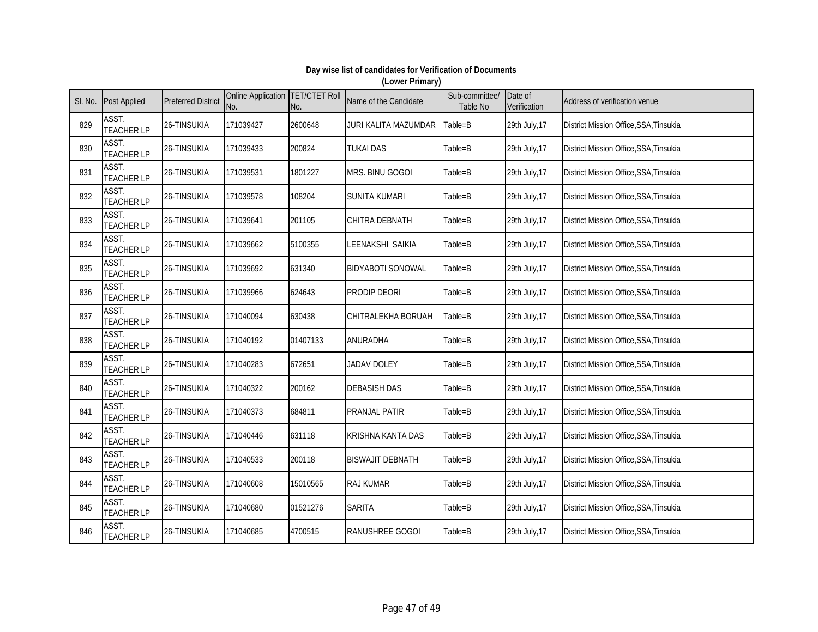| SI. No. | <b>Post Applied</b>        | <b>Preferred District</b> | Online Application TET/CTET Roll<br>No. | No.      | Name of the Candidate    | Sub-committee/<br>Table No | Date of<br>Verification | Address of verification venue          |
|---------|----------------------------|---------------------------|-----------------------------------------|----------|--------------------------|----------------------------|-------------------------|----------------------------------------|
| 829     | ASST.<br><b>TEACHER LP</b> | 26-TINSUKIA               | 171039427                               | 2600648  | JURI KALITA MAZUMDAR     | Table=B                    | 29th July, 17           | District Mission Office, SSA, Tinsukia |
| 830     | ASST.<br><b>TEACHER LP</b> | 26-TINSUKIA               | 171039433                               | 200824   | <b>TUKAI DAS</b>         | Table=B                    | 29th July, 17           | District Mission Office, SSA, Tinsukia |
| 831     | ASST.<br><b>TEACHER LP</b> | 26-TINSUKIA               | 171039531                               | 1801227  | MRS. BINU GOGOI          | Table=B                    | 29th July, 17           | District Mission Office, SSA, Tinsukia |
| 832     | ASST.<br><b>TEACHER LP</b> | 26-TINSUKIA               | 171039578                               | 108204   | <b>SUNITA KUMARI</b>     | Table=B                    | 29th July, 17           | District Mission Office, SSA, Tinsukia |
| 833     | ASST.<br><b>TEACHER LP</b> | 26-TINSUKIA               | 171039641                               | 201105   | <b>CHITRA DEBNATH</b>    | Table=B                    | 29th July, 17           | District Mission Office, SSA, Tinsukia |
| 834     | ASST.<br><b>TEACHER LP</b> | 26-TINSUKIA               | 171039662                               | 5100355  | LEENAKSHI SAIKIA         | Table=B                    | 29th July, 17           | District Mission Office, SSA, Tinsukia |
| 835     | ASST.<br><b>TEACHER LP</b> | 26-TINSUKIA               | 171039692                               | 631340   | <b>BIDYABOTI SONOWAL</b> | Table=B                    | 29th July, 17           | District Mission Office, SSA, Tinsukia |
| 836     | ASST.<br><b>TEACHER LP</b> | 26-TINSUKIA               | 171039966                               | 624643   | <b>PRODIP DEORI</b>      | Table=B                    | 29th July, 17           | District Mission Office, SSA, Tinsukia |
| 837     | ASST.<br><b>TEACHER LP</b> | 26-TINSUKIA               | 171040094                               | 630438   | CHITRALEKHA BORUAH       | Table=B                    | 29th July, 17           | District Mission Office, SSA, Tinsukia |
| 838     | ASST.<br><b>TEACHER LP</b> | 26-TINSUKIA               | 171040192                               | 01407133 | ANURADHA                 | Table=B                    | 29th July, 17           | District Mission Office, SSA, Tinsukia |
| 839     | ASST.<br><b>TEACHER LP</b> | 26-TINSUKIA               | 171040283                               | 672651   | <b>JADAV DOLEY</b>       | Table=B                    | 29th July, 17           | District Mission Office, SSA, Tinsukia |
| 840     | ASST.<br><b>TEACHER LP</b> | 26-TINSUKIA               | 171040322                               | 200162   | <b>DEBASISH DAS</b>      | Table=B                    | 29th July, 17           | District Mission Office, SSA, Tinsukia |
| 841     | ASST.<br><b>TEACHER LP</b> | 26-TINSUKIA               | 171040373                               | 684811   | <b>PRANJAL PATIR</b>     | Table=B                    | 29th July, 17           | District Mission Office, SSA, Tinsukia |
| 842     | ASST.<br><b>TEACHER LP</b> | 26-TINSUKIA               | 171040446                               | 631118   | <b>KRISHNA KANTA DAS</b> | Table=B                    | 29th July, 17           | District Mission Office, SSA, Tinsukia |
| 843     | ASST.<br><b>TEACHER LP</b> | 26-TINSUKIA               | 171040533                               | 200118   | <b>BISWAJIT DEBNATH</b>  | Table=B                    | 29th July, 17           | District Mission Office, SSA, Tinsukia |
| 844     | ASST.<br><b>TEACHER LP</b> | 26-TINSUKIA               | 171040608                               | 15010565 | <b>RAJ KUMAR</b>         | Table=B                    | 29th July, 17           | District Mission Office, SSA, Tinsukia |
| 845     | ASST.<br><b>TEACHER LP</b> | 26-TINSUKIA               | 171040680                               | 01521276 | <b>SARITA</b>            | Table=B                    | 29th July, 17           | District Mission Office, SSA, Tinsukia |
| 846     | ASST.<br><b>TEACHER LP</b> | 26-TINSUKIA               | 171040685                               | 4700515  | RANUSHREE GOGOI          | Table=B                    | 29th July, 17           | District Mission Office, SSA, Tinsukia |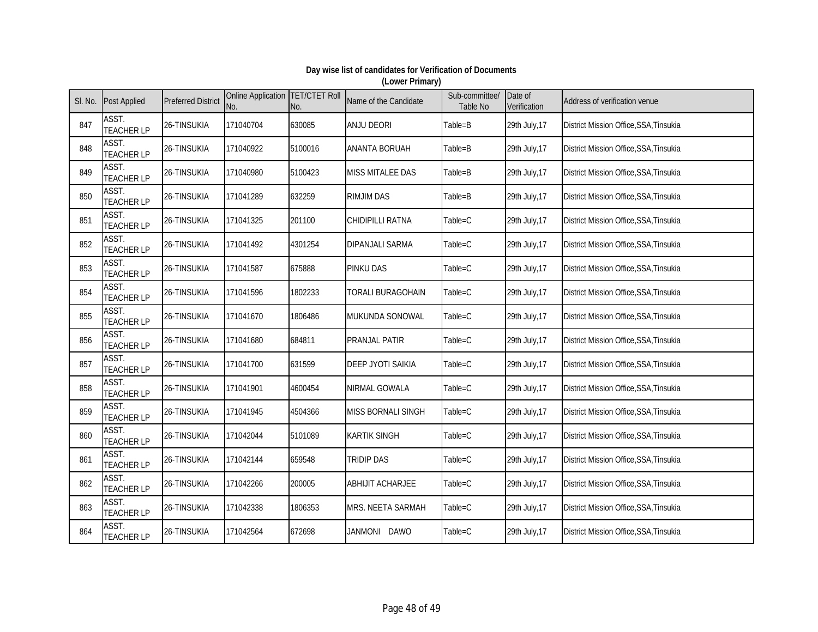| SI. No. | <b>Post Applied</b>        | <b>Preferred District</b> | Online Application TET/CTET Roll<br>No. | No.     | Name of the Candidate         | Sub-committee/<br>Table No | Date of<br>Verification | Address of verification venue                 |
|---------|----------------------------|---------------------------|-----------------------------------------|---------|-------------------------------|----------------------------|-------------------------|-----------------------------------------------|
| 847     | ASST.<br><b>TEACHER LP</b> | 26-TINSUKIA               | 171040704                               | 630085  | <b>ANJU DEORI</b>             | Table=B                    | 29th July, 17           | District Mission Office, SSA, Tinsukia        |
| 848     | ASST.<br><b>TEACHER LP</b> | 26-TINSUKIA               | 171040922                               | 5100016 | <b>ANANTA BORUAH</b>          | Table=B                    | 29th July, 17           | District Mission Office, SSA, Tinsukia        |
| 849     | ASST.<br><b>TEACHER LP</b> | 26-TINSUKIA               | 171040980                               | 5100423 | <b>MISS MITALEE DAS</b>       | Table=B                    | 29th July, 17           | District Mission Office, SSA, Tinsukia        |
| 850     | ASST.<br><b>TEACHER LP</b> | 26-TINSUKIA               | 171041289                               | 632259  | <b>RIMJIM DAS</b>             | Table=B                    | 29th July, 17           | District Mission Office, SSA, Tinsukia        |
| 851     | ASST.<br><b>TEACHER LP</b> | 26-TINSUKIA               | 171041325                               | 201100  | CHIDIPILLI RATNA              | Table=C                    | 29th July, 17           | District Mission Office, SSA, Tinsukia        |
| 852     | ASST.<br><b>TEACHER LP</b> | 26-TINSUKIA               | 171041492                               | 4301254 | <b>DIPANJALI SARMA</b>        | Table=C                    | 29th July, 17           | District Mission Office, SSA, Tinsukia        |
| 853     | ASST.<br><b>TEACHER LP</b> | 26-TINSUKIA               | 171041587                               | 675888  | <b>PINKU DAS</b>              | Table=C                    | 29th July, 17           | District Mission Office, SSA, Tinsukia        |
| 854     | ASST.<br><b>TEACHER LP</b> | 26-TINSUKIA               | 171041596                               | 1802233 | TORALI BURAGOHAIN             | Table=C                    | 29th July, 17           | <b>District Mission Office, SSA, Tinsukia</b> |
| 855     | ASST.<br><b>TEACHER LP</b> | 26-TINSUKIA               | 171041670                               | 1806486 | MUKUNDA SONOWAL               | $Table = C$                | 29th July, 17           | District Mission Office, SSA, Tinsukia        |
| 856     | ASST.<br><b>TEACHER LP</b> | 26-TINSUKIA               | 171041680                               | 684811  | <b>PRANJAL PATIR</b>          | Table=C                    | 29th July, 17           | District Mission Office, SSA, Tinsukia        |
| 857     | ASST.<br><b>TEACHER LP</b> | 26-TINSUKIA               | 171041700                               | 631599  | <b>DEEP JYOTI SAIKIA</b>      | Table=C                    | 29th July, 17           | District Mission Office, SSA, Tinsukia        |
| 858     | ASST.<br><b>TEACHER LP</b> | 26-TINSUKIA               | 171041901                               | 4600454 | NIRMAL GOWALA                 | Table=C                    | 29th July, 17           | District Mission Office, SSA, Tinsukia        |
| 859     | ASST.<br><b>TEACHER LP</b> | 26-TINSUKIA               | 171041945                               | 4504366 | MISS BORNALI SINGH            | Table=C                    | 29th July, 17           | District Mission Office, SSA, Tinsukia        |
| 860     | ASST.<br><b>TEACHER LP</b> | 26-TINSUKIA               | 171042044                               | 5101089 | <b>KARTIK SINGH</b>           | Table=C                    | 29th July, 17           | District Mission Office, SSA, Tinsukia        |
| 861     | ASST.<br><b>TEACHER LP</b> | 26-TINSUKIA               | 171042144                               | 659548  | <b>TRIDIP DAS</b>             | Table=C                    | 29th July, 17           | District Mission Office, SSA, Tinsukia        |
| 862     | ASST.<br><b>TEACHER LP</b> | 26-TINSUKIA               | 171042266                               | 200005  | <b>ABHIJIT ACHARJEE</b>       | Table=C                    | 29th July, 17           | District Mission Office, SSA, Tinsukia        |
| 863     | ASST.<br><b>TEACHER LP</b> | 26-TINSUKIA               | 171042338                               | 1806353 | MRS. NEETA SARMAH             | Table=C                    | 29th July, 17           | District Mission Office, SSA, Tinsukia        |
| 864     | ASST.<br><b>TEACHER LP</b> | 26-TINSUKIA               | 171042564                               | 672698  | <b>JANMONI</b><br><b>DAWO</b> | Table=C                    | 29th July, 17           | District Mission Office, SSA, Tinsukia        |